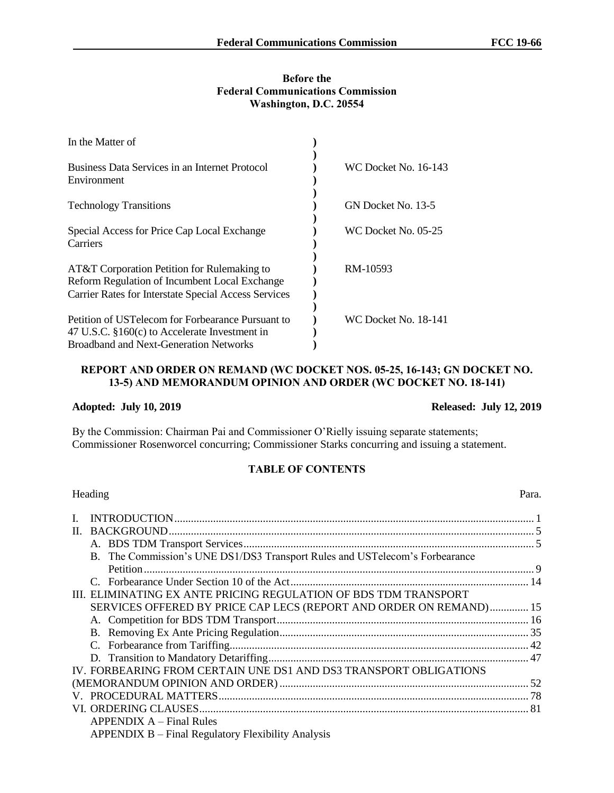## **Before the Federal Communications Commission Washington, D.C. 20554**

| In the Matter of                                                                                                                                      |                      |
|-------------------------------------------------------------------------------------------------------------------------------------------------------|----------------------|
| Business Data Services in an Internet Protocol<br>Environment                                                                                         | WC Docket No. 16-143 |
| <b>Technology Transitions</b>                                                                                                                         | GN Docket No. 13-5   |
| Special Access for Price Cap Local Exchange<br>Carriers                                                                                               | WC Docket No. 05-25  |
| AT&T Corporation Petition for Rulemaking to<br>Reform Regulation of Incumbent Local Exchange<br>Carrier Rates for Interstate Special Access Services  | RM-10593             |
| Petition of USTelecom for Forbearance Pursuant to<br>47 U.S.C. $$160(c)$ to Accelerate Investment in<br><b>Broadband and Next-Generation Networks</b> | WC Docket No. 18-141 |

## **REPORT AND ORDER ON REMAND (WC DOCKET NOS. 05-25, 16-143; GN DOCKET NO. 13-5) AND MEMORANDUM OPINION AND ORDER (WC DOCKET NO. 18-141)**

**Adopted: July 10, 2019 Released: July 12, 2019**

By the Commission: Chairman Pai and Commissioner O'Rielly issuing separate statements; Commissioner Rosenworcel concurring; Commissioner Starks concurring and issuing a statement.

# **TABLE OF CONTENTS**

|   | Heading                                                                     | Para. |
|---|-----------------------------------------------------------------------------|-------|
| L |                                                                             |       |
|   |                                                                             |       |
|   |                                                                             |       |
|   | B. The Commission's UNE DS1/DS3 Transport Rules and USTelecom's Forbearance |       |
|   |                                                                             |       |
|   |                                                                             |       |
|   | III. ELIMINATING EX ANTE PRICING REGULATION OF BDS TDM TRANSPORT            |       |
|   | SERVICES OFFERED BY PRICE CAP LECS (REPORT AND ORDER ON REMAND) 15          |       |
|   |                                                                             |       |
|   |                                                                             |       |
|   |                                                                             |       |
|   |                                                                             |       |
|   | IV. FORBEARING FROM CERTAIN UNE DS1 AND DS3 TRANSPORT OBLIGATIONS           |       |
|   |                                                                             |       |
|   |                                                                             |       |
|   |                                                                             |       |
|   | $APPENDIX A - Final Rules$                                                  |       |
|   | APPENDIX B – Final Regulatory Flexibility Analysis                          |       |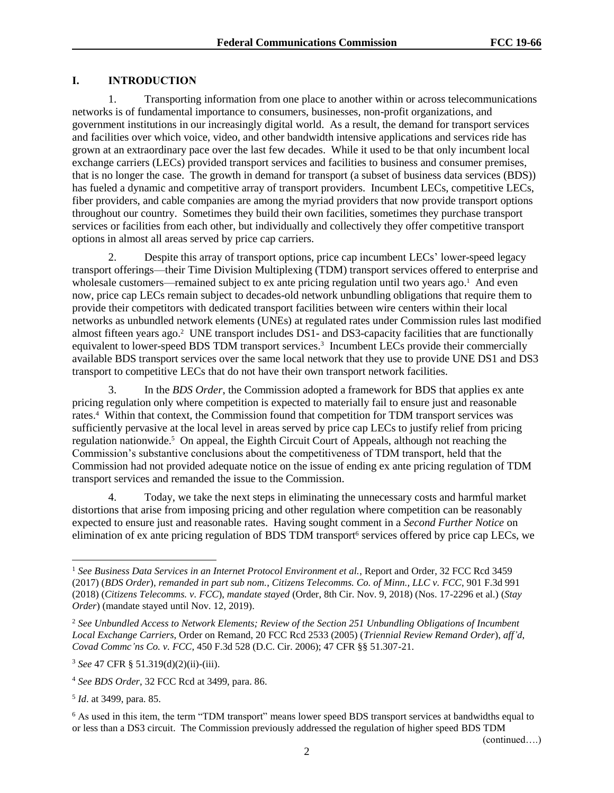# **I. INTRODUCTION**

1. Transporting information from one place to another within or across telecommunications networks is of fundamental importance to consumers, businesses, non-profit organizations, and government institutions in our increasingly digital world. As a result, the demand for transport services and facilities over which voice, video, and other bandwidth intensive applications and services ride has grown at an extraordinary pace over the last few decades. While it used to be that only incumbent local exchange carriers (LECs) provided transport services and facilities to business and consumer premises, that is no longer the case. The growth in demand for transport (a subset of business data services (BDS)) has fueled a dynamic and competitive array of transport providers. Incumbent LECs, competitive LECs, fiber providers, and cable companies are among the myriad providers that now provide transport options throughout our country. Sometimes they build their own facilities, sometimes they purchase transport services or facilities from each other, but individually and collectively they offer competitive transport options in almost all areas served by price cap carriers.

2. Despite this array of transport options, price cap incumbent LECs' lower-speed legacy transport offerings—their Time Division Multiplexing (TDM) transport services offered to enterprise and wholesale customers—remained subject to ex ante pricing regulation until two years ago.<sup>1</sup> And even now, price cap LECs remain subject to decades-old network unbundling obligations that require them to provide their competitors with dedicated transport facilities between wire centers within their local networks as unbundled network elements (UNEs) at regulated rates under Commission rules last modified almost fifteen years ago.<sup>2</sup> UNE transport includes DS1- and DS3-capacity facilities that are functionally equivalent to lower-speed BDS TDM transport services.<sup>3</sup> Incumbent LECs provide their commercially available BDS transport services over the same local network that they use to provide UNE DS1 and DS3 transport to competitive LECs that do not have their own transport network facilities.

3. In the *BDS Order*, the Commission adopted a framework for BDS that applies ex ante pricing regulation only where competition is expected to materially fail to ensure just and reasonable rates.<sup>4</sup> Within that context, the Commission found that competition for TDM transport services was sufficiently pervasive at the local level in areas served by price cap LECs to justify relief from pricing regulation nationwide.<sup>5</sup> On appeal, the Eighth Circuit Court of Appeals, although not reaching the Commission's substantive conclusions about the competitiveness of TDM transport, held that the Commission had not provided adequate notice on the issue of ending ex ante pricing regulation of TDM transport services and remanded the issue to the Commission.

4. Today, we take the next steps in eliminating the unnecessary costs and harmful market distortions that arise from imposing pricing and other regulation where competition can be reasonably expected to ensure just and reasonable rates. Having sought comment in a *Second Further Notice* on elimination of ex ante pricing regulation of BDS TDM transport<sup>6</sup> services offered by price cap LECs, we

l

<sup>1</sup> *See Business Data Services in an Internet Protocol Environment et al.*, Report and Order, 32 FCC Rcd 3459 (2017) (*BDS Order*), *remanded in part sub nom.*, *Citizens Telecomms. Co. of Minn., LLC v. FCC*, 901 F.3d 991 (2018) (*Citizens Telecomms. v. FCC*), *mandate stayed* (Order, 8th Cir. Nov. 9, 2018) (Nos. 17-2296 et al.) (*Stay Order*) (mandate stayed until Nov. 12, 2019).

<sup>2</sup> *See Unbundled Access to Network Elements; Review of the Section 251 Unbundling Obligations of Incumbent Local Exchange Carriers*, Order on Remand, 20 FCC Rcd 2533 (2005) (*Triennial Review Remand Order*), *aff'd*, *Covad Commc'ns Co. v. FCC*, 450 F.3d 528 (D.C. Cir. 2006); 47 CFR §§ 51.307-21.

<sup>3</sup> *See* 47 CFR § 51.319(d)(2)(ii)-(iii).

<sup>4</sup> *See BDS Order*, 32 FCC Rcd at 3499, para. 86.

<sup>5</sup> *Id*. at 3499, para. 85.

<sup>6</sup> As used in this item, the term "TDM transport" means lower speed BDS transport services at bandwidths equal to or less than a DS3 circuit. The Commission previously addressed the regulation of higher speed BDS TDM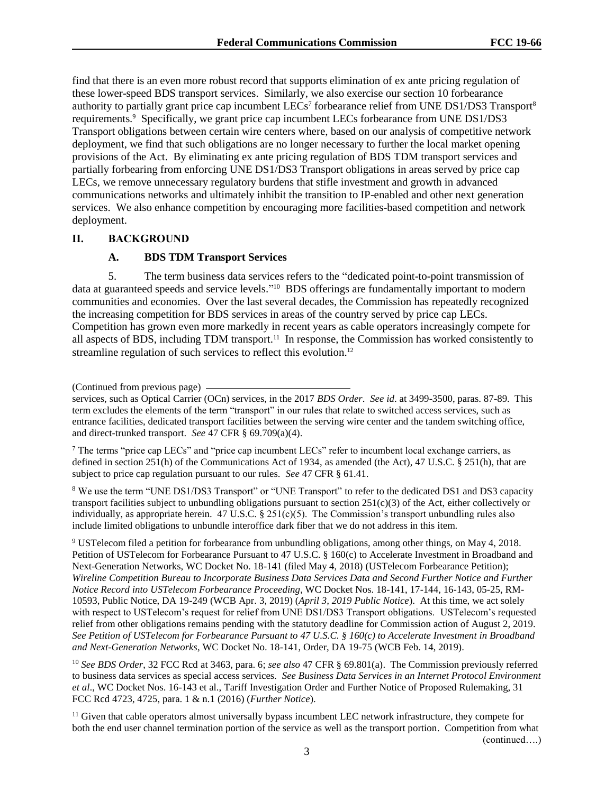find that there is an even more robust record that supports elimination of ex ante pricing regulation of these lower-speed BDS transport services. Similarly, we also exercise our section 10 forbearance authority to partially grant price cap incumbent LECs<sup>7</sup> forbearance relief from UNE DS1/DS3 Transport<sup>8</sup> requirements.<sup>9</sup> Specifically, we grant price cap incumbent LECs forbearance from UNE DS1/DS3 Transport obligations between certain wire centers where, based on our analysis of competitive network deployment, we find that such obligations are no longer necessary to further the local market opening provisions of the Act. By eliminating ex ante pricing regulation of BDS TDM transport services and partially forbearing from enforcing UNE DS1/DS3 Transport obligations in areas served by price cap LECs, we remove unnecessary regulatory burdens that stifle investment and growth in advanced communications networks and ultimately inhibit the transition to IP-enabled and other next generation services. We also enhance competition by encouraging more facilities-based competition and network deployment.

## **II. BACKGROUND**

#### **A. BDS TDM Transport Services**

5. The term business data services refers to the "dedicated point-to-point transmission of data at guaranteed speeds and service levels."<sup>10</sup> BDS offerings are fundamentally important to modern communities and economies. Over the last several decades, the Commission has repeatedly recognized the increasing competition for BDS services in areas of the country served by price cap LECs. Competition has grown even more markedly in recent years as cable operators increasingly compete for all aspects of BDS, including TDM transport.<sup>11</sup> In response, the Commission has worked consistently to streamline regulation of such services to reflect this evolution.<sup>12</sup>

<sup>7</sup> The terms "price cap LECs" and "price cap incumbent LECs" refer to incumbent local exchange carriers, as defined in section 251(h) of the Communications Act of 1934, as amended (the Act), 47 U.S.C. § 251(h), that are subject to price cap regulation pursuant to our rules. *See* 47 CFR § 61.41.

<sup>8</sup> We use the term "UNE DS1/DS3 Transport" or "UNE Transport" to refer to the dedicated DS1 and DS3 capacity transport facilities subject to unbundling obligations pursuant to section  $251(c)(3)$  of the Act, either collectively or individually, as appropriate herein.  $47 \text{ U.S.C.} \$   $251(c)(5)$ . The Commission's transport unbundling rules also include limited obligations to unbundle interoffice dark fiber that we do not address in this item.

<sup>9</sup> USTelecom filed a petition for forbearance from unbundling obligations, among other things, on May 4, 2018. Petition of USTelecom for Forbearance Pursuant to 47 U.S.C. § 160(c) to Accelerate Investment in Broadband and Next-Generation Networks, WC Docket No. 18-141 (filed May 4, 2018) (USTelecom Forbearance Petition); *Wireline Competition Bureau to Incorporate Business Data Services Data and Second Further Notice and Further Notice Record into USTelecom Forbearance Proceeding*, WC Docket Nos. 18-141, 17-144, 16-143, 05-25, RM-10593, Public Notice, DA 19-249 (WCB Apr. 3, 2019) (*April 3, 2019 Public Notice*). At this time, we act solely with respect to USTelecom's request for relief from UNE DS1/DS3 Transport obligations. USTelecom's requested relief from other obligations remains pending with the statutory deadline for Commission action of August 2, 2019. *See Petition of USTelecom for Forbearance Pursuant to 47 U.S.C. § 160(c) to Accelerate Investment in Broadband and Next-Generation Networks*, WC Docket No. 18-141, Order, DA 19-75 (WCB Feb. 14, 2019).

<sup>10</sup> *See BDS Order*, 32 FCC Rcd at 3463, para. 6; *see also* 47 CFR § 69.801(a). The Commission previously referred to business data services as special access services. *See Business Data Services in an Internet Protocol Environment et al*., WC Docket Nos. 16-143 et al., Tariff Investigation Order and Further Notice of Proposed Rulemaking, 31 FCC Rcd 4723, 4725, para. 1 & n.1 (2016) (*Further Notice*).

<sup>11</sup> Given that cable operators almost universally bypass incumbent LEC network infrastructure, they compete for both the end user channel termination portion of the service as well as the transport portion. Competition from what (continued….)

<sup>(</sup>Continued from previous page)

services, such as Optical Carrier (OCn) services, in the 2017 *BDS Order*. *See id*. at 3499-3500, paras. 87-89. This term excludes the elements of the term "transport" in our rules that relate to switched access services, such as entrance facilities, dedicated transport facilities between the serving wire center and the tandem switching office, and direct-trunked transport. *See* 47 CFR § 69.709(a)(4).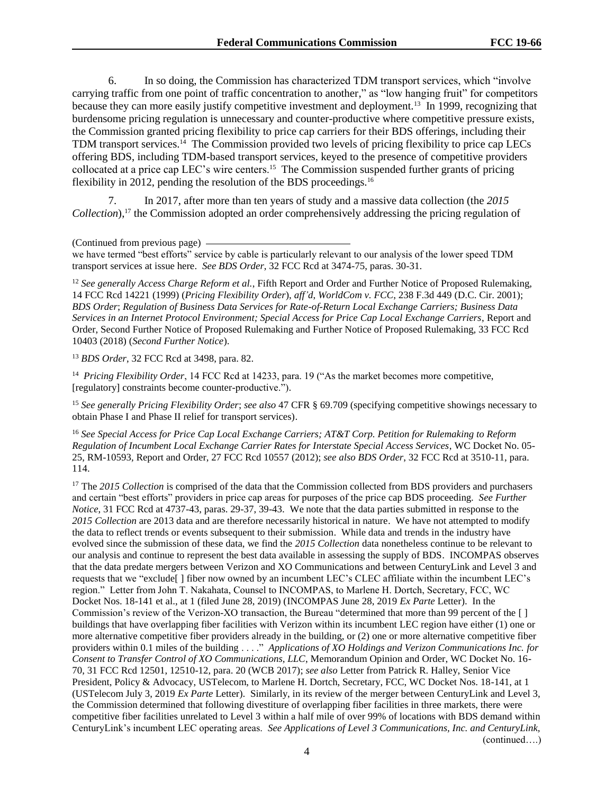6. In so doing, the Commission has characterized TDM transport services, which "involve carrying traffic from one point of traffic concentration to another," as "low hanging fruit" for competitors because they can more easily justify competitive investment and deployment.<sup>13</sup> In 1999, recognizing that burdensome pricing regulation is unnecessary and counter-productive where competitive pressure exists, the Commission granted pricing flexibility to price cap carriers for their BDS offerings, including their TDM transport services.<sup>14</sup> The Commission provided two levels of pricing flexibility to price cap LECs offering BDS, including TDM-based transport services, keyed to the presence of competitive providers collocated at a price cap LEC's wire centers.<sup>15</sup> The Commission suspended further grants of pricing flexibility in 2012, pending the resolution of the BDS proceedings.<sup>16</sup>

7. In 2017, after more than ten years of study and a massive data collection (the *2015 Collection*),<sup>17</sup> the Commission adopted an order comprehensively addressing the pricing regulation of

<sup>12</sup> *See generally Access Charge Reform et al.*, Fifth Report and Order and Further Notice of Proposed Rulemaking, 14 FCC Rcd 14221 (1999) (*Pricing Flexibility Order*), *aff'd*, *WorldCom v. FCC*, 238 F.3d 449 (D.C. Cir. 2001); *BDS Order*; *Regulation of Business Data Services for Rate-of-Return Local Exchange Carriers; Business Data Services in an Internet Protocol Environment; Special Access for Price Cap Local Exchange Carriers*, Report and Order, Second Further Notice of Proposed Rulemaking and Further Notice of Proposed Rulemaking, 33 FCC Rcd 10403 (2018) (*Second Further Notice*).

<sup>13</sup> *BDS Order*, 32 FCC Rcd at 3498, para. 82.

<sup>14</sup> *Pricing Flexibility Order*, 14 FCC Rcd at 14233, para. 19 ("As the market becomes more competitive, [regulatory] constraints become counter-productive.").

<sup>15</sup> *See generally Pricing Flexibility Order*; *see also* 47 CFR § 69.709 (specifying competitive showings necessary to obtain Phase I and Phase II relief for transport services).

<sup>16</sup> *See Special Access for Price Cap Local Exchange Carriers; AT&T Corp. Petition for Rulemaking to Reform Regulation of Incumbent Local Exchange Carrier Rates for Interstate Special Access Services*, WC Docket No. 05- 25, RM-10593*,* Report and Order, 27 FCC Rcd 10557 (2012); *see also BDS Order*, 32 FCC Rcd at 3510-11, para. 114.

<sup>17</sup> The *2015 Collection* is comprised of the data that the Commission collected from BDS providers and purchasers and certain "best efforts" providers in price cap areas for purposes of the price cap BDS proceeding. *See Further Notice*, 31 FCC Rcd at 4737-43, paras. 29-37, 39-43. We note that the data parties submitted in response to the *2015 Collection* are 2013 data and are therefore necessarily historical in nature. We have not attempted to modify the data to reflect trends or events subsequent to their submission. While data and trends in the industry have evolved since the submission of these data, we find the *2015 Collection* data nonetheless continue to be relevant to our analysis and continue to represent the best data available in assessing the supply of BDS. INCOMPAS observes that the data predate mergers between Verizon and XO Communications and between CenturyLink and Level 3 and requests that we "exclude[ ] fiber now owned by an incumbent LEC's CLEC affiliate within the incumbent LEC's region." Letter from John T. Nakahata, Counsel to INCOMPAS, to Marlene H. Dortch, Secretary, FCC, WC Docket Nos. 18-141 et al., at 1 (filed June 28, 2019) (INCOMPAS June 28, 2019 *Ex Parte* Letter). In the Commission's review of the Verizon-XO transaction, the Bureau "determined that more than 99 percent of the [ ] buildings that have overlapping fiber facilities with Verizon within its incumbent LEC region have either (1) one or more alternative competitive fiber providers already in the building, or (2) one or more alternative competitive fiber providers within 0.1 miles of the building . . . ." *Applications of XO Holdings and Verizon Communications Inc. for Consent to Transfer Control of XO Communications, LLC*, Memorandum Opinion and Order, WC Docket No. 16- 70, 31 FCC Rcd 12501, 12510-12, para. 20 (WCB 2017); *see also* Letter from Patrick R. Halley, Senior Vice President, Policy & Advocacy, USTelecom, to Marlene H. Dortch, Secretary, FCC, WC Docket Nos. 18-141, at 1 (USTelecom July 3, 2019 *Ex Parte* Letter). Similarly, in its review of the merger between CenturyLink and Level 3, the Commission determined that following divestiture of overlapping fiber facilities in three markets, there were competitive fiber facilities unrelated to Level 3 within a half mile of over 99% of locations with BDS demand within CenturyLink's incumbent LEC operating areas. *See Applications of Level 3 Communications, Inc. and CenturyLink,*  (continued….)

<sup>(</sup>Continued from previous page)

we have termed "best efforts" service by cable is particularly relevant to our analysis of the lower speed TDM transport services at issue here. *See BDS Order*, 32 FCC Rcd at 3474-75, paras. 30-31.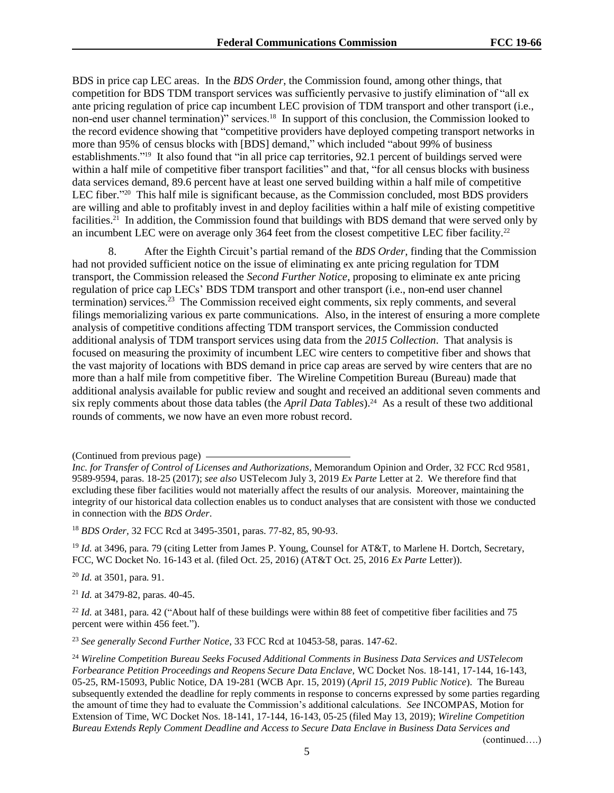BDS in price cap LEC areas. In the *BDS Order*, the Commission found, among other things, that competition for BDS TDM transport services was sufficiently pervasive to justify elimination of "all ex ante pricing regulation of price cap incumbent LEC provision of TDM transport and other transport (i.e., non-end user channel termination)" services.<sup>18</sup> In support of this conclusion, the Commission looked to the record evidence showing that "competitive providers have deployed competing transport networks in more than 95% of census blocks with [BDS] demand," which included "about 99% of business establishments."<sup>19</sup> It also found that "in all price cap territories, 92.1 percent of buildings served were within a half mile of competitive fiber transport facilities" and that, "for all census blocks with business data services demand, 89.6 percent have at least one served building within a half mile of competitive LEC fiber."<sup>20</sup> This half mile is significant because, as the Commission concluded, most BDS providers are willing and able to profitably invest in and deploy facilities within a half mile of existing competitive facilities.<sup>21</sup> In addition, the Commission found that buildings with BDS demand that were served only by an incumbent LEC were on average only 364 feet from the closest competitive LEC fiber facility.<sup>22</sup>

8. After the Eighth Circuit's partial remand of the *BDS Order*, finding that the Commission had not provided sufficient notice on the issue of eliminating ex ante pricing regulation for TDM transport, the Commission released the *Second Further Notice*, proposing to eliminate ex ante pricing regulation of price cap LECs' BDS TDM transport and other transport (i.e., non-end user channel termination) services.<sup>23</sup> The Commission received eight comments, six reply comments, and several filings memorializing various ex parte communications. Also, in the interest of ensuring a more complete analysis of competitive conditions affecting TDM transport services, the Commission conducted additional analysis of TDM transport services using data from the *2015 Collection*. That analysis is focused on measuring the proximity of incumbent LEC wire centers to competitive fiber and shows that the vast majority of locations with BDS demand in price cap areas are served by wire centers that are no more than a half mile from competitive fiber. The Wireline Competition Bureau (Bureau) made that additional analysis available for public review and sought and received an additional seven comments and six reply comments about those data tables (the *April Data Tables*).<sup>24</sup> As a result of these two additional rounds of comments, we now have an even more robust record.

<sup>18</sup> *BDS Order,* 32 FCC Rcd at 3495-3501, paras. 77-82, 85, 90-93.

<sup>19</sup> *Id.* at 3496, para. 79 (citing Letter from James P. Young, Counsel for AT&T, to Marlene H. Dortch, Secretary, FCC, WC Docket No. 16-143 et al. (filed Oct. 25, 2016) (AT&T Oct. 25, 2016 *Ex Parte* Letter)).

<sup>20</sup> *Id.* at 3501, para. 91.

<sup>21</sup> *Id.* at 3479-82, paras. 40-45.

<sup>22</sup> *Id.* at 3481, para. 42 ("About half of these buildings were within 88 feet of competitive fiber facilities and 75 percent were within 456 feet.").

<sup>23</sup> *See generally Second Further Notice*, 33 FCC Rcd at 10453-58, paras. 147-62.

<sup>(</sup>Continued from previous page)

*Inc. for Transfer of Control of Licenses and Authorizations*, Memorandum Opinion and Order, 32 FCC Rcd 9581, 9589-9594, paras. 18-25 (2017); *see also* USTelecom July 3, 2019 *Ex Parte* Letter at 2. We therefore find that excluding these fiber facilities would not materially affect the results of our analysis. Moreover, maintaining the integrity of our historical data collection enables us to conduct analyses that are consistent with those we conducted in connection with the *BDS Order*.

<sup>24</sup> *Wireline Competition Bureau Seeks Focused Additional Comments in Business Data Services and USTelecom Forbearance Petition Proceedings and Reopens Secure Data Enclave,* WC Docket Nos. 18-141, 17-144, 16-143, 05-25, RM-15093, Public Notice, DA 19-281 (WCB Apr. 15, 2019) (*April 15, 2019 Public Notice*). The Bureau subsequently extended the deadline for reply comments in response to concerns expressed by some parties regarding the amount of time they had to evaluate the Commission's additional calculations. *See* INCOMPAS, Motion for Extension of Time, WC Docket Nos. 18-141, 17-144, 16-143, 05-25 (filed May 13, 2019); *Wireline Competition Bureau Extends Reply Comment Deadline and Access to Secure Data Enclave in Business Data Services and*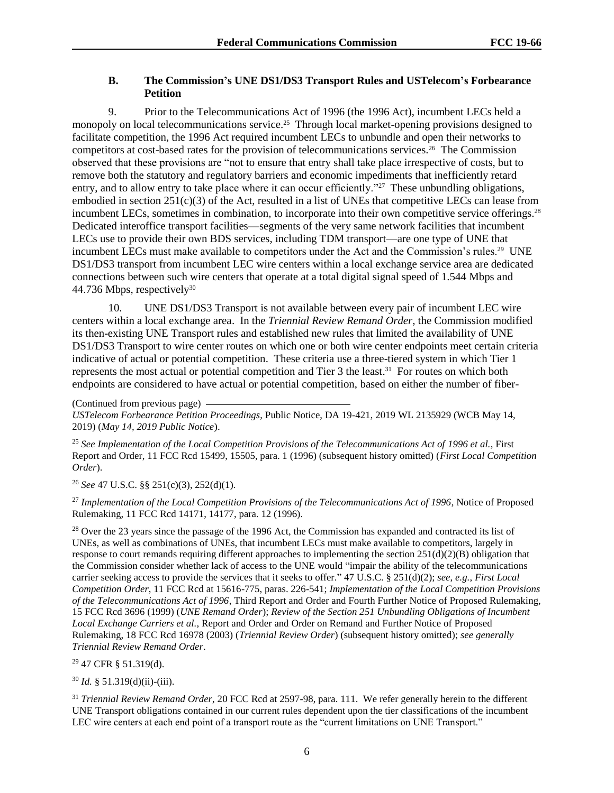# **B. The Commission's UNE DS1/DS3 Transport Rules and USTelecom's Forbearance Petition**

9. Prior to the Telecommunications Act of 1996 (the 1996 Act), incumbent LECs held a monopoly on local telecommunications service.<sup>25</sup> Through local market-opening provisions designed to facilitate competition, the 1996 Act required incumbent LECs to unbundle and open their networks to competitors at cost-based rates for the provision of telecommunications services.<sup>26</sup> The Commission observed that these provisions are "not to ensure that entry shall take place irrespective of costs, but to remove both the statutory and regulatory barriers and economic impediments that inefficiently retard entry, and to allow entry to take place where it can occur efficiently."<sup>27</sup> These unbundling obligations, embodied in section  $251(c)(3)$  of the Act, resulted in a list of UNEs that competitive LECs can lease from incumbent LECs, sometimes in combination, to incorporate into their own competitive service offerings.<sup>28</sup> Dedicated interoffice transport facilities—segments of the very same network facilities that incumbent LECs use to provide their own BDS services, including TDM transport—are one type of UNE that incumbent LECs must make available to competitors under the Act and the Commission's rules.<sup>29</sup> UNE DS1/DS3 transport from incumbent LEC wire centers within a local exchange service area are dedicated connections between such wire centers that operate at a total digital signal speed of 1.544 Mbps and 44.736 Mbps, respectively<sup>30</sup>

10. UNE DS1/DS3 Transport is not available between every pair of incumbent LEC wire centers within a local exchange area. In the *Triennial Review Remand Order*, the Commission modified its then-existing UNE Transport rules and established new rules that limited the availability of UNE DS1/DS3 Transport to wire center routes on which one or both wire center endpoints meet certain criteria indicative of actual or potential competition. These criteria use a three-tiered system in which Tier 1 represents the most actual or potential competition and Tier 3 the least. 31 For routes on which both endpoints are considered to have actual or potential competition, based on either the number of fiber-

(Continued from previous page) *USTelecom Forbearance Petition Proceedings*, Public Notice, DA 19-421, 2019 WL 2135929 (WCB May 14, 2019) (*May 14, 2019 Public Notice*).

<sup>25</sup> *See Implementation of the Local Competition Provisions of the Telecommunications Act of 1996 et al.*, First Report and Order, 11 FCC Rcd 15499, 15505, para. 1 (1996) (subsequent history omitted) (*First Local Competition Order*).

<sup>26</sup> *See* 47 U.S.C. §§ 251(c)(3), 252(d)(1).

<sup>27</sup> *Implementation of the Local Competition Provisions of the Telecommunications Act of 1996*, Notice of Proposed Rulemaking, 11 FCC Rcd 14171, 14177, para. 12 (1996)*.*

<sup>28</sup> Over the 23 years since the passage of the 1996 Act, the Commission has expanded and contracted its list of UNEs, as well as combinations of UNEs, that incumbent LECs must make available to competitors, largely in response to court remands requiring different approaches to implementing the section  $251(d)(2)(B)$  obligation that the Commission consider whether lack of access to the UNE would "impair the ability of the telecommunications carrier seeking access to provide the services that it seeks to offer." 47 U.S.C. § 251(d)(2); *see*, *e.g.*, *First Local Competition Order*, 11 FCC Rcd at 15616-775, paras. 226-541; *Implementation of the Local Competition Provisions of the Telecommunications Act of 1996*, Third Report and Order and Fourth Further Notice of Proposed Rulemaking, 15 FCC Rcd 3696 (1999) (*UNE Remand Order*); *Review of the Section 251 Unbundling Obligations of Incumbent Local Exchange Carriers et al.*, Report and Order and Order on Remand and Further Notice of Proposed Rulemaking, 18 FCC Rcd 16978 (2003) (*Triennial Review Order*) (subsequent history omitted); *see generally Triennial Review Remand Order*.

<sup>29</sup> 47 CFR § 51.319(d).

<sup>30</sup> *Id.* § 51.319(d)(ii)-(iii).

<sup>31</sup> *Triennial Review Remand Order*, 20 FCC Rcd at 2597-98, para. 111. We refer generally herein to the different UNE Transport obligations contained in our current rules dependent upon the tier classifications of the incumbent LEC wire centers at each end point of a transport route as the "current limitations on UNE Transport."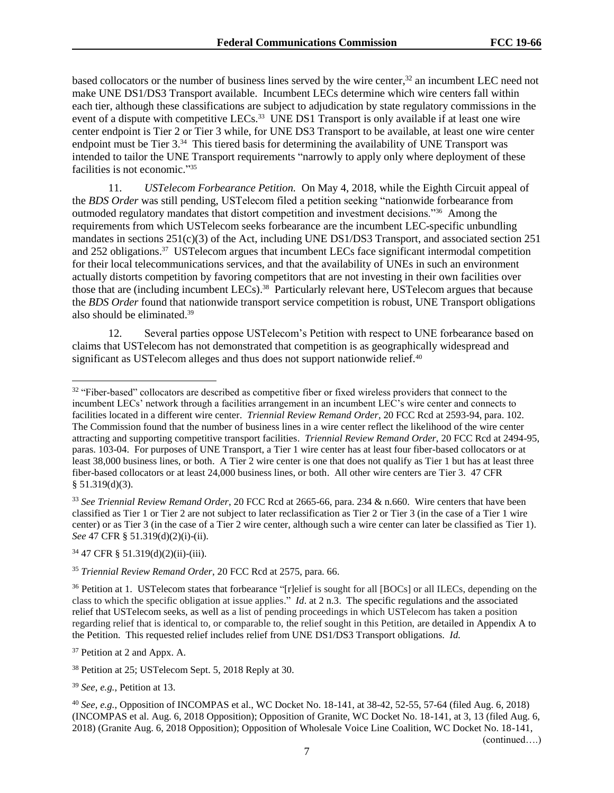based collocators or the number of business lines served by the wire center, $32$  an incumbent LEC need not make UNE DS1/DS3 Transport available. Incumbent LECs determine which wire centers fall within each tier, although these classifications are subject to adjudication by state regulatory commissions in the event of a dispute with competitive LECs.<sup>33</sup> UNE DS1 Transport is only available if at least one wire center endpoint is Tier 2 or Tier 3 while, for UNE DS3 Transport to be available, at least one wire center endpoint must be Tier 3.<sup>34</sup> This tiered basis for determining the availability of UNE Transport was intended to tailor the UNE Transport requirements "narrowly to apply only where deployment of these facilities is not economic." 35

11. *USTelecom Forbearance Petition.* On May 4, 2018, while the Eighth Circuit appeal of the *BDS Order* was still pending, USTelecom filed a petition seeking "nationwide forbearance from outmoded regulatory mandates that distort competition and investment decisions."<sup>36</sup> Among the requirements from which USTelecom seeks forbearance are the incumbent LEC-specific unbundling mandates in sections 251(c)(3) of the Act, including UNE DS1/DS3 Transport, and associated section 251 and 252 obligations.<sup>37</sup> USTelecom argues that incumbent LECs face significant intermodal competition for their local telecommunications services, and that the availability of UNEs in such an environment actually distorts competition by favoring competitors that are not investing in their own facilities over those that are (including incumbent LECs).<sup>38</sup> Particularly relevant here, USTelecom argues that because the *BDS Order* found that nationwide transport service competition is robust, UNE Transport obligations also should be eliminated.<sup>39</sup>

12. Several parties oppose USTelecom's Petition with respect to UNE forbearance based on claims that USTelecom has not demonstrated that competition is as geographically widespread and significant as USTelecom alleges and thus does not support nationwide relief.<sup>40</sup>

<sup>34</sup> 47 CFR § 51.319(d)(2)(ii)-(iii).

l

<sup>37</sup> Petition at 2 and Appx. A.

<sup>38</sup> Petition at 25; USTelecom Sept. 5, 2018 Reply at 30.

<sup>39</sup> *See*, *e.g.*, Petition at 13.

<sup>40</sup> *See, e.g.*, Opposition of INCOMPAS et al., WC Docket No. 18-141, at 38-42, 52-55, 57-64 (filed Aug. 6, 2018) (INCOMPAS et al. Aug. 6, 2018 Opposition); Opposition of Granite, WC Docket No. 18-141, at 3, 13 (filed Aug. 6, 2018) (Granite Aug. 6, 2018 Opposition); Opposition of Wholesale Voice Line Coalition, WC Docket No. 18-141,

<sup>&</sup>lt;sup>32</sup> "Fiber-based" collocators are described as competitive fiber or fixed wireless providers that connect to the incumbent LECs' network through a facilities arrangement in an incumbent LEC's wire center and connects to facilities located in a different wire center. *Triennial Review Remand Order*, 20 FCC Rcd at 2593-94, para. 102. The Commission found that the number of business lines in a wire center reflect the likelihood of the wire center attracting and supporting competitive transport facilities. *Triennial Review Remand Order*, 20 FCC Rcd at 2494-95, paras. 103-04. For purposes of UNE Transport, a Tier 1 wire center has at least four fiber-based collocators or at least 38,000 business lines, or both. A Tier 2 wire center is one that does not qualify as Tier 1 but has at least three fiber-based collocators or at least 24,000 business lines, or both. All other wire centers are Tier 3. 47 CFR § 51.319(d)(3).

<sup>33</sup> *See Triennial Review Remand Order*, 20 FCC Rcd at 2665-66, para. 234 & n.660. Wire centers that have been classified as Tier 1 or Tier 2 are not subject to later reclassification as Tier 2 or Tier 3 (in the case of a Tier 1 wire center) or as Tier 3 (in the case of a Tier 2 wire center, although such a wire center can later be classified as Tier 1). *See* 47 CFR § 51.319(d)(2)(i)-(ii).

<sup>35</sup> *Triennial Review Remand Order*, 20 FCC Rcd at 2575, para. 66.

<sup>&</sup>lt;sup>36</sup> Petition at 1. USTelecom states that forbearance "[r]elief is sought for all [BOCs] or all ILECs, depending on the class to which the specific obligation at issue applies." *Id*. at 2 n.3. The specific regulations and the associated relief that USTelecom seeks, as well as a list of pending proceedings in which USTelecom has taken a position regarding relief that is identical to, or comparable to, the relief sought in this Petition, are detailed in Appendix A to the Petition. This requested relief includes relief from UNE DS1/DS3 Transport obligations. *Id.*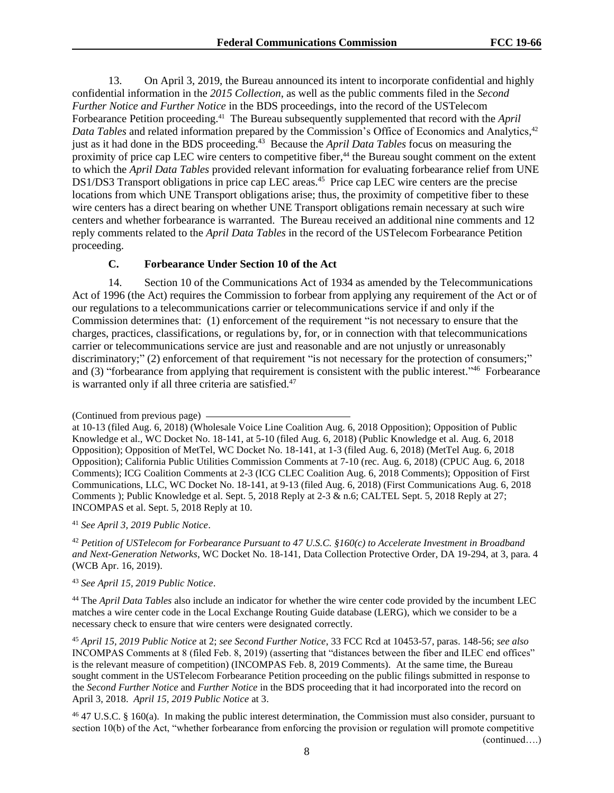13. On April 3, 2019, the Bureau announced its intent to incorporate confidential and highly confidential information in the *2015 Collection*, as well as the public comments filed in the *Second Further Notice and Further Notice* in the BDS proceedings, into the record of the USTelecom Forbearance Petition proceeding. 41 The Bureau subsequently supplemented that record with the *April*  Data Tables and related information prepared by the Commission's Office of Economics and Analytics,<sup>42</sup> just as it had done in the BDS proceeding. 43 Because the *April Data Tables* focus on measuring the proximity of price cap LEC wire centers to competitive fiber,<sup>44</sup> the Bureau sought comment on the extent to which the *April Data Tables* provided relevant information for evaluating forbearance relief from UNE DS1/DS3 Transport obligations in price cap LEC areas.<sup>45</sup> Price cap LEC wire centers are the precise locations from which UNE Transport obligations arise; thus, the proximity of competitive fiber to these wire centers has a direct bearing on whether UNE Transport obligations remain necessary at such wire centers and whether forbearance is warranted. The Bureau received an additional nine comments and 12 reply comments related to the *April Data Tables* in the record of the USTelecom Forbearance Petition proceeding.

# **C. Forbearance Under Section 10 of the Act**

14. Section 10 of the Communications Act of 1934 as amended by the Telecommunications Act of 1996 (the Act) requires the Commission to forbear from applying any requirement of the Act or of our regulations to a telecommunications carrier or telecommunications service if and only if the Commission determines that: (1) enforcement of the requirement "is not necessary to ensure that the charges, practices, classifications, or regulations by, for, or in connection with that telecommunications carrier or telecommunications service are just and reasonable and are not unjustly or unreasonably discriminatory;" (2) enforcement of that requirement "is not necessary for the protection of consumers;" and (3) "forbearance from applying that requirement is consistent with the public interest."<sup>46</sup> Forbearance is warranted only if all three criteria are satisfied.<sup>47</sup>

<sup>41</sup> *See April 3, 2019 Public Notice*.

<sup>42</sup> *Petition of USTelecom for Forbearance Pursuant to 47 U.S.C. §160(c) to Accelerate Investment in Broadband and Next-Generation Networks*, WC Docket No. 18-141, Data Collection Protective Order, DA 19-294, at 3, para. 4 (WCB Apr. 16, 2019).

<sup>43</sup> *See April 15, 2019 Public Notice*.

<sup>44</sup> The *April Data Tables* also include an indicator for whether the wire center code provided by the incumbent LEC matches a wire center code in the Local Exchange Routing Guide database (LERG), which we consider to be a necessary check to ensure that wire centers were designated correctly.

<sup>45</sup> *April 15, 2019 Public Notice* at 2; *see Second Further Notice*, 33 FCC Rcd at 10453-57, paras. 148-56; *see also* INCOMPAS Comments at 8 (filed Feb. 8, 2019) (asserting that "distances between the fiber and ILEC end offices" is the relevant measure of competition) (INCOMPAS Feb. 8, 2019 Comments). At the same time, the Bureau sought comment in the USTelecom Forbearance Petition proceeding on the public filings submitted in response to the *Second Further Notice* and *Further Notice* in the BDS proceeding that it had incorporated into the record on April 3, 2018. *April 15, 2019 Public Notice* at 3.

<sup>46</sup> 47 U.S.C. § 160(a). In making the public interest determination, the Commission must also consider, pursuant to section 10(b) of the Act, "whether forbearance from enforcing the provision or regulation will promote competitive

<sup>(</sup>Continued from previous page)

at 10-13 (filed Aug. 6, 2018) (Wholesale Voice Line Coalition Aug. 6, 2018 Opposition); Opposition of Public Knowledge et al., WC Docket No. 18-141, at 5-10 (filed Aug. 6, 2018) (Public Knowledge et al. Aug. 6, 2018 Opposition); Opposition of MetTel, WC Docket No. 18-141, at 1-3 (filed Aug. 6, 2018) (MetTel Aug. 6, 2018 Opposition); California Public Utilities Commission Comments at 7-10 (rec. Aug. 6, 2018) (CPUC Aug. 6, 2018 Comments); ICG Coalition Comments at 2-3 (ICG CLEC Coalition Aug. 6, 2018 Comments); Opposition of First Communications, LLC, WC Docket No. 18-141, at 9-13 (filed Aug. 6, 2018) (First Communications Aug. 6, 2018 Comments ); Public Knowledge et al. Sept. 5, 2018 Reply at 2-3 & n.6; CALTEL Sept. 5, 2018 Reply at 27; INCOMPAS et al. Sept. 5, 2018 Reply at 10.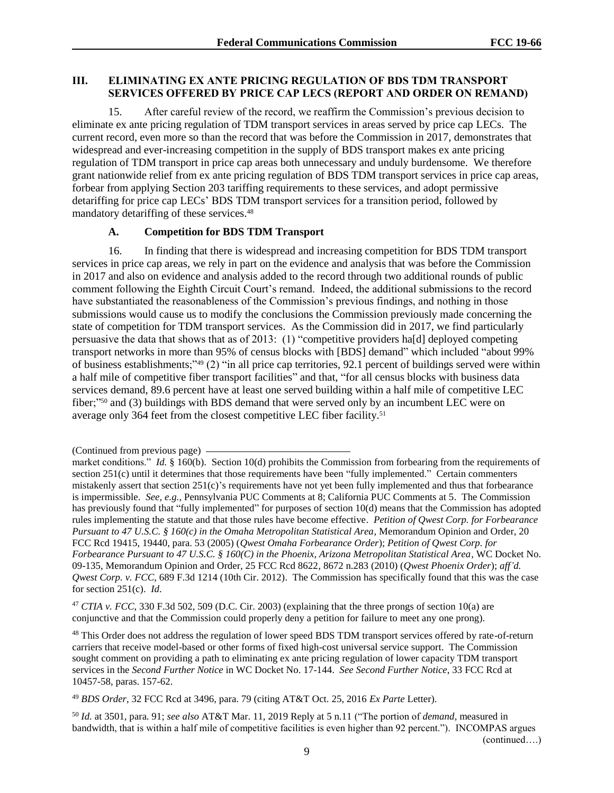# **III. ELIMINATING EX ANTE PRICING REGULATION OF BDS TDM TRANSPORT SERVICES OFFERED BY PRICE CAP LECS (REPORT AND ORDER ON REMAND)**

15. After careful review of the record, we reaffirm the Commission's previous decision to eliminate ex ante pricing regulation of TDM transport services in areas served by price cap LECs. The current record, even more so than the record that was before the Commission in 2017, demonstrates that widespread and ever-increasing competition in the supply of BDS transport makes ex ante pricing regulation of TDM transport in price cap areas both unnecessary and unduly burdensome. We therefore grant nationwide relief from ex ante pricing regulation of BDS TDM transport services in price cap areas, forbear from applying Section 203 tariffing requirements to these services, and adopt permissive detariffing for price cap LECs' BDS TDM transport services for a transition period, followed by mandatory detariffing of these services.<sup>48</sup>

## **A. Competition for BDS TDM Transport**

16. In finding that there is widespread and increasing competition for BDS TDM transport services in price cap areas, we rely in part on the evidence and analysis that was before the Commission in 2017 and also on evidence and analysis added to the record through two additional rounds of public comment following the Eighth Circuit Court's remand. Indeed, the additional submissions to the record have substantiated the reasonableness of the Commission's previous findings, and nothing in those submissions would cause us to modify the conclusions the Commission previously made concerning the state of competition for TDM transport services. As the Commission did in 2017, we find particularly persuasive the data that shows that as of 2013: (1) "competitive providers ha[d] deployed competing transport networks in more than 95% of census blocks with [BDS] demand" which included "about 99% of business establishments;"<sup>49</sup> (2) "in all price cap territories, 92.1 percent of buildings served were within a half mile of competitive fiber transport facilities" and that, "for all census blocks with business data services demand, 89.6 percent have at least one served building within a half mile of competitive LEC fiber;"<sup>50</sup> and (3) buildings with BDS demand that were served only by an incumbent LEC were on average only 364 feet from the closest competitive LEC fiber facility.<sup>51</sup>

<sup>47</sup> *CTIA v. FCC*, 330 F.3d 502, 509 (D.C. Cir. 2003) (explaining that the three prongs of section 10(a) are conjunctive and that the Commission could properly deny a petition for failure to meet any one prong).

<sup>48</sup> This Order does not address the regulation of lower speed BDS TDM transport services offered by rate-of-return carriers that receive model-based or other forms of fixed high-cost universal service support. The Commission sought comment on providing a path to eliminating ex ante pricing regulation of lower capacity TDM transport services in the *Second Further Notice* in WC Docket No. 17-144. *See Second Further Notice*, 33 FCC Rcd at 10457-58, paras. 157-62.

<sup>49</sup> *BDS Order*, 32 FCC Rcd at 3496, para. 79 (citing AT&T Oct. 25, 2016 *Ex Parte* Letter).

<sup>50</sup> *Id.* at 3501, para. 91; *see also* AT&T Mar. 11, 2019 Reply at 5 n.11 ("The portion of *demand*, measured in bandwidth, that is within a half mile of competitive facilities is even higher than 92 percent."). INCOMPAS argues

<sup>(</sup>Continued from previous page)

market conditions." *Id.* § 160(b). Section 10(d) prohibits the Commission from forbearing from the requirements of section 251(c) until it determines that those requirements have been "fully implemented." Certain commenters mistakenly assert that section 251(c)'s requirements have not yet been fully implemented and thus that forbearance is impermissible. *See, e.g.*, Pennsylvania PUC Comments at 8; California PUC Comments at 5. The Commission has previously found that "fully implemented" for purposes of section 10(d) means that the Commission has adopted rules implementing the statute and that those rules have become effective. *Petition of Qwest Corp. for Forbearance Pursuant to 47 U.S.C. § 160(c) in the Omaha Metropolitan Statistical Area*, Memorandum Opinion and Order, 20 FCC Rcd 19415, 19440, para. 53 (2005) (*Qwest Omaha Forbearance Order*); *Petition of Qwest Corp. for Forbearance Pursuant to 47 U.S.C. § 160(C) in the Phoenix, Arizona Metropolitan Statistical Area*, WC Docket No. 09-135, Memorandum Opinion and Order, 25 FCC Rcd 8622, 8672 n.283 (2010) (*Qwest Phoenix Order*); *aff'd. Qwest Corp. v. FCC*, 689 F.3d 1214 (10th Cir. 2012). The Commission has specifically found that this was the case for section 251(c). *Id*.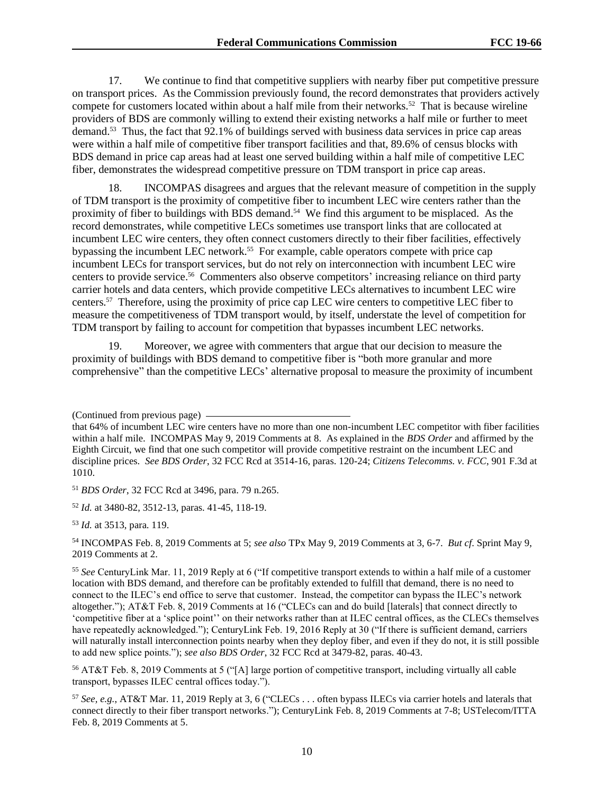17. We continue to find that competitive suppliers with nearby fiber put competitive pressure on transport prices. As the Commission previously found, the record demonstrates that providers actively compete for customers located within about a half mile from their networks.<sup>52</sup> That is because wireline providers of BDS are commonly willing to extend their existing networks a half mile or further to meet demand.<sup>53</sup> Thus, the fact that 92.1% of buildings served with business data services in price cap areas were within a half mile of competitive fiber transport facilities and that, 89.6% of census blocks with BDS demand in price cap areas had at least one served building within a half mile of competitive LEC fiber, demonstrates the widespread competitive pressure on TDM transport in price cap areas.

18. INCOMPAS disagrees and argues that the relevant measure of competition in the supply of TDM transport is the proximity of competitive fiber to incumbent LEC wire centers rather than the proximity of fiber to buildings with BDS demand.<sup>54</sup> We find this argument to be misplaced. As the record demonstrates, while competitive LECs sometimes use transport links that are collocated at incumbent LEC wire centers, they often connect customers directly to their fiber facilities, effectively bypassing the incumbent LEC network.<sup>55</sup> For example, cable operators compete with price cap incumbent LECs for transport services, but do not rely on interconnection with incumbent LEC wire centers to provide service. 56 Commenters also observe competitors' increasing reliance on third party carrier hotels and data centers, which provide competitive LECs alternatives to incumbent LEC wire centers. 57 Therefore, using the proximity of price cap LEC wire centers to competitive LEC fiber to measure the competitiveness of TDM transport would, by itself, understate the level of competition for TDM transport by failing to account for competition that bypasses incumbent LEC networks.

19. Moreover, we agree with commenters that argue that our decision to measure the proximity of buildings with BDS demand to competitive fiber is "both more granular and more comprehensive" than the competitive LECs' alternative proposal to measure the proximity of incumbent

<sup>51</sup> *BDS Order*, 32 FCC Rcd at 3496, para. 79 n.265.

<sup>52</sup> *Id.* at 3480-82, 3512-13, paras. 41-45, 118-19.

<sup>53</sup> *Id.* at 3513, para. 119.

<sup>54</sup> INCOMPAS Feb. 8, 2019 Comments at 5; *see also* TPx May 9, 2019 Comments at 3, 6-7. *But cf*. Sprint May 9, 2019 Comments at 2.

<sup>(</sup>Continued from previous page)

that 64% of incumbent LEC wire centers have no more than one non-incumbent LEC competitor with fiber facilities within a half mile. INCOMPAS May 9, 2019 Comments at 8. As explained in the *BDS Order* and affirmed by the Eighth Circuit, we find that one such competitor will provide competitive restraint on the incumbent LEC and discipline prices. *See BDS Order*, 32 FCC Rcd at 3514-16, paras. 120-24; *Citizens Telecomms. v. FCC*, 901 F.3d at 1010.

<sup>55</sup> *See* CenturyLink Mar. 11, 2019 Reply at 6 ("If competitive transport extends to within a half mile of a customer location with BDS demand, and therefore can be profitably extended to fulfill that demand, there is no need to connect to the ILEC's end office to serve that customer. Instead, the competitor can bypass the ILEC's network altogether."); AT&T Feb. 8, 2019 Comments at 16 ("CLECs can and do build [laterals] that connect directly to 'competitive fiber at a 'splice point'' on their networks rather than at ILEC central offices, as the CLECs themselves have repeatedly acknowledged."); CenturyLink Feb. 19, 2016 Reply at 30 ("If there is sufficient demand, carriers will naturally install interconnection points nearby when they deploy fiber, and even if they do not, it is still possible to add new splice points."); *see also BDS Order*, 32 FCC Rcd at 3479-82, paras. 40-43.

<sup>56</sup> AT&T Feb. 8, 2019 Comments at 5 ("[A] large portion of competitive transport, including virtually all cable transport, bypasses ILEC central offices today.").

<sup>57</sup> *See, e.g.*, AT&T Mar. 11, 2019 Reply at 3, 6 ("CLECs . . . often bypass ILECs via carrier hotels and laterals that connect directly to their fiber transport networks."); CenturyLink Feb. 8, 2019 Comments at 7-8; USTelecom/ITTA Feb. 8, 2019 Comments at 5.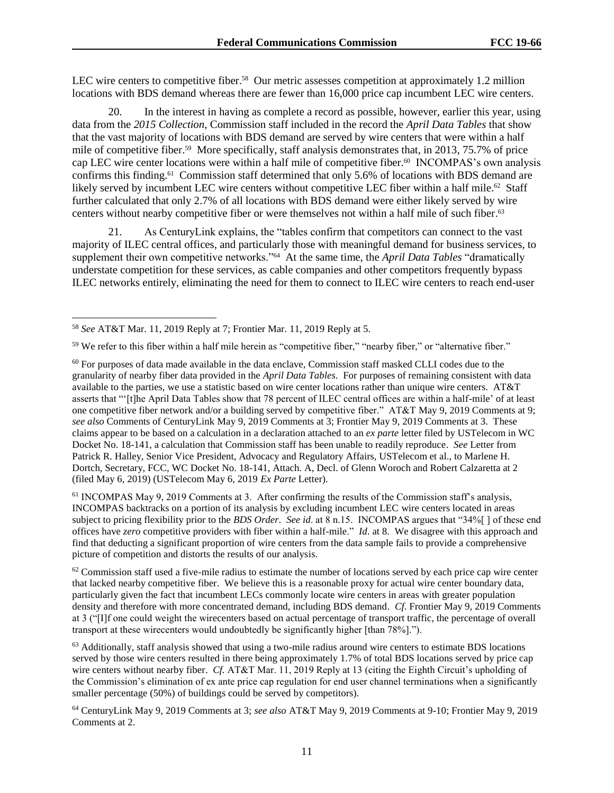LEC wire centers to competitive fiber.<sup>58</sup> Our metric assesses competition at approximately 1.2 million locations with BDS demand whereas there are fewer than 16,000 price cap incumbent LEC wire centers.

20. In the interest in having as complete a record as possible, however, earlier this year, using data from the *2015 Collection*, Commission staff included in the record the *April Data Tables* that show that the vast majority of locations with BDS demand are served by wire centers that were within a half mile of competitive fiber.<sup>59</sup> More specifically, staff analysis demonstrates that, in 2013, 75.7% of price cap LEC wire center locations were within a half mile of competitive fiber.<sup>60</sup> INCOMPAS's own analysis confirms this finding.<sup>61</sup> Commission staff determined that only 5.6% of locations with BDS demand are likely served by incumbent LEC wire centers without competitive LEC fiber within a half mile.<sup>62</sup> Staff further calculated that only 2.7% of all locations with BDS demand were either likely served by wire centers without nearby competitive fiber or were themselves not within a half mile of such fiber. 63

21. As CenturyLink explains, the "tables confirm that competitors can connect to the vast majority of ILEC central offices, and particularly those with meaningful demand for business services, to supplement their own competitive networks."<sup>64</sup> At the same time, the *April Data Tables* "dramatically understate competition for these services, as cable companies and other competitors frequently bypass ILEC networks entirely, eliminating the need for them to connect to ILEC wire centers to reach end-user

l

<sup>61</sup> INCOMPAS May 9, 2019 Comments at 3. After confirming the results of the Commission staff's analysis, INCOMPAS backtracks on a portion of its analysis by excluding incumbent LEC wire centers located in areas subject to pricing flexibility prior to the *BDS Order*. *See id*. at 8 n.15. INCOMPAS argues that "34%[ ] of these end offices have *zero* competitive providers with fiber within a half-mile." *Id*. at 8. We disagree with this approach and find that deducting a significant proportion of wire centers from the data sample fails to provide a comprehensive picture of competition and distorts the results of our analysis.

 $62$  Commission staff used a five-mile radius to estimate the number of locations served by each price cap wire center that lacked nearby competitive fiber. We believe this is a reasonable proxy for actual wire center boundary data, particularly given the fact that incumbent LECs commonly locate wire centers in areas with greater population density and therefore with more concentrated demand, including BDS demand. *Cf*. Frontier May 9, 2019 Comments at 3 ("[I]f one could weight the wirecenters based on actual percentage of transport traffic, the percentage of overall transport at these wirecenters would undoubtedly be significantly higher [than 78%].").

<sup>63</sup> Additionally, staff analysis showed that using a two-mile radius around wire centers to estimate BDS locations served by those wire centers resulted in there being approximately 1.7% of total BDS locations served by price cap wire centers without nearby fiber. *Cf.* AT&T Mar. 11, 2019 Reply at 13 (citing the Eighth Circuit's upholding of the Commission's elimination of ex ante price cap regulation for end user channel terminations when a significantly smaller percentage (50%) of buildings could be served by competitors).

<sup>58</sup> *See* AT&T Mar. 11, 2019 Reply at 7; Frontier Mar. 11, 2019 Reply at 5.

<sup>59</sup> We refer to this fiber within a half mile herein as "competitive fiber," "nearby fiber," or "alternative fiber."

<sup>&</sup>lt;sup>60</sup> For purposes of data made available in the data enclave, Commission staff masked CLLI codes due to the granularity of nearby fiber data provided in the *April Data Tables*. For purposes of remaining consistent with data available to the parties, we use a statistic based on wire center locations rather than unique wire centers. AT&T asserts that "'[t]he April Data Tables show that 78 percent of ILEC central offices are within a half-mile' of at least one competitive fiber network and/or a building served by competitive fiber." AT&T May 9, 2019 Comments at 9; *see also* Comments of CenturyLink May 9, 2019 Comments at 3; Frontier May 9, 2019 Comments at 3. These claims appear to be based on a calculation in a declaration attached to an *ex parte* letter filed by USTelecom in WC Docket No. 18-141, a calculation that Commission staff has been unable to readily reproduce. *See* Letter from Patrick R. Halley, Senior Vice President, Advocacy and Regulatory Affairs, USTelecom et al., to Marlene H. Dortch, Secretary, FCC, WC Docket No. 18-141, Attach. A, Decl. of Glenn Woroch and Robert Calzaretta at 2 (filed May 6, 2019) (USTelecom May 6, 2019 *Ex Parte* Letter).

<sup>64</sup> CenturyLink May 9, 2019 Comments at 3; *see also* AT&T May 9, 2019 Comments at 9-10; Frontier May 9, 2019 Comments at 2.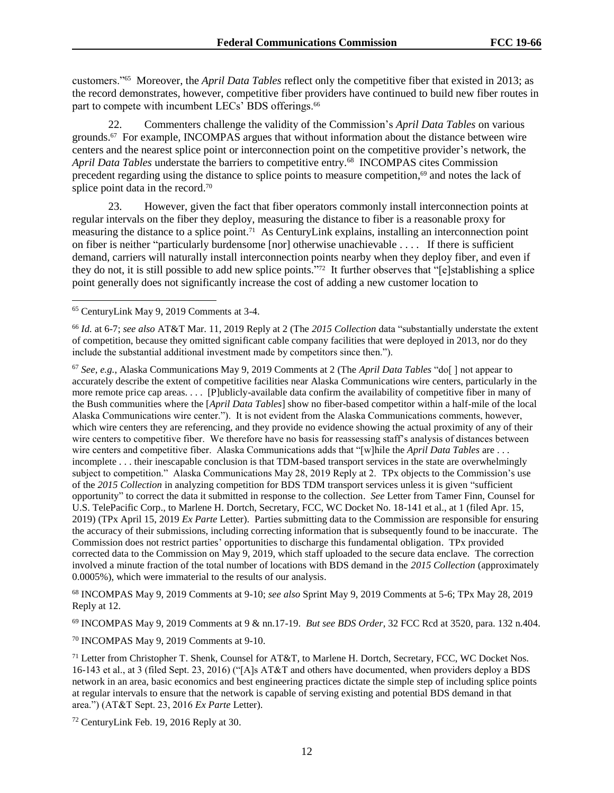customers."<sup>65</sup> Moreover, the *April Data Tables* reflect only the competitive fiber that existed in 2013; as the record demonstrates, however, competitive fiber providers have continued to build new fiber routes in part to compete with incumbent LECs' BDS offerings.<sup>66</sup>

22. Commenters challenge the validity of the Commission's *April Data Tables* on various grounds. $67$  For example, INCOMPAS argues that without information about the distance between wire centers and the nearest splice point or interconnection point on the competitive provider's network, the April Data Tables understate the barriers to competitive entry.<sup>68</sup> INCOMPAS cites Commission precedent regarding using the distance to splice points to measure competition,<sup>69</sup> and notes the lack of splice point data in the record.<sup>70</sup>

23. However, given the fact that fiber operators commonly install interconnection points at regular intervals on the fiber they deploy, measuring the distance to fiber is a reasonable proxy for measuring the distance to a splice point.<sup>71</sup> As CenturyLink explains, installing an interconnection point on fiber is neither "particularly burdensome [nor] otherwise unachievable . . . . If there is sufficient demand, carriers will naturally install interconnection points nearby when they deploy fiber, and even if they do not, it is still possible to add new splice points." <sup>72</sup> It further observes that "[e]stablishing a splice point generally does not significantly increase the cost of adding a new customer location to

l

<sup>66</sup> *Id.* at 6-7; *see also* AT&T Mar. 11, 2019 Reply at 2 (The *2015 Collection* data "substantially understate the extent of competition, because they omitted significant cable company facilities that were deployed in 2013, nor do they include the substantial additional investment made by competitors since then.").

<sup>67</sup> *See, e.g.*, Alaska Communications May 9, 2019 Comments at 2 (The *April Data Tables* "do[ ] not appear to accurately describe the extent of competitive facilities near Alaska Communications wire centers, particularly in the more remote price cap areas. . . . [P]ublicly-available data confirm the availability of competitive fiber in many of the Bush communities where the [*April Data Tables*] show no fiber-based competitor within a half-mile of the local Alaska Communications wire center."). It is not evident from the Alaska Communications comments, however, which wire centers they are referencing, and they provide no evidence showing the actual proximity of any of their wire centers to competitive fiber. We therefore have no basis for reassessing staff's analysis of distances between wire centers and competitive fiber. Alaska Communications adds that "[w]hile the *April Data Tables* are . . . incomplete . . . their inescapable conclusion is that TDM-based transport services in the state are overwhelmingly subject to competition." Alaska Communications May 28, 2019 Reply at 2. TPx objects to the Commission's use of the *2015 Collection* in analyzing competition for BDS TDM transport services unless it is given "sufficient opportunity" to correct the data it submitted in response to the collection. *See* Letter from Tamer Finn, Counsel for U.S. TelePacific Corp., to Marlene H. Dortch, Secretary, FCC, WC Docket No. 18-141 et al., at 1 (filed Apr. 15, 2019) (TPx April 15, 2019 *Ex Parte* Letter). Parties submitting data to the Commission are responsible for ensuring the accuracy of their submissions, including correcting information that is subsequently found to be inaccurate. The Commission does not restrict parties' opportunities to discharge this fundamental obligation. TPx provided corrected data to the Commission on May 9, 2019, which staff uploaded to the secure data enclave. The correction involved a minute fraction of the total number of locations with BDS demand in the *2015 Collection* (approximately 0.0005%), which were immaterial to the results of our analysis.

<sup>68</sup> INCOMPAS May 9, 2019 Comments at 9-10; *see also* Sprint May 9, 2019 Comments at 5-6; TPx May 28, 2019 Reply at 12.

<sup>69</sup> INCOMPAS May 9, 2019 Comments at 9 & nn.17-19. *But see BDS Order*, 32 FCC Rcd at 3520, para. 132 n.404.

<sup>70</sup> INCOMPAS May 9, 2019 Comments at 9-10.

 $71$  Letter from Christopher T. Shenk, Counsel for AT&T, to Marlene H. Dortch, Secretary, FCC, WC Docket Nos. 16-143 et al., at 3 (filed Sept. 23, 2016) ("[A]s AT&T and others have documented, when providers deploy a BDS network in an area, basic economics and best engineering practices dictate the simple step of including splice points at regular intervals to ensure that the network is capable of serving existing and potential BDS demand in that area.") (AT&T Sept. 23, 2016 *Ex Parte* Letter).

<sup>72</sup> CenturyLink Feb. 19, 2016 Reply at 30.

<sup>65</sup> CenturyLink May 9, 2019 Comments at 3-4.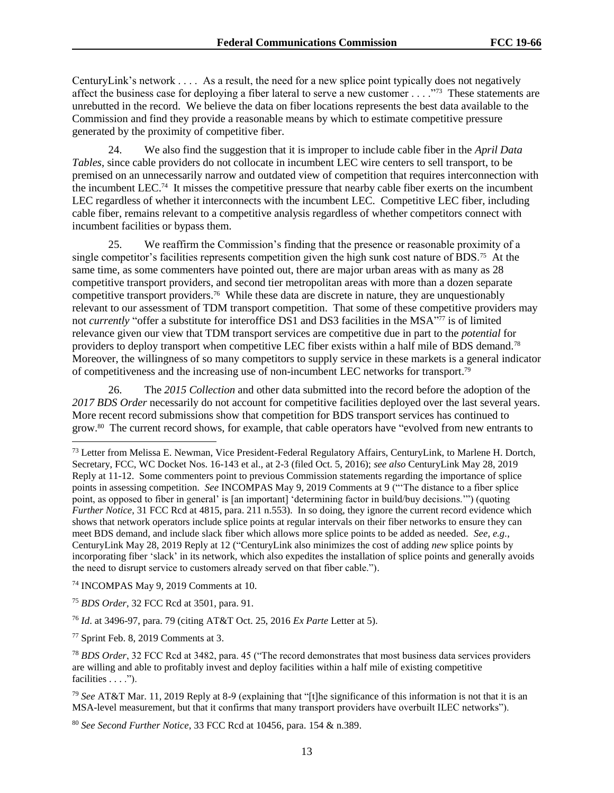CenturyLink's network . . . . As a result, the need for a new splice point typically does not negatively affect the business case for deploying a fiber lateral to serve a new customer . . . . . . 73 These statements are unrebutted in the record. We believe the data on fiber locations represents the best data available to the Commission and find they provide a reasonable means by which to estimate competitive pressure generated by the proximity of competitive fiber.

24. We also find the suggestion that it is improper to include cable fiber in the *April Data Tables*, since cable providers do not collocate in incumbent LEC wire centers to sell transport, to be premised on an unnecessarily narrow and outdated view of competition that requires interconnection with the incumbent LEC.<sup>74</sup> It misses the competitive pressure that nearby cable fiber exerts on the incumbent LEC regardless of whether it interconnects with the incumbent LEC. Competitive LEC fiber, including cable fiber, remains relevant to a competitive analysis regardless of whether competitors connect with incumbent facilities or bypass them.

25. We reaffirm the Commission's finding that the presence or reasonable proximity of a single competitor's facilities represents competition given the high sunk cost nature of BDS.<sup>75</sup> At the same time, as some commenters have pointed out, there are major urban areas with as many as 28 competitive transport providers, and second tier metropolitan areas with more than a dozen separate competitive transport providers.<sup>76</sup> While these data are discrete in nature, they are unquestionably relevant to our assessment of TDM transport competition. That some of these competitive providers may not *currently* "offer a substitute for interoffice DS1 and DS3 facilities in the MSA"<sup>77</sup> is of limited relevance given our view that TDM transport services are competitive due in part to the *potential* for providers to deploy transport when competitive LEC fiber exists within a half mile of BDS demand.<sup>78</sup> Moreover, the willingness of so many competitors to supply service in these markets is a general indicator of competitiveness and the increasing use of non-incumbent LEC networks for transport.<sup>79</sup>

26. The *2015 Collection* and other data submitted into the record before the adoption of the *2017 BDS Order* necessarily do not account for competitive facilities deployed over the last several years. More recent record submissions show that competition for BDS transport services has continued to grow.<sup>80</sup> The current record shows, for example, that cable operators have "evolved from new entrants to

<sup>75</sup> *BDS Order*, 32 FCC Rcd at 3501, para. 91.

<sup>76</sup> *Id*. at 3496-97, para. 79 (citing AT&T Oct. 25, 2016 *Ex Parte* Letter at 5).

<sup>77</sup> Sprint Feb. 8, 2019 Comments at 3.

 $\overline{\phantom{a}}$ 

<sup>80</sup> *See Second Further Notice*, 33 FCC Rcd at 10456, para. 154 & n.389.

<sup>73</sup> Letter from Melissa E. Newman, Vice President-Federal Regulatory Affairs, CenturyLink, to Marlene H. Dortch, Secretary, FCC, WC Docket Nos. 16-143 et al., at 2-3 (filed Oct. 5, 2016); *see also* CenturyLink May 28, 2019 Reply at 11-12. Some commenters point to previous Commission statements regarding the importance of splice points in assessing competition. *See* INCOMPAS May 9, 2019 Comments at 9 ("'The distance to a fiber splice point, as opposed to fiber in general' is [an important] 'determining factor in build/buy decisions.'") (quoting *Further Notice*, 31 FCC Rcd at 4815, para. 211 n.553). In so doing, they ignore the current record evidence which shows that network operators include splice points at regular intervals on their fiber networks to ensure they can meet BDS demand, and include slack fiber which allows more splice points to be added as needed. *See, e.g.*, CenturyLink May 28, 2019 Reply at 12 ("CenturyLink also minimizes the cost of adding *new* splice points by incorporating fiber 'slack' in its network, which also expedites the installation of splice points and generally avoids the need to disrupt service to customers already served on that fiber cable.").

<sup>74</sup> INCOMPAS May 9, 2019 Comments at 10.

<sup>78</sup> *BDS Order*, 32 FCC Rcd at 3482, para. 45 ("The record demonstrates that most business data services providers are willing and able to profitably invest and deploy facilities within a half mile of existing competitive facilities . . . .").

<sup>79</sup> *See* AT&T Mar. 11, 2019 Reply at 8-9 (explaining that "[t]he significance of this information is not that it is an MSA-level measurement, but that it confirms that many transport providers have overbuilt ILEC networks").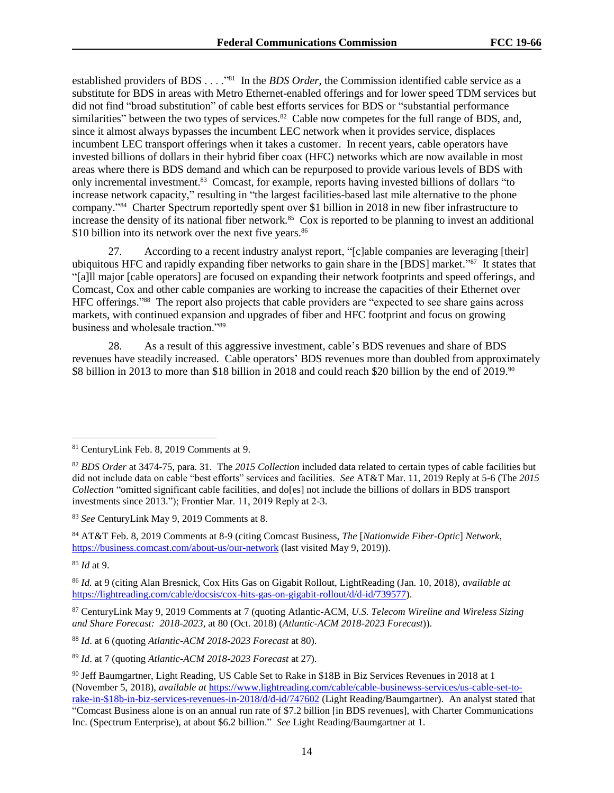established providers of BDS . . . .<sup>"81</sup> In the *BDS Order*, the Commission identified cable service as a substitute for BDS in areas with Metro Ethernet-enabled offerings and for lower speed TDM services but did not find "broad substitution" of cable best efforts services for BDS or "substantial performance similarities" between the two types of services.<sup>82</sup> Cable now competes for the full range of BDS, and, since it almost always bypasses the incumbent LEC network when it provides service, displaces incumbent LEC transport offerings when it takes a customer. In recent years, cable operators have invested billions of dollars in their hybrid fiber coax (HFC) networks which are now available in most areas where there is BDS demand and which can be repurposed to provide various levels of BDS with only incremental investment.<sup>83</sup> Comcast, for example, reports having invested billions of dollars "to increase network capacity," resulting in "the largest facilities-based last mile alternative to the phone company." 84 Charter Spectrum reportedly spent over \$1 billion in 2018 in new fiber infrastructure to increase the density of its national fiber network.<sup>85</sup> Cox is reported to be planning to invest an additional \$10 billion into its network over the next five years.<sup>86</sup>

27. According to a recent industry analyst report, "[c]able companies are leveraging [their] ubiquitous HFC and rapidly expanding fiber networks to gain share in the [BDS] market."<sup>87</sup> It states that "[a]ll major [cable operators] are focused on expanding their network footprints and speed offerings, and Comcast, Cox and other cable companies are working to increase the capacities of their Ethernet over HFC offerings." 88 The report also projects that cable providers are "expected to see share gains across markets, with continued expansion and upgrades of fiber and HFC footprint and focus on growing business and wholesale traction."<sup>89</sup>

28. As a result of this aggressive investment, cable's BDS revenues and share of BDS revenues have steadily increased. Cable operators' BDS revenues more than doubled from approximately \$8 billion in 2013 to more than \$18 billion in 2018 and could reach \$20 billion by the end of 2019.<sup>90</sup>

<sup>85</sup> *Id* at 9.

l

<sup>81</sup> CenturyLink Feb. 8, 2019 Comments at 9.

<sup>82</sup> *BDS Order* at 3474-75, para. 31. The *2015 Collection* included data related to certain types of cable facilities but did not include data on cable "best efforts" services and facilities. *See* AT&T Mar. 11, 2019 Reply at 5-6 (The *2015 Collection* "omitted significant cable facilities, and do[es] not include the billions of dollars in BDS transport investments since 2013."); Frontier Mar. 11, 2019 Reply at 2-3.

<sup>83</sup> *See* CenturyLink May 9, 2019 Comments at 8.

<sup>84</sup> AT&T Feb. 8, 2019 Comments at 8-9 (citing Comcast Business, *The* [*Nationwide Fiber-Optic*] *Network*, <https://business.comcast.com/about-us/our-network> (last visited May 9, 2019)).

<sup>86</sup> *Id.* at 9 (citing Alan Bresnick, Cox Hits Gas on Gigabit Rollout, LightReading (Jan. 10, 2018), *available at* [https://lightreading.com/cable/docsis/cox-hits-gas-on-gigabit-rollout/d/d-id/739577\)](https://lightreading.com/cable/docsis/cox-hits-gas-on-gigabit-rollout/d/d-id/739577).

<sup>87</sup> CenturyLink May 9, 2019 Comments at 7 (quoting Atlantic-ACM, *U.S. Telecom Wireline and Wireless Sizing and Share Forecast: 2018-2023*, at 80 (Oct. 2018) (*Atlantic-ACM 2018-2023 Forecast*)).

<sup>88</sup> *Id*. at 6 (quoting *Atlantic-ACM 2018-2023 Forecast* at 80).

<sup>89</sup> *Id*. at 7 (quoting *Atlantic-ACM 2018-2023 Forecast* at 27).

<sup>90</sup> Jeff Baumgartner, Light Reading, US Cable Set to Rake in \$18B in Biz Services Revenues in 2018 at 1 (November 5, 2018), *available at* [https://www.lightreading.com/cable/cable-businewss-services/us-cable-set-to](https://www.lightreading.com/cable/cable-businewss-services/us-cable-set-to-rake-in-$18b-in-biz-services-revenues-in-2018/d/d-id/747602)[rake-in-\\$18b-in-biz-services-revenues-in-2018/d/d-id/747602](https://www.lightreading.com/cable/cable-businewss-services/us-cable-set-to-rake-in-$18b-in-biz-services-revenues-in-2018/d/d-id/747602) (Light Reading/Baumgartner). An analyst stated that

<sup>&</sup>quot;Comcast Business alone is on an annual run rate of \$7.2 billion [in BDS revenues], with Charter Communications Inc. (Spectrum Enterprise), at about \$6.2 billion." *See* Light Reading/Baumgartner at 1.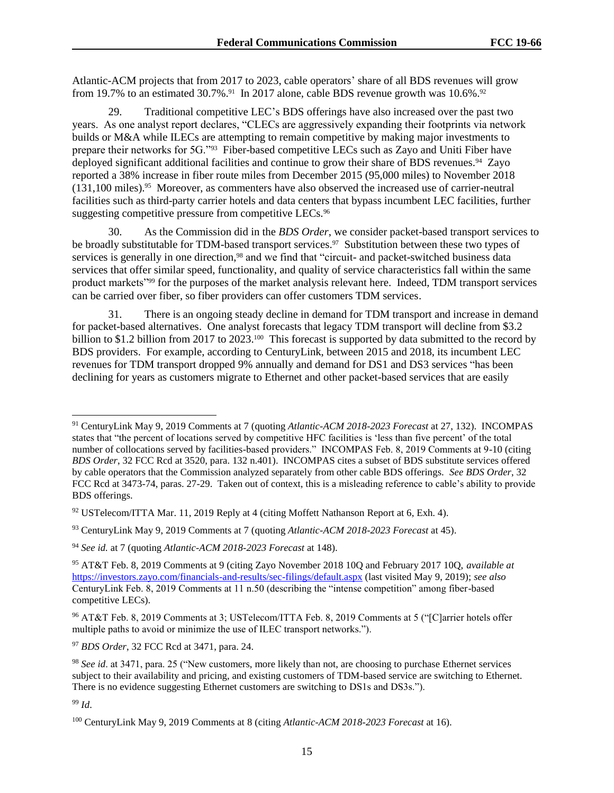Atlantic-ACM projects that from 2017 to 2023, cable operators' share of all BDS revenues will grow from 19.7% to an estimated  $30.7\%$ .<sup>91</sup> In 2017 alone, cable BDS revenue growth was 10.6%.<sup>92</sup>

29. Traditional competitive LEC's BDS offerings have also increased over the past two years. As one analyst report declares, "CLECs are aggressively expanding their footprints via network builds or M&A while ILECs are attempting to remain competitive by making major investments to prepare their networks for 5G."<sup>93</sup> Fiber-based competitive LECs such as Zayo and Uniti Fiber have deployed significant additional facilities and continue to grow their share of BDS revenues.<sup>94</sup> Zayo reported a 38% increase in fiber route miles from December 2015 (95,000 miles) to November 2018 (131,100 miles).<sup>95</sup> Moreover, as commenters have also observed the increased use of carrier-neutral facilities such as third-party carrier hotels and data centers that bypass incumbent LEC facilities, further suggesting competitive pressure from competitive LECs.<sup>96</sup>

30. As the Commission did in the *BDS Order*, we consider packet-based transport services to be broadly substitutable for TDM-based transport services.<sup>97</sup> Substitution between these two types of services is generally in one direction,<sup>98</sup> and we find that "circuit- and packet-switched business data services that offer similar speed, functionality, and quality of service characteristics fall within the same product markets"<sup>99</sup> for the purposes of the market analysis relevant here. Indeed, TDM transport services can be carried over fiber, so fiber providers can offer customers TDM services.

31. There is an ongoing steady decline in demand for TDM transport and increase in demand for packet-based alternatives. One analyst forecasts that legacy TDM transport will decline from \$3.2 billion to \$1.2 billion from 2017 to 2023.<sup>100</sup> This forecast is supported by data submitted to the record by BDS providers. For example, according to CenturyLink, between 2015 and 2018, its incumbent LEC revenues for TDM transport dropped 9% annually and demand for DS1 and DS3 services "has been declining for years as customers migrate to Ethernet and other packet-based services that are easily

<sup>97</sup> *BDS Order*, 32 FCC Rcd at 3471, para. 24.

 $\overline{\phantom{a}}$ 

<sup>91</sup> CenturyLink May 9, 2019 Comments at 7 (quoting *Atlantic-ACM 2018-2023 Forecast* at 27, 132). INCOMPAS states that "the percent of locations served by competitive HFC facilities is 'less than five percent' of the total number of collocations served by facilities-based providers." INCOMPAS Feb. 8, 2019 Comments at 9-10 (citing *BDS Order*, 32 FCC Rcd at 3520, para. 132 n.401). INCOMPAS cites a subset of BDS substitute services offered by cable operators that the Commission analyzed separately from other cable BDS offerings. *See BDS Order*, 32 FCC Rcd at 3473-74, paras. 27-29. Taken out of context, this is a misleading reference to cable's ability to provide BDS offerings.

 $92$  USTelecom/ITTA Mar. 11, 2019 Reply at 4 (citing Moffett Nathanson Report at 6, Exh. 4).

<sup>93</sup> CenturyLink May 9, 2019 Comments at 7 (quoting *Atlantic-ACM 2018-2023 Forecast* at 45).

<sup>94</sup> *See id.* at 7 (quoting *Atlantic-ACM 2018-2023 Forecast* at 148).

<sup>95</sup> AT&T Feb. 8, 2019 Comments at 9 (citing Zayo November 2018 10Q and February 2017 10Q, *available at* <https://investors.zayo.com/financials-and-results/sec-filings/default.aspx> (last visited May 9, 2019); *see also* CenturyLink Feb. 8, 2019 Comments at 11 n.50 (describing the "intense competition" among fiber-based competitive LECs).

<sup>96</sup> AT&T Feb. 8, 2019 Comments at 3; USTelecom/ITTA Feb. 8, 2019 Comments at 5 ("[C]arrier hotels offer multiple paths to avoid or minimize the use of ILEC transport networks.").

<sup>98</sup> *See id*. at 3471, para. 25 ("New customers, more likely than not, are choosing to purchase Ethernet services subject to their availability and pricing, and existing customers of TDM-based service are switching to Ethernet. There is no evidence suggesting Ethernet customers are switching to DS1s and DS3s.").

<sup>99</sup> *Id*.

<sup>100</sup> CenturyLink May 9, 2019 Comments at 8 (citing *Atlantic-ACM 2018-2023 Forecast* at 16).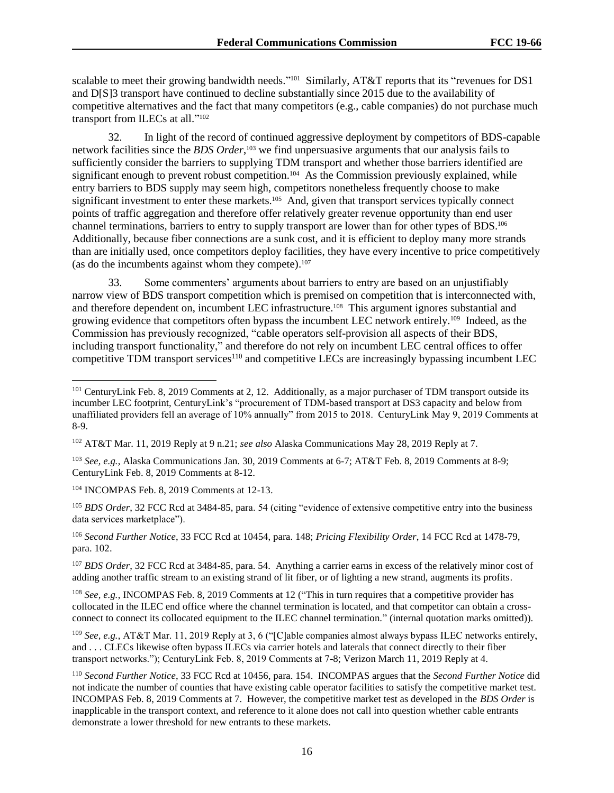scalable to meet their growing bandwidth needs."<sup>101</sup> Similarly, AT&T reports that its "revenues for DS1 and D[S]3 transport have continued to decline substantially since 2015 due to the availability of competitive alternatives and the fact that many competitors (e.g., cable companies) do not purchase much transport from ILECs at all."<sup>102</sup>

32. In light of the record of continued aggressive deployment by competitors of BDS-capable network facilities since the *BDS Order*, <sup>103</sup> we find unpersuasive arguments that our analysis fails to sufficiently consider the barriers to supplying TDM transport and whether those barriers identified are significant enough to prevent robust competition.<sup>104</sup> As the Commission previously explained, while entry barriers to BDS supply may seem high, competitors nonetheless frequently choose to make significant investment to enter these markets.<sup>105</sup> And, given that transport services typically connect points of traffic aggregation and therefore offer relatively greater revenue opportunity than end user channel terminations, barriers to entry to supply transport are lower than for other types of BDS.<sup>106</sup> Additionally, because fiber connections are a sunk cost, and it is efficient to deploy many more strands than are initially used, once competitors deploy facilities, they have every incentive to price competitively (as do the incumbents against whom they compete). 107

33. Some commenters' arguments about barriers to entry are based on an unjustifiably narrow view of BDS transport competition which is premised on competition that is interconnected with, and therefore dependent on, incumbent LEC infrastructure.<sup>108</sup> This argument ignores substantial and growing evidence that competitors often bypass the incumbent LEC network entirely.<sup>109</sup> Indeed, as the Commission has previously recognized, "cable operators self-provision all aspects of their BDS, including transport functionality," and therefore do not rely on incumbent LEC central offices to offer competitive TDM transport services<sup>110</sup> and competitive LECs are increasingly bypassing incumbent LEC

<sup>103</sup> *See, e.g.*, Alaska Communications Jan. 30, 2019 Comments at 6-7; AT&T Feb. 8, 2019 Comments at 8-9; CenturyLink Feb. 8, 2019 Comments at 8-12.

<sup>104</sup> INCOMPAS Feb. 8, 2019 Comments at 12-13.

 $\overline{a}$ 

<sup>105</sup> *BDS Order*, 32 FCC Rcd at 3484-85, para. 54 (citing "evidence of extensive competitive entry into the business data services marketplace").

<sup>106</sup> *Second Further Notice*, 33 FCC Rcd at 10454, para. 148; *Pricing Flexibility Order*, 14 FCC Rcd at 1478-79, para. 102.

<sup>107</sup> *BDS Order*, 32 FCC Rcd at 3484-85, para. 54. Anything a carrier earns in excess of the relatively minor cost of adding another traffic stream to an existing strand of lit fiber, or of lighting a new strand, augments its profits.

<sup>108</sup> *See, e.g.*, INCOMPAS Feb. 8, 2019 Comments at 12 ("This in turn requires that a competitive provider has collocated in the ILEC end office where the channel termination is located, and that competitor can obtain a crossconnect to connect its collocated equipment to the ILEC channel termination." (internal quotation marks omitted)).

<sup>109</sup> *See, e.g.*, AT&T Mar. 11, 2019 Reply at 3, 6 ("[C]able companies almost always bypass ILEC networks entirely, and . . . CLECs likewise often bypass ILECs via carrier hotels and laterals that connect directly to their fiber transport networks."); CenturyLink Feb. 8, 2019 Comments at 7-8; Verizon March 11, 2019 Reply at 4.

<sup>110</sup> *Second Further Notice*, 33 FCC Rcd at 10456, para. 154. INCOMPAS argues that the *Second Further Notice* did not indicate the number of counties that have existing cable operator facilities to satisfy the competitive market test. INCOMPAS Feb. 8, 2019 Comments at 7. However, the competitive market test as developed in the *BDS Order* is inapplicable in the transport context, and reference to it alone does not call into question whether cable entrants demonstrate a lower threshold for new entrants to these markets.

<sup>&</sup>lt;sup>101</sup> CenturyLink Feb. 8, 2019 Comments at 2, 12. Additionally, as a major purchaser of TDM transport outside its incumber LEC footprint, CenturyLink's "procurement of TDM-based transport at DS3 capacity and below from unaffiliated providers fell an average of 10% annually" from 2015 to 2018. CenturyLink May 9, 2019 Comments at 8-9.

<sup>102</sup> AT&T Mar. 11, 2019 Reply at 9 n.21; *see also* Alaska Communications May 28, 2019 Reply at 7.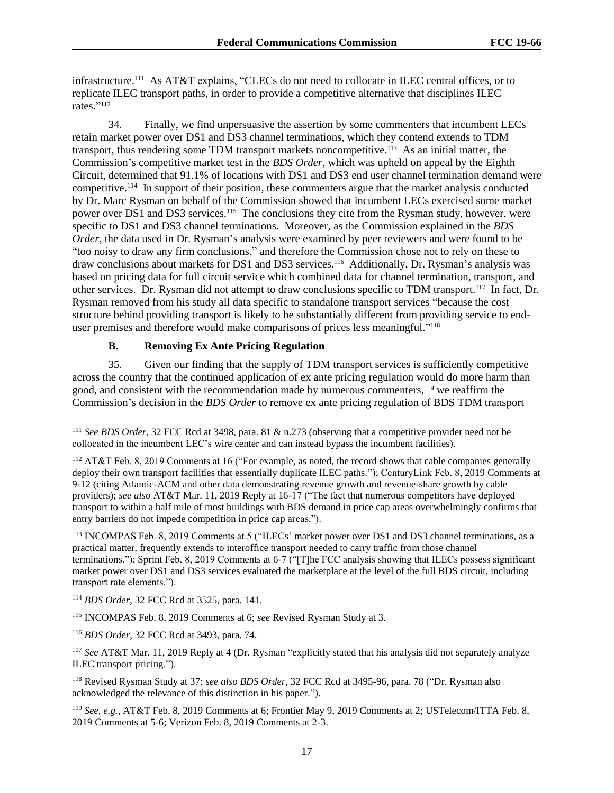infrastructure.<sup>111</sup> As AT&T explains, "CLECs do not need to collocate in ILEC central offices, or to replicate ILEC transport paths, in order to provide a competitive alternative that disciplines ILEC rates." 112

34. Finally, we find unpersuasive the assertion by some commenters that incumbent LECs retain market power over DS1 and DS3 channel terminations, which they contend extends to TDM transport, thus rendering some TDM transport markets noncompetitive.<sup>113</sup> As an initial matter, the Commission's competitive market test in the *BDS Order*, which was upheld on appeal by the Eighth Circuit, determined that 91.1% of locations with DS1 and DS3 end user channel termination demand were competitive.<sup>114</sup> In support of their position, these commenters argue that the market analysis conducted by Dr. Marc Rysman on behalf of the Commission showed that incumbent LECs exercised some market power over DS1 and DS3 services.<sup>115</sup> The conclusions they cite from the Rysman study, however, were specific to DS1 and DS3 channel terminations. Moreover, as the Commission explained in the *BDS Order*, the data used in Dr. Rysman's analysis were examined by peer reviewers and were found to be "too noisy to draw any firm conclusions," and therefore the Commission chose not to rely on these to draw conclusions about markets for DS1 and DS3 services.<sup>116</sup> Additionally, Dr. Rysman's analysis was based on pricing data for full circuit service which combined data for channel termination, transport, and other services. Dr. Rysman did not attempt to draw conclusions specific to TDM transport.<sup>117</sup> In fact, Dr. Rysman removed from his study all data specific to standalone transport services "because the cost structure behind providing transport is likely to be substantially different from providing service to enduser premises and therefore would make comparisons of prices less meaningful." 118

# **B. Removing Ex Ante Pricing Regulation**

35. Given our finding that the supply of TDM transport services is sufficiently competitive across the country that the continued application of ex ante pricing regulation would do more harm than good, and consistent with the recommendation made by numerous commenters,<sup>119</sup> we reaffirm the Commission's decision in the *BDS Order* to remove ex ante pricing regulation of BDS TDM transport

<sup>114</sup> *BDS Order*, 32 FCC Rcd at 3525, para. 141.

 $\overline{\phantom{a}}$ 

<sup>115</sup> INCOMPAS Feb. 8, 2019 Comments at 6; *see* Revised Rysman Study at 3.

<sup>116</sup> *BDS Order*, 32 FCC Rcd at 3493, para. 74.

<sup>111</sup> *See BDS Order*, 32 FCC Rcd at 3498, para. 81 & n.273 (observing that a competitive provider need not be collocated in the incumbent LEC's wire center and can instead bypass the incumbent facilities).

<sup>112</sup> AT&T Feb. 8, 2019 Comments at 16 ("For example, as noted, the record shows that cable companies generally deploy their own transport facilities that essentially duplicate ILEC paths."); CenturyLink Feb. 8, 2019 Comments at 9-12 (citing Atlantic-ACM and other data demonstrating revenue growth and revenue-share growth by cable providers); *see also* AT&T Mar. 11, 2019 Reply at 16-17 ("The fact that numerous competitors have deployed transport to within a half mile of most buildings with BDS demand in price cap areas overwhelmingly confirms that entry barriers do not impede competition in price cap areas.").

<sup>113</sup> INCOMPAS Feb. 8, 2019 Comments at 5 ("ILECs' market power over DS1 and DS3 channel terminations, as a practical matter, frequently extends to interoffice transport needed to carry traffic from those channel terminations."); Sprint Feb. 8, 2019 Comments at 6-7 ("[T]he FCC analysis showing that ILECs possess significant market power over DS1 and DS3 services evaluated the marketplace at the level of the full BDS circuit, including transport rate elements.").

<sup>117</sup> *See* AT&T Mar. 11, 2019 Reply at 4 (Dr. Rysman "explicitly stated that his analysis did not separately analyze ILEC transport pricing.").

<sup>118</sup> Revised Rysman Study at 37; *see also BDS Order*, 32 FCC Rcd at 3495-96, para. 78 ("Dr. Rysman also acknowledged the relevance of this distinction in his paper.").

<sup>119</sup> *See, e.g.*, AT&T Feb. 8, 2019 Comments at 6; Frontier May 9, 2019 Comments at 2; USTelecom/ITTA Feb. 8, 2019 Comments at 5-6; Verizon Feb. 8, 2019 Comments at 2-3.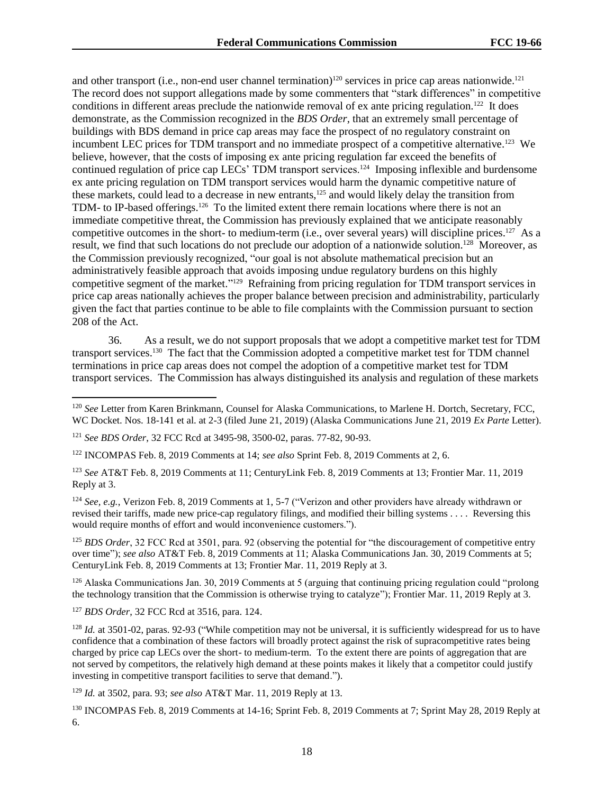and other transport (i.e., non-end user channel termination)<sup>120</sup> services in price cap areas nationwide.<sup>121</sup> The record does not support allegations made by some commenters that "stark differences" in competitive conditions in different areas preclude the nationwide removal of ex ante pricing regulation.<sup>122</sup> It does demonstrate, as the Commission recognized in the *BDS Order*, that an extremely small percentage of buildings with BDS demand in price cap areas may face the prospect of no regulatory constraint on incumbent LEC prices for TDM transport and no immediate prospect of a competitive alternative.<sup>123</sup> We believe, however, that the costs of imposing ex ante pricing regulation far exceed the benefits of continued regulation of price cap LECs' TDM transport services.<sup>124</sup> Imposing inflexible and burdensome ex ante pricing regulation on TDM transport services would harm the dynamic competitive nature of these markets, could lead to a decrease in new entrants,<sup>125</sup> and would likely delay the transition from TDM- to IP-based offerings.<sup>126</sup> To the limited extent there remain locations where there is not an immediate competitive threat, the Commission has previously explained that we anticipate reasonably competitive outcomes in the short- to medium-term (i.e., over several years) will discipline prices.<sup>127</sup> As a result, we find that such locations do not preclude our adoption of a nationwide solution.<sup>128</sup> Moreover, as the Commission previously recognized, "our goal is not absolute mathematical precision but an administratively feasible approach that avoids imposing undue regulatory burdens on this highly competitive segment of the market."<sup>129</sup> Refraining from pricing regulation for TDM transport services in price cap areas nationally achieves the proper balance between precision and administrability, particularly given the fact that parties continue to be able to file complaints with the Commission pursuant to section 208 of the Act.

36. As a result, we do not support proposals that we adopt a competitive market test for TDM transport services. <sup>130</sup> The fact that the Commission adopted a competitive market test for TDM channel terminations in price cap areas does not compel the adoption of a competitive market test for TDM transport services. The Commission has always distinguished its analysis and regulation of these markets

<sup>122</sup> INCOMPAS Feb. 8, 2019 Comments at 14; *see also* Sprint Feb. 8, 2019 Comments at 2, 6.

<sup>123</sup> *See* AT&T Feb. 8, 2019 Comments at 11; CenturyLink Feb. 8, 2019 Comments at 13; Frontier Mar. 11, 2019 Reply at 3.

<sup>124</sup> *See, e.g.*, Verizon Feb. 8, 2019 Comments at 1, 5-7 ("Verizon and other providers have already withdrawn or revised their tariffs, made new price-cap regulatory filings, and modified their billing systems . . . . Reversing this would require months of effort and would inconvenience customers.").

<sup>125</sup> *BDS Order*, 32 FCC Rcd at 3501, para. 92 (observing the potential for "the discouragement of competitive entry over time"); *see also* AT&T Feb. 8, 2019 Comments at 11; Alaska Communications Jan. 30, 2019 Comments at 5; CenturyLink Feb. 8, 2019 Comments at 13; Frontier Mar. 11, 2019 Reply at 3.

<sup>126</sup> Alaska Communications Jan. 30, 2019 Comments at 5 (arguing that continuing pricing regulation could "prolong the technology transition that the Commission is otherwise trying to catalyze"); Frontier Mar. 11, 2019 Reply at 3.

<sup>127</sup> *BDS Order*, 32 FCC Rcd at 3516, para. 124.

l

 $128$  *Id.* at 3501-02, paras. 92-93 ("While competition may not be universal, it is sufficiently widespread for us to have confidence that a combination of these factors will broadly protect against the risk of supracompetitive rates being charged by price cap LECs over the short- to medium-term. To the extent there are points of aggregation that are not served by competitors, the relatively high demand at these points makes it likely that a competitor could justify investing in competitive transport facilities to serve that demand.").

<sup>129</sup> *Id.* at 3502, para. 93; *see also* AT&T Mar. 11, 2019 Reply at 13.

<sup>130</sup> INCOMPAS Feb. 8, 2019 Comments at 14-16; Sprint Feb. 8, 2019 Comments at 7; Sprint May 28, 2019 Reply at 6.

<sup>120</sup> *See* Letter from Karen Brinkmann, Counsel for Alaska Communications, to Marlene H. Dortch, Secretary, FCC, WC Docket. Nos. 18-141 et al. at 2-3 (filed June 21, 2019) (Alaska Communications June 21, 2019 *Ex Parte* Letter).

<sup>121</sup> *See BDS Order*, 32 FCC Rcd at 3495-98, 3500-02, paras. 77-82, 90-93.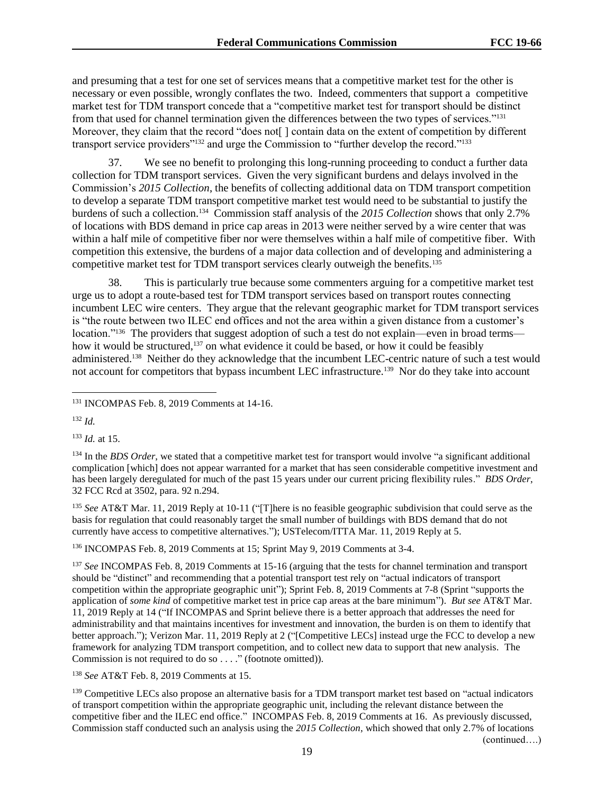and presuming that a test for one set of services means that a competitive market test for the other is necessary or even possible, wrongly conflates the two. Indeed, commenters that support a competitive market test for TDM transport concede that a "competitive market test for transport should be distinct from that used for channel termination given the differences between the two types of services."<sup>131</sup> Moreover, they claim that the record "does not [] contain data on the extent of competition by different transport service providers"<sup>132</sup> and urge the Commission to "further develop the record."<sup>133</sup>

37. We see no benefit to prolonging this long-running proceeding to conduct a further data collection for TDM transport services. Given the very significant burdens and delays involved in the Commission's *2015 Collection*, the benefits of collecting additional data on TDM transport competition to develop a separate TDM transport competitive market test would need to be substantial to justify the burdens of such a collection.<sup>134</sup> Commission staff analysis of the *2015 Collection* shows that only 2.7% of locations with BDS demand in price cap areas in 2013 were neither served by a wire center that was within a half mile of competitive fiber nor were themselves within a half mile of competitive fiber. With competition this extensive, the burdens of a major data collection and of developing and administering a competitive market test for TDM transport services clearly outweigh the benefits.<sup>135</sup>

38. This is particularly true because some commenters arguing for a competitive market test urge us to adopt a route-based test for TDM transport services based on transport routes connecting incumbent LEC wire centers. They argue that the relevant geographic market for TDM transport services is "the route between two ILEC end offices and not the area within a given distance from a customer's location."<sup>136</sup> The providers that suggest adoption of such a test do not explain—even in broad terms how it would be structured,<sup>137</sup> on what evidence it could be based, or how it could be feasibly administered.<sup>138</sup> Neither do they acknowledge that the incumbent LEC-centric nature of such a test would not account for competitors that bypass incumbent LEC infrastructure.<sup>139</sup> Nor do they take into account

<sup>132</sup> *Id.*

 $\overline{a}$ 

<sup>133</sup> *Id.* at 15.

<sup>134</sup> In the *BDS Order*, we stated that a competitive market test for transport would involve "a significant additional complication [which] does not appear warranted for a market that has seen considerable competitive investment and has been largely deregulated for much of the past 15 years under our current pricing flexibility rules." *BDS Order*, 32 FCC Rcd at 3502, para. 92 n.294.

<sup>135</sup> *See* AT&T Mar. 11, 2019 Reply at 10-11 ("[T]here is no feasible geographic subdivision that could serve as the basis for regulation that could reasonably target the small number of buildings with BDS demand that do not currently have access to competitive alternatives."); USTelecom/ITTA Mar. 11, 2019 Reply at 5.

<sup>136</sup> INCOMPAS Feb. 8, 2019 Comments at 15; Sprint May 9, 2019 Comments at 3-4.

<sup>137</sup> *See* INCOMPAS Feb. 8, 2019 Comments at 15-16 (arguing that the tests for channel termination and transport should be "distinct" and recommending that a potential transport test rely on "actual indicators of transport competition within the appropriate geographic unit"); Sprint Feb. 8, 2019 Comments at 7-8 (Sprint "supports the application of *some kind* of competitive market test in price cap areas at the bare minimum"). *But see* AT&T Mar. 11, 2019 Reply at 14 ("If INCOMPAS and Sprint believe there is a better approach that addresses the need for administrability and that maintains incentives for investment and innovation, the burden is on them to identify that better approach."); Verizon Mar. 11, 2019 Reply at 2 ("[Competitive LECs] instead urge the FCC to develop a new framework for analyzing TDM transport competition, and to collect new data to support that new analysis. The Commission is not required to do so . . . ." (footnote omitted)).

<sup>138</sup> *See* AT&T Feb. 8, 2019 Comments at 15.

<sup>139</sup> Competitive LECs also propose an alternative basis for a TDM transport market test based on "actual indicators of transport competition within the appropriate geographic unit, including the relevant distance between the competitive fiber and the ILEC end office." INCOMPAS Feb. 8, 2019 Comments at 16. As previously discussed, Commission staff conducted such an analysis using the *2015 Collection*, which showed that only 2.7% of locations

<sup>131</sup> INCOMPAS Feb. 8, 2019 Comments at 14-16.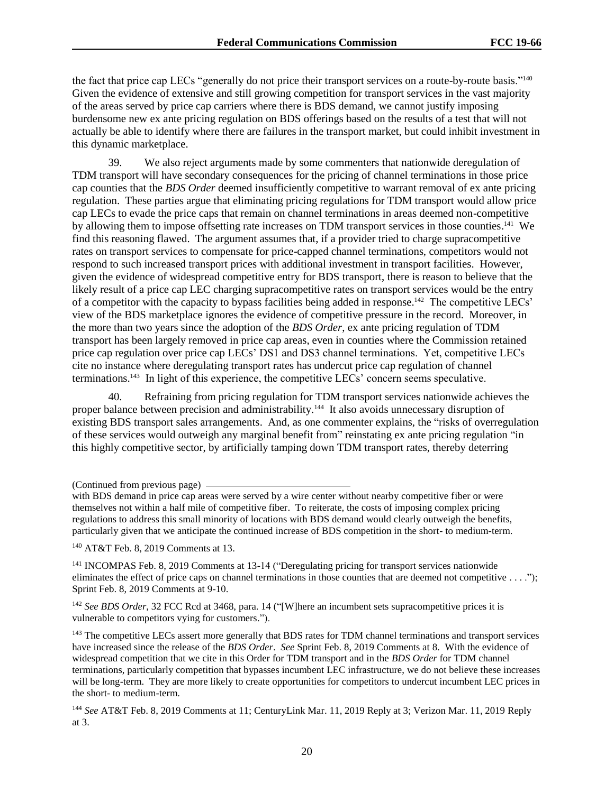the fact that price cap LECs "generally do not price their transport services on a route-by-route basis."<sup>140</sup> Given the evidence of extensive and still growing competition for transport services in the vast majority of the areas served by price cap carriers where there is BDS demand, we cannot justify imposing burdensome new ex ante pricing regulation on BDS offerings based on the results of a test that will not actually be able to identify where there are failures in the transport market, but could inhibit investment in this dynamic marketplace.

39. We also reject arguments made by some commenters that nationwide deregulation of TDM transport will have secondary consequences for the pricing of channel terminations in those price cap counties that the *BDS Order* deemed insufficiently competitive to warrant removal of ex ante pricing regulation. These parties argue that eliminating pricing regulations for TDM transport would allow price cap LECs to evade the price caps that remain on channel terminations in areas deemed non-competitive by allowing them to impose offsetting rate increases on TDM transport services in those counties.<sup>141</sup> We find this reasoning flawed. The argument assumes that, if a provider tried to charge supracompetitive rates on transport services to compensate for price-capped channel terminations, competitors would not respond to such increased transport prices with additional investment in transport facilities. However, given the evidence of widespread competitive entry for BDS transport, there is reason to believe that the likely result of a price cap LEC charging supracompetitive rates on transport services would be the entry of a competitor with the capacity to bypass facilities being added in response.<sup>142</sup> The competitive LECs' view of the BDS marketplace ignores the evidence of competitive pressure in the record. Moreover, in the more than two years since the adoption of the *BDS Order*, ex ante pricing regulation of TDM transport has been largely removed in price cap areas, even in counties where the Commission retained price cap regulation over price cap LECs' DS1 and DS3 channel terminations. Yet, competitive LECs cite no instance where deregulating transport rates has undercut price cap regulation of channel terminations.<sup>143</sup> In light of this experience, the competitive LECs' concern seems speculative.

40. Refraining from pricing regulation for TDM transport services nationwide achieves the proper balance between precision and administrability.<sup>144</sup> It also avoids unnecessary disruption of existing BDS transport sales arrangements. And, as one commenter explains, the "risks of overregulation of these services would outweigh any marginal benefit from" reinstating ex ante pricing regulation "in this highly competitive sector, by artificially tamping down TDM transport rates, thereby deterring

<sup>(</sup>Continued from previous page)

with BDS demand in price cap areas were served by a wire center without nearby competitive fiber or were themselves not within a half mile of competitive fiber. To reiterate, the costs of imposing complex pricing regulations to address this small minority of locations with BDS demand would clearly outweigh the benefits, particularly given that we anticipate the continued increase of BDS competition in the short- to medium-term.

<sup>140</sup> AT&T Feb. 8, 2019 Comments at 13.

<sup>141</sup> INCOMPAS Feb. 8, 2019 Comments at 13-14 ("Deregulating pricing for transport services nationwide eliminates the effect of price caps on channel terminations in those counties that are deemed not competitive . . . ."); Sprint Feb. 8, 2019 Comments at 9-10.

<sup>&</sup>lt;sup>142</sup> See BDS Order, 32 FCC Rcd at 3468, para. 14 ("[W]here an incumbent sets supracompetitive prices it is vulnerable to competitors vying for customers.").

<sup>&</sup>lt;sup>143</sup> The competitive LECs assert more generally that BDS rates for TDM channel terminations and transport services have increased since the release of the *BDS Order*. *See* Sprint Feb. 8, 2019 Comments at 8. With the evidence of widespread competition that we cite in this Order for TDM transport and in the *BDS Order* for TDM channel terminations, particularly competition that bypasses incumbent LEC infrastructure, we do not believe these increases will be long-term. They are more likely to create opportunities for competitors to undercut incumbent LEC prices in the short- to medium-term.

<sup>144</sup> *See* AT&T Feb. 8, 2019 Comments at 11; CenturyLink Mar. 11, 2019 Reply at 3; Verizon Mar. 11, 2019 Reply at 3.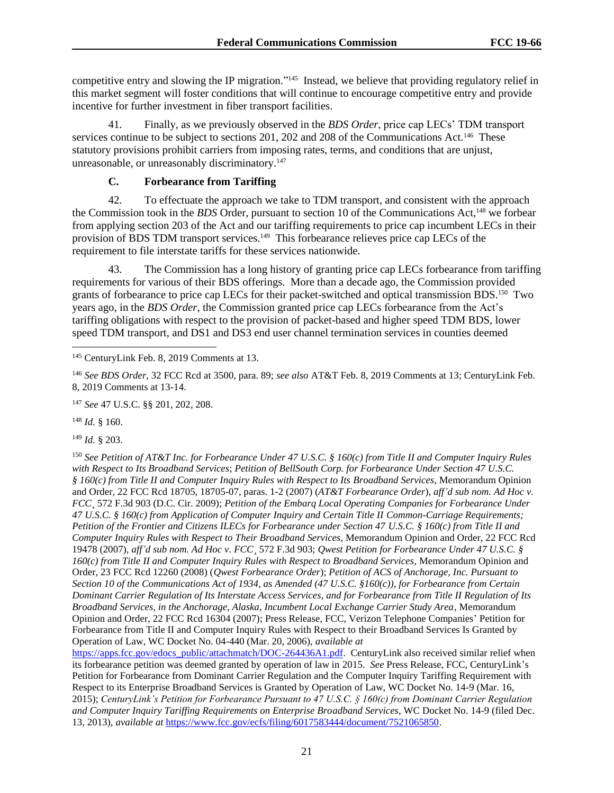competitive entry and slowing the IP migration."<sup>145</sup> Instead, we believe that providing regulatory relief in this market segment will foster conditions that will continue to encourage competitive entry and provide incentive for further investment in fiber transport facilities.

41. Finally, as we previously observed in the *BDS Order*, price cap LECs' TDM transport services continue to be subject to sections 201, 202 and 208 of the Communications Act.<sup>146</sup> These statutory provisions prohibit carriers from imposing rates, terms, and conditions that are unjust, unreasonable, or unreasonably discriminatory.<sup>147</sup>

# **C. Forbearance from Tariffing**

42. To effectuate the approach we take to TDM transport, and consistent with the approach the Commission took in the *BDS* Order, pursuant to section 10 of the Communications Act,<sup>148</sup> we forbear from applying section 203 of the Act and our tariffing requirements to price cap incumbent LECs in their provision of BDS TDM transport services.<sup>149</sup> This forbearance relieves price cap LECs of the requirement to file interstate tariffs for these services nationwide.

43. The Commission has a long history of granting price cap LECs forbearance from tariffing requirements for various of their BDS offerings. More than a decade ago, the Commission provided grants of forbearance to price cap LECs for their packet-switched and optical transmission BDS.<sup>150</sup> Two years ago, in the *BDS Order*, the Commission granted price cap LECs forbearance from the Act's tariffing obligations with respect to the provision of packet-based and higher speed TDM BDS, lower speed TDM transport, and DS1 and DS3 end user channel termination services in counties deemed

<sup>148</sup> *Id.* § 160.

<sup>149</sup> *Id.* § 203.

<sup>150</sup> *See Petition of AT&T Inc. for Forbearance Under 47 U.S.C. § 160(c) from Title II and Computer Inquiry Rules with Respect to Its Broadband Services*; *Petition of BellSouth Corp. for Forbearance Under Section 47 U.S.C. § 160(c) from Title II and Computer Inquiry Rules with Respect to Its Broadband Services*, Memorandum Opinion and Order, 22 FCC Rcd 18705, 18705-07, paras. 1-2 (2007) (*AT&T Forbearance Order*), *aff'd sub nom. Ad Hoc v. FCC*¸ 572 F.3d 903 (D.C. Cir. 2009); *Petition of the Embarq Local Operating Companies for Forbearance Under 47 U.S.C. § 160(c) from Application of Computer Inquiry and Certain Title II Common-Carriage Requirements; Petition of the Frontier and Citizens ILECs for Forbearance under Section 47 U.S.C. § 160(c) from Title II and Computer Inquiry Rules with Respect to Their Broadband Services*, Memorandum Opinion and Order, 22 FCC Rcd 19478 (2007), *aff'd sub nom. Ad Hoc v. FCC*¸ 572 F.3d 903; *Qwest Petition for Forbearance Under 47 U.S.C. § 160(c) from Title II and Computer Inquiry Rules with Respect to Broadband Services*, Memorandum Opinion and Order, 23 FCC Rcd 12260 (2008) (*Qwest Forbearance Order*); *Petition of ACS of Anchorage, Inc. Pursuant to Section 10 of the Communications Act of 1934, as Amended (47 U.S.C. §160(c)), for Forbearance from Certain Dominant Carrier Regulation of Its Interstate Access Services, and for Forbearance from Title II Regulation of Its Broadband Services, in the Anchorage, Alaska, Incumbent Local Exchange Carrier Study Area*, Memorandum Opinion and Order, 22 FCC Rcd 16304 (2007); Press Release, FCC, Verizon Telephone Companies' Petition for Forbearance from Title II and Computer Inquiry Rules with Respect to their Broadband Services Is Granted by Operation of Law, WC Docket No. 04-440 (Mar. 20, 2006), *available at* 

[https://apps.fcc.gov/edocs\\_public/attachmatch/DOC-264436A1.pdf.](https://apps.fcc.gov/edocs_public/attachmatch/DOC-264436A1.pdf) CenturyLink also received similar relief when its forbearance petition was deemed granted by operation of law in 2015. *See* Press Release, FCC, CenturyLink's Petition for Forbearance from Dominant Carrier Regulation and the Computer Inquiry Tariffing Requirement with Respect to its Enterprise Broadband Services is Granted by Operation of Law, WC Docket No. 14-9 (Mar. 16, 2015); *CenturyLink's Petition for Forbearance Pursuant to 47 U.S.C. § 160(c) from Dominant Carrier Regulation and Computer Inquiry Tariffing Requirements on Enterprise Broadband Services*, WC Docket No. 14-9 (filed Dec. 13, 2013), *available at* [https://www.fcc.gov/ecfs/filing/6017583444/document/7521065850.](https://www.fcc.gov/ecfs/filing/6017583444/document/7521065850)

l <sup>145</sup> CenturyLink Feb. 8, 2019 Comments at 13.

<sup>146</sup> *See BDS Order*, 32 FCC Rcd at 3500, para. 89; *see also* AT&T Feb. 8, 2019 Comments at 13; CenturyLink Feb. 8, 2019 Comments at 13-14.

<sup>147</sup> *See* 47 U.S.C. §§ 201, 202, 208.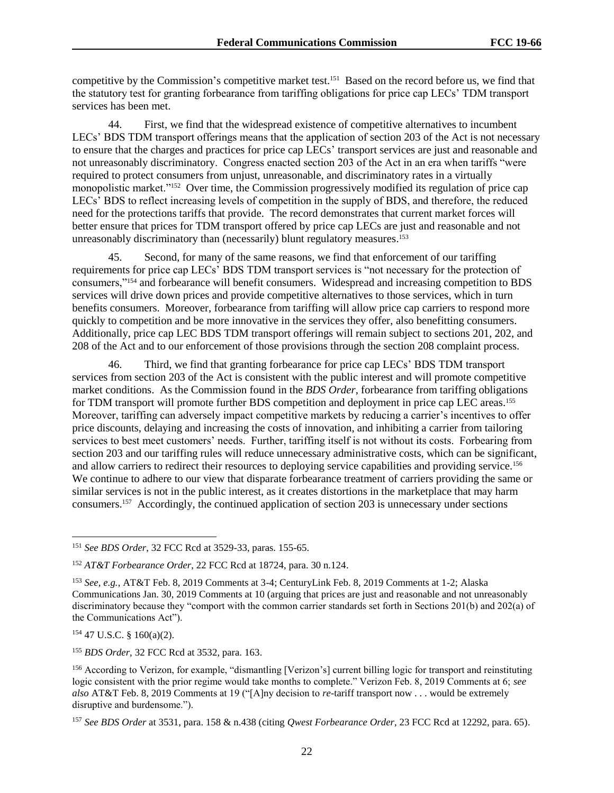competitive by the Commission's competitive market test.<sup>151</sup> Based on the record before us, we find that the statutory test for granting forbearance from tariffing obligations for price cap LECs' TDM transport services has been met.

44. First, we find that the widespread existence of competitive alternatives to incumbent LECs' BDS TDM transport offerings means that the application of section 203 of the Act is not necessary to ensure that the charges and practices for price cap LECs' transport services are just and reasonable and not unreasonably discriminatory. Congress enacted section 203 of the Act in an era when tariffs "were required to protect consumers from unjust, unreasonable, and discriminatory rates in a virtually monopolistic market."<sup>152</sup> Over time, the Commission progressively modified its regulation of price cap LECs' BDS to reflect increasing levels of competition in the supply of BDS, and therefore, the reduced need for the protections tariffs that provide. The record demonstrates that current market forces will better ensure that prices for TDM transport offered by price cap LECs are just and reasonable and not unreasonably discriminatory than (necessarily) blunt regulatory measures. 153

45. Second, for many of the same reasons, we find that enforcement of our tariffing requirements for price cap LECs' BDS TDM transport services is "not necessary for the protection of consumers,"<sup>154</sup> and forbearance will benefit consumers. Widespread and increasing competition to BDS services will drive down prices and provide competitive alternatives to those services, which in turn benefits consumers. Moreover, forbearance from tariffing will allow price cap carriers to respond more quickly to competition and be more innovative in the services they offer, also benefitting consumers. Additionally, price cap LEC BDS TDM transport offerings will remain subject to sections 201, 202, and 208 of the Act and to our enforcement of those provisions through the section 208 complaint process.

46. Third, we find that granting forbearance for price cap LECs' BDS TDM transport services from section 203 of the Act is consistent with the public interest and will promote competitive market conditions. As the Commission found in the *BDS Order*, forbearance from tariffing obligations for TDM transport will promote further BDS competition and deployment in price cap LEC areas.<sup>155</sup> Moreover, tariffing can adversely impact competitive markets by reducing a carrier's incentives to offer price discounts, delaying and increasing the costs of innovation, and inhibiting a carrier from tailoring services to best meet customers' needs. Further, tariffing itself is not without its costs. Forbearing from section 203 and our tariffing rules will reduce unnecessary administrative costs, which can be significant, and allow carriers to redirect their resources to deploying service capabilities and providing service.<sup>156</sup> We continue to adhere to our view that disparate forbearance treatment of carriers providing the same or similar services is not in the public interest, as it creates distortions in the marketplace that may harm consumers.<sup>157</sup> Accordingly, the continued application of section 203 is unnecessary under sections

<sup>154</sup> 47 U.S.C. § 160(a)(2).

 $\overline{a}$ 

<sup>155</sup> *BDS Order,* 32 FCC Rcd at 3532, para. 163.

<sup>151</sup> *See BDS Order*, 32 FCC Rcd at 3529-33, paras. 155-65.

<sup>152</sup> *AT&T Forbearance Order*, 22 FCC Rcd at 18724, para. 30 n.124.

<sup>153</sup> *See, e.g.*, AT&T Feb. 8, 2019 Comments at 3-4; CenturyLink Feb. 8, 2019 Comments at 1-2; Alaska Communications Jan. 30, 2019 Comments at 10 (arguing that prices are just and reasonable and not unreasonably discriminatory because they "comport with the common carrier standards set forth in Sections 201(b) and 202(a) of the Communications Act").

<sup>156</sup> According to Verizon, for example, "dismantling [Verizon's] current billing logic for transport and reinstituting logic consistent with the prior regime would take months to complete." Verizon Feb. 8, 2019 Comments at 6; *see also* AT&T Feb. 8, 2019 Comments at 19 ("[A]ny decision to *re*-tariff transport now . . . would be extremely disruptive and burdensome.").

<sup>157</sup> *See BDS Order* at 3531, para. 158 & n.438 (citing *Qwest Forbearance Order*, 23 FCC Rcd at 12292, para. 65).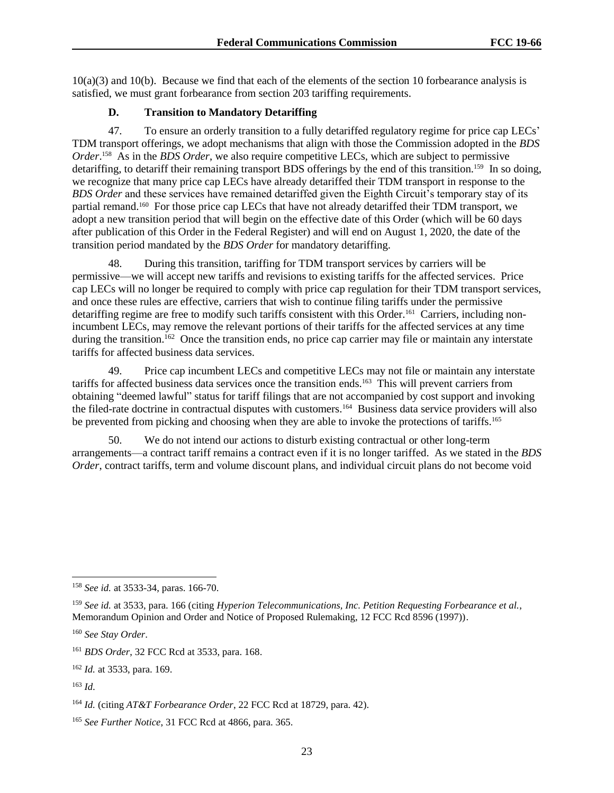10(a)(3) and 10(b). Because we find that each of the elements of the section 10 forbearance analysis is satisfied, we must grant forbearance from section 203 tariffing requirements.

## **D. Transition to Mandatory Detariffing**

47. To ensure an orderly transition to a fully detariffed regulatory regime for price cap LECs' TDM transport offerings, we adopt mechanisms that align with those the Commission adopted in the *BDS Order*. 158 As in the *BDS Order*, we also require competitive LECs, which are subject to permissive detariffing, to detariff their remaining transport BDS offerings by the end of this transition.<sup>159</sup> In so doing, we recognize that many price cap LECs have already detariffed their TDM transport in response to the *BDS Order* and these services have remained detariffed given the Eighth Circuit's temporary stay of its partial remand.<sup>160</sup> For those price cap LECs that have not already detariffed their TDM transport, we adopt a new transition period that will begin on the effective date of this Order (which will be 60 days after publication of this Order in the Federal Register) and will end on August 1, 2020, the date of the transition period mandated by the *BDS Order* for mandatory detariffing.

48. During this transition, tariffing for TDM transport services by carriers will be permissive—we will accept new tariffs and revisions to existing tariffs for the affected services. Price cap LECs will no longer be required to comply with price cap regulation for their TDM transport services, and once these rules are effective, carriers that wish to continue filing tariffs under the permissive detariffing regime are free to modify such tariffs consistent with this Order.<sup>161</sup> Carriers, including nonincumbent LECs, may remove the relevant portions of their tariffs for the affected services at any time during the transition.<sup>162</sup> Once the transition ends, no price cap carrier may file or maintain any interstate tariffs for affected business data services.

49. Price cap incumbent LECs and competitive LECs may not file or maintain any interstate tariffs for affected business data services once the transition ends.<sup>163</sup> This will prevent carriers from obtaining "deemed lawful" status for tariff filings that are not accompanied by cost support and invoking the filed-rate doctrine in contractual disputes with customers.<sup>164</sup> Business data service providers will also be prevented from picking and choosing when they are able to invoke the protections of tariffs.<sup>165</sup>

50. We do not intend our actions to disturb existing contractual or other long-term arrangements—a contract tariff remains a contract even if it is no longer tariffed. As we stated in the *BDS Order*, contract tariffs, term and volume discount plans, and individual circuit plans do not become void

l

<sup>158</sup> *See id.* at 3533-34, paras. 166-70.

<sup>159</sup> *See id.* at 3533, para. 166 (citing *Hyperion Telecommunications, Inc. Petition Requesting Forbearance et al.*, Memorandum Opinion and Order and Notice of Proposed Rulemaking, 12 FCC Rcd 8596 (1997)).

<sup>160</sup> *See Stay Order*.

<sup>161</sup> *BDS Order*, 32 FCC Rcd at 3533, para. 168.

<sup>162</sup> *Id.* at 3533, para. 169.

<sup>163</sup> *Id.*

<sup>164</sup> *Id.* (citing *AT&T Forbearance Order*, 22 FCC Rcd at 18729, para. 42).

<sup>165</sup> *See Further Notice*, 31 FCC Rcd at 4866, para. 365.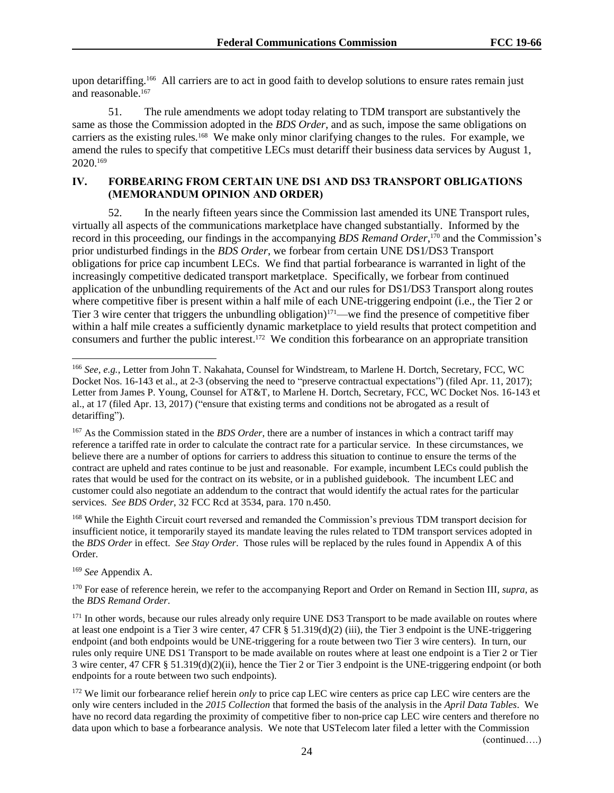upon detariffing.<sup>166</sup> All carriers are to act in good faith to develop solutions to ensure rates remain just and reasonable.<sup>167</sup>

51. The rule amendments we adopt today relating to TDM transport are substantively the same as those the Commission adopted in the *BDS Order*, and as such, impose the same obligations on carriers as the existing rules.<sup>168</sup> We make only minor clarifying changes to the rules. For example, we amend the rules to specify that competitive LECs must detariff their business data services by August 1, 2020.<sup>169</sup>

# **IV. FORBEARING FROM CERTAIN UNE DS1 AND DS3 TRANSPORT OBLIGATIONS (MEMORANDUM OPINION AND ORDER)**

52. In the nearly fifteen years since the Commission last amended its UNE Transport rules, virtually all aspects of the communications marketplace have changed substantially. Informed by the record in this proceeding, our findings in the accompanying *BDS Remand Order*, <sup>170</sup> and the Commission's prior undisturbed findings in the *BDS Order*, we forbear from certain UNE DS1/DS3 Transport obligations for price cap incumbent LECs. We find that partial forbearance is warranted in light of the increasingly competitive dedicated transport marketplace. Specifically, we forbear from continued application of the unbundling requirements of the Act and our rules for DS1/DS3 Transport along routes where competitive fiber is present within a half mile of each UNE-triggering endpoint (i.e., the Tier 2 or Tier 3 wire center that triggers the unbundling obligation)<sup>171</sup>—we find the presence of competitive fiber within a half mile creates a sufficiently dynamic marketplace to yield results that protect competition and consumers and further the public interest.<sup>172</sup> We condition this forbearance on an appropriate transition

<sup>168</sup> While the Eighth Circuit court reversed and remanded the Commission's previous TDM transport decision for insufficient notice, it temporarily stayed its mandate leaving the rules related to TDM transport services adopted in the *BDS Order* in effect. *See Stay Order*. Those rules will be replaced by the rules found in Appendix A of this Order.

<sup>169</sup> *See* Appendix A.

l

<sup>166</sup> *See, e.g.*, Letter from John T. Nakahata, Counsel for Windstream, to Marlene H. Dortch, Secretary, FCC, WC Docket Nos. 16-143 et al., at 2-3 (observing the need to "preserve contractual expectations") (filed Apr. 11, 2017); Letter from James P. Young, Counsel for AT&T, to Marlene H. Dortch, Secretary, FCC, WC Docket Nos. 16-143 et al., at 17 (filed Apr. 13, 2017) ("ensure that existing terms and conditions not be abrogated as a result of detariffing").

<sup>167</sup> As the Commission stated in the *BDS Order*, there are a number of instances in which a contract tariff may reference a tariffed rate in order to calculate the contract rate for a particular service. In these circumstances, we believe there are a number of options for carriers to address this situation to continue to ensure the terms of the contract are upheld and rates continue to be just and reasonable. For example, incumbent LECs could publish the rates that would be used for the contract on its website, or in a published guidebook. The incumbent LEC and customer could also negotiate an addendum to the contract that would identify the actual rates for the particular services. *See BDS Order*, 32 FCC Rcd at 3534, para. 170 n.450.

<sup>170</sup> For ease of reference herein, we refer to the accompanying Report and Order on Remand in Section III, *supra,* as the *BDS Remand Order*.

<sup>&</sup>lt;sup>171</sup> In other words, because our rules already only require UNE DS3 Transport to be made available on routes where at least one endpoint is a Tier 3 wire center, 47 CFR  $\S$  51.319(d)(2) (iii), the Tier 3 endpoint is the UNE-triggering endpoint (and both endpoints would be UNE-triggering for a route between two Tier 3 wire centers). In turn, our rules only require UNE DS1 Transport to be made available on routes where at least one endpoint is a Tier 2 or Tier 3 wire center, 47 CFR § 51.319(d)(2)(ii), hence the Tier 2 or Tier 3 endpoint is the UNE-triggering endpoint (or both endpoints for a route between two such endpoints).

<sup>&</sup>lt;sup>172</sup> We limit our forbearance relief herein *only* to price cap LEC wire centers as price cap LEC wire centers are the only wire centers included in the *2015 Collection* that formed the basis of the analysis in the *April Data Tables*. We have no record data regarding the proximity of competitive fiber to non-price cap LEC wire centers and therefore no data upon which to base a forbearance analysis. We note that USTelecom later filed a letter with the Commission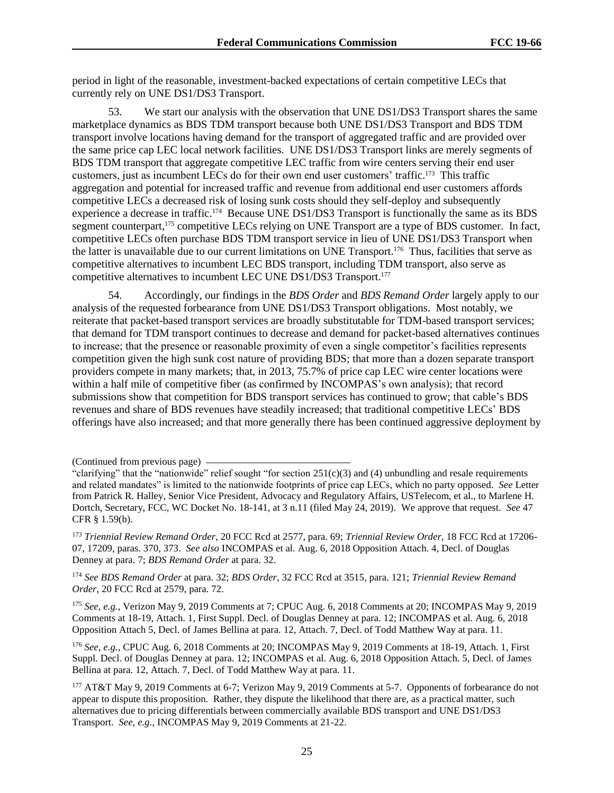period in light of the reasonable, investment-backed expectations of certain competitive LECs that currently rely on UNE DS1/DS3 Transport.

53. We start our analysis with the observation that UNE DS1/DS3 Transport shares the same marketplace dynamics as BDS TDM transport because both UNE DS1/DS3 Transport and BDS TDM transport involve locations having demand for the transport of aggregated traffic and are provided over the same price cap LEC local network facilities. UNE DS1/DS3 Transport links are merely segments of BDS TDM transport that aggregate competitive LEC traffic from wire centers serving their end user customers, just as incumbent LECs do for their own end user customers' traffic.<sup>173</sup> This traffic aggregation and potential for increased traffic and revenue from additional end user customers affords competitive LECs a decreased risk of losing sunk costs should they self-deploy and subsequently experience a decrease in traffic.<sup>174</sup> Because UNE DS1/DS3 Transport is functionally the same as its BDS segment counterpart,<sup>175</sup> competitive LECs relying on UNE Transport are a type of BDS customer. In fact, competitive LECs often purchase BDS TDM transport service in lieu of UNE DS1/DS3 Transport when the latter is unavailable due to our current limitations on UNE Transport.<sup>176</sup> Thus, facilities that serve as competitive alternatives to incumbent LEC BDS transport, including TDM transport, also serve as competitive alternatives to incumbent LEC UNE DS1/DS3 Transport.<sup>177</sup>

54. Accordingly, our findings in the *BDS Order* and *BDS Remand Order* largely apply to our analysis of the requested forbearance from UNE DS1/DS3 Transport obligations. Most notably, we reiterate that packet-based transport services are broadly substitutable for TDM-based transport services; that demand for TDM transport continues to decrease and demand for packet-based alternatives continues to increase; that the presence or reasonable proximity of even a single competitor's facilities represents competition given the high sunk cost nature of providing BDS; that more than a dozen separate transport providers compete in many markets; that, in 2013, 75.7% of price cap LEC wire center locations were within a half mile of competitive fiber (as confirmed by INCOMPAS's own analysis); that record submissions show that competition for BDS transport services has continued to grow; that cable's BDS revenues and share of BDS revenues have steadily increased; that traditional competitive LECs' BDS offerings have also increased; and that more generally there has been continued aggressive deployment by

<sup>174</sup> *See BDS Remand Order* at para. 32; *BDS Order*, 32 FCC Rcd at 3515, para. 121; *Triennial Review Remand Order*, 20 FCC Rcd at 2579, para. 72.

<sup>175</sup> *See*, *e.g.*, Verizon May 9, 2019 Comments at 7; CPUC Aug. 6, 2018 Comments at 20; INCOMPAS May 9, 2019 Comments at 18-19, Attach. 1, First Suppl. Decl. of Douglas Denney at para. 12; INCOMPAS et al. Aug. 6, 2018 Opposition Attach 5, Decl. of James Bellina at para. 12, Attach. 7, Decl. of Todd Matthew Way at para. 11.

<sup>176</sup> *See*, *e.g.*, CPUC Aug. 6, 2018 Comments at 20; INCOMPAS May 9, 2019 Comments at 18-19, Attach. 1, First Suppl. Decl. of Douglas Denney at para. 12; INCOMPAS et al. Aug. 6, 2018 Opposition Attach. 5, Decl. of James Bellina at para. 12, Attach. 7, Decl. of Todd Matthew Way at para. 11.

177 AT&T May 9, 2019 Comments at 6-7; Verizon May 9, 2019 Comments at 5-7. Opponents of forbearance do not appear to dispute this proposition. Rather, they dispute the likelihood that there are, as a practical matter, such alternatives due to pricing differentials between commercially available BDS transport and UNE DS1/DS3 Transport. *See*, *e.g.*, INCOMPAS May 9, 2019 Comments at 21-22.

<sup>(</sup>Continued from previous page)

<sup>&</sup>quot;clarifying" that the "nationwide" relief sought "for section  $251(c)(3)$  and (4) unbundling and resale requirements and related mandates" is limited to the nationwide footprints of price cap LECs, which no party opposed. *See* Letter from Patrick R. Halley, Senior Vice President, Advocacy and Regulatory Affairs, USTelecom, et al., to Marlene H. Dortch, Secretary, FCC, WC Docket No. 18-141, at 3 n.11 (filed May 24, 2019). We approve that request. *See* 47 CFR § 1.59(b).

<sup>173</sup> *Triennial Review Remand Order*, 20 FCC Rcd at 2577, para. 69; *Triennial Review Order*, 18 FCC Rcd at 17206- 07, 17209, paras. 370, 373. *See also* INCOMPAS et al. Aug. 6, 2018 Opposition Attach. 4, Decl. of Douglas Denney at para. 7; *BDS Remand Order* at para. 32.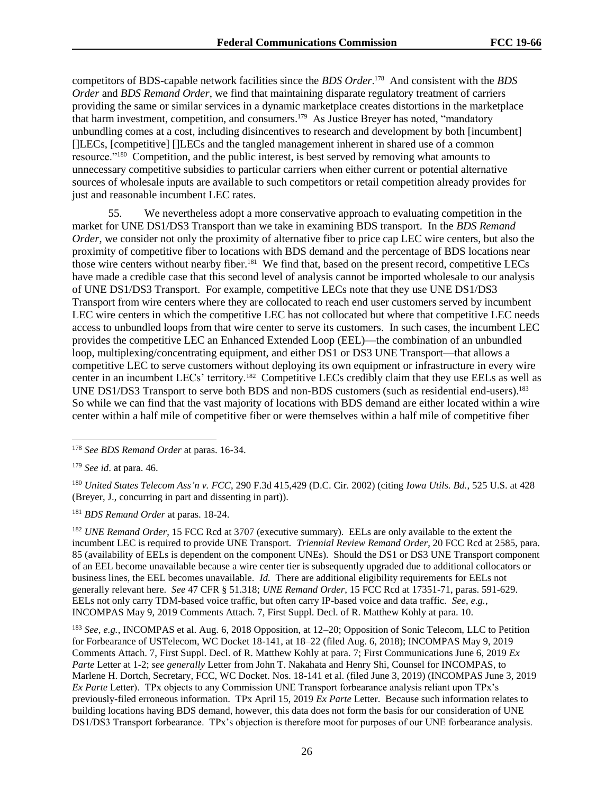competitors of BDS-capable network facilities since the *BDS Order*. 178 And consistent with the *BDS Order* and *BDS Remand Order*, we find that maintaining disparate regulatory treatment of carriers providing the same or similar services in a dynamic marketplace creates distortions in the marketplace that harm investment, competition, and consumers. <sup>179</sup> As Justice Breyer has noted, "mandatory unbundling comes at a cost, including disincentives to research and development by both [incumbent] []LECs, [competitive] []LECs and the tangled management inherent in shared use of a common resource."<sup>180</sup> Competition, and the public interest, is best served by removing what amounts to unnecessary competitive subsidies to particular carriers when either current or potential alternative sources of wholesale inputs are available to such competitors or retail competition already provides for just and reasonable incumbent LEC rates.

55. We nevertheless adopt a more conservative approach to evaluating competition in the market for UNE DS1/DS3 Transport than we take in examining BDS transport. In the *BDS Remand Order*, we consider not only the proximity of alternative fiber to price cap LEC wire centers, but also the proximity of competitive fiber to locations with BDS demand and the percentage of BDS locations near those wire centers without nearby fiber.<sup>181</sup> We find that, based on the present record, competitive LECs have made a credible case that this second level of analysis cannot be imported wholesale to our analysis of UNE DS1/DS3 Transport. For example, competitive LECs note that they use UNE DS1/DS3 Transport from wire centers where they are collocated to reach end user customers served by incumbent LEC wire centers in which the competitive LEC has not collocated but where that competitive LEC needs access to unbundled loops from that wire center to serve its customers. In such cases, the incumbent LEC provides the competitive LEC an Enhanced Extended Loop (EEL)—the combination of an unbundled loop, multiplexing/concentrating equipment, and either DS1 or DS3 UNE Transport—that allows a competitive LEC to serve customers without deploying its own equipment or infrastructure in every wire center in an incumbent LECs' territory.<sup>182</sup> Competitive LECs credibly claim that they use EELs as well as UNE DS1/DS3 Transport to serve both BDS and non-BDS customers (such as residential end-users).<sup>183</sup> So while we can find that the vast majority of locations with BDS demand are either located within a wire center within a half mile of competitive fiber or were themselves within a half mile of competitive fiber

 $\overline{\phantom{a}}$ 

<sup>178</sup> *See BDS Remand Order* at paras. 16-34.

<sup>179</sup> *See id*. at para. 46.

<sup>180</sup> *United States Telecom Ass'n v. FCC*, 290 F.3d 415,429 (D.C. Cir. 2002) (citing *Iowa Utils. Bd.*, 525 U.S. at 428 (Breyer, J., concurring in part and dissenting in part)).

<sup>181</sup> *BDS Remand Order* at paras. 18-24.

<sup>&</sup>lt;sup>182</sup> *UNE Remand Order*, 15 FCC Rcd at 3707 (executive summary). EELs are only available to the extent the incumbent LEC is required to provide UNE Transport. *Triennial Review Remand Order*, 20 FCC Rcd at 2585, para. 85 (availability of EELs is dependent on the component UNEs). Should the DS1 or DS3 UNE Transport component of an EEL become unavailable because a wire center tier is subsequently upgraded due to additional collocators or business lines, the EEL becomes unavailable. *Id.* There are additional eligibility requirements for EELs not generally relevant here. *See* 47 CFR § 51.318; *UNE Remand Order*, 15 FCC Rcd at 17351-71, paras. 591-629. EELs not only carry TDM-based voice traffic, but often carry IP-based voice and data traffic. *See*, *e.g.*, INCOMPAS May 9, 2019 Comments Attach. 7, First Suppl. Decl. of R. Matthew Kohly at para. 10.

<sup>183</sup> *See, e.g.*, INCOMPAS et al. Aug. 6, 2018 Opposition, at 12–20; Opposition of Sonic Telecom, LLC to Petition for Forbearance of USTelecom, WC Docket 18-141, at 18–22 (filed Aug. 6, 2018); INCOMPAS May 9, 2019 Comments Attach. 7, First Suppl. Decl. of R. Matthew Kohly at para. 7; First Communications June 6, 2019 *Ex Parte* Letter at 1-2; *see generally* Letter from John T. Nakahata and Henry Shi, Counsel for INCOMPAS, to Marlene H. Dortch, Secretary, FCC, WC Docket. Nos. 18-141 et al. (filed June 3, 2019) (INCOMPAS June 3, 2019 *Ex Parte* Letter). TPx objects to any Commission UNE Transport forbearance analysis reliant upon TPx's previously-filed erroneous information. TPx April 15, 2019 *Ex Parte* Letter. Because such information relates to building locations having BDS demand, however, this data does not form the basis for our consideration of UNE DS1/DS3 Transport forbearance. TPx's objection is therefore moot for purposes of our UNE forbearance analysis.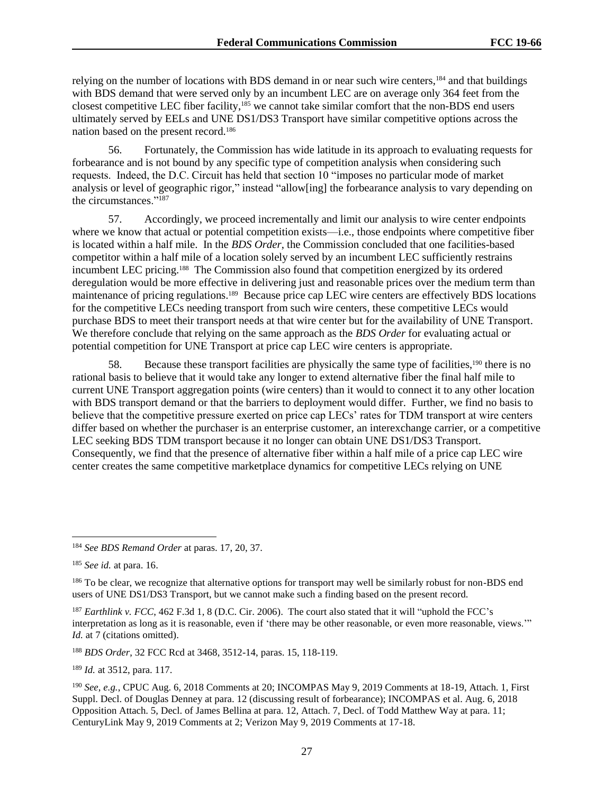relying on the number of locations with BDS demand in or near such wire centers,<sup>184</sup> and that buildings with BDS demand that were served only by an incumbent LEC are on average only 364 feet from the closest competitive LEC fiber facility,<sup>185</sup> we cannot take similar comfort that the non-BDS end users ultimately served by EELs and UNE DS1/DS3 Transport have similar competitive options across the nation based on the present record.<sup>186</sup>

56. Fortunately, the Commission has wide latitude in its approach to evaluating requests for forbearance and is not bound by any specific type of competition analysis when considering such requests. Indeed, the D.C. Circuit has held that section 10 "imposes no particular mode of market analysis or level of geographic rigor," instead "allow[ing] the forbearance analysis to vary depending on the circumstances."<sup>187</sup>

57. Accordingly, we proceed incrementally and limit our analysis to wire center endpoints where we know that actual or potential competition exists—i.e., those endpoints where competitive fiber is located within a half mile. In the *BDS Order*, the Commission concluded that one facilities-based competitor within a half mile of a location solely served by an incumbent LEC sufficiently restrains incumbent LEC pricing.<sup>188</sup> The Commission also found that competition energized by its ordered deregulation would be more effective in delivering just and reasonable prices over the medium term than maintenance of pricing regulations.<sup>189</sup> Because price cap LEC wire centers are effectively BDS locations for the competitive LECs needing transport from such wire centers, these competitive LECs would purchase BDS to meet their transport needs at that wire center but for the availability of UNE Transport. We therefore conclude that relying on the same approach as the *BDS Order* for evaluating actual or potential competition for UNE Transport at price cap LEC wire centers is appropriate.

58. Because these transport facilities are physically the same type of facilities,<sup>190</sup> there is no rational basis to believe that it would take any longer to extend alternative fiber the final half mile to current UNE Transport aggregation points (wire centers) than it would to connect it to any other location with BDS transport demand or that the barriers to deployment would differ. Further, we find no basis to believe that the competitive pressure exerted on price cap LECs' rates for TDM transport at wire centers differ based on whether the purchaser is an enterprise customer, an interexchange carrier, or a competitive LEC seeking BDS TDM transport because it no longer can obtain UNE DS1/DS3 Transport. Consequently, we find that the presence of alternative fiber within a half mile of a price cap LEC wire center creates the same competitive marketplace dynamics for competitive LECs relying on UNE

 $\overline{a}$ 

<sup>188</sup> *BDS Order*, 32 FCC Rcd at 3468, 3512-14, paras. 15, 118-119.

<sup>189</sup> *Id.* at 3512, para. 117.

<sup>184</sup> *See BDS Remand Order* at paras. 17, 20, 37.

<sup>185</sup> *See id.* at para. 16.

<sup>&</sup>lt;sup>186</sup> To be clear, we recognize that alternative options for transport may well be similarly robust for non-BDS end users of UNE DS1/DS3 Transport, but we cannot make such a finding based on the present record.

<sup>&</sup>lt;sup>187</sup> *Earthlink v. FCC*, 462 F.3d 1, 8 (D.C. Cir. 2006). The court also stated that it will "uphold the FCC's interpretation as long as it is reasonable, even if 'there may be other reasonable, or even more reasonable, views.'" *Id.* at 7 (citations omitted).

<sup>190</sup> *See*, *e.g.*, CPUC Aug. 6, 2018 Comments at 20; INCOMPAS May 9, 2019 Comments at 18-19, Attach. 1, First Suppl. Decl. of Douglas Denney at para. 12 (discussing result of forbearance); INCOMPAS et al. Aug. 6, 2018 Opposition Attach. 5, Decl. of James Bellina at para. 12, Attach. 7, Decl. of Todd Matthew Way at para. 11; CenturyLink May 9, 2019 Comments at 2; Verizon May 9, 2019 Comments at 17-18.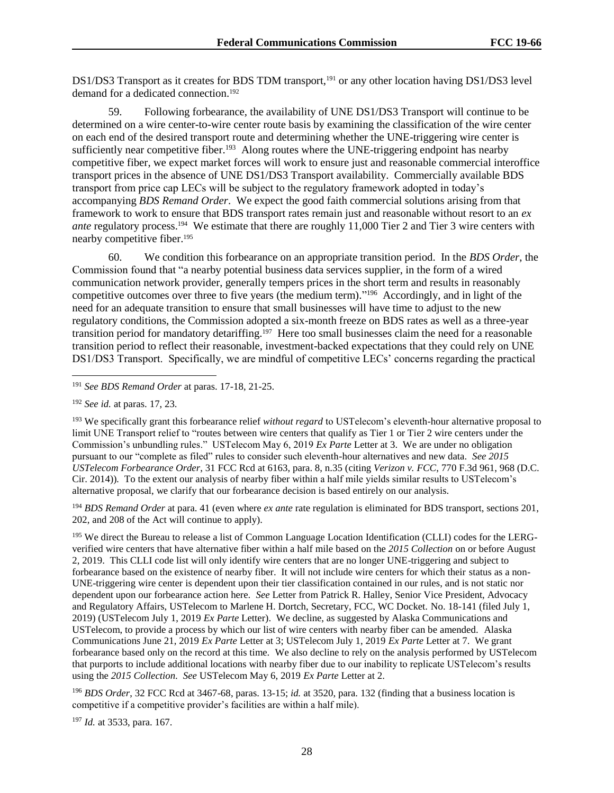DS1/DS3 Transport as it creates for BDS TDM transport,<sup>191</sup> or any other location having DS1/DS3 level demand for a dedicated connection.<sup>192</sup>

59. Following forbearance, the availability of UNE DS1/DS3 Transport will continue to be determined on a wire center-to-wire center route basis by examining the classification of the wire center on each end of the desired transport route and determining whether the UNE-triggering wire center is sufficiently near competitive fiber.<sup>193</sup> Along routes where the UNE-triggering endpoint has nearby competitive fiber, we expect market forces will work to ensure just and reasonable commercial interoffice transport prices in the absence of UNE DS1/DS3 Transport availability. Commercially available BDS transport from price cap LECs will be subject to the regulatory framework adopted in today's accompanying *BDS Remand Order*. We expect the good faith commercial solutions arising from that framework to work to ensure that BDS transport rates remain just and reasonable without resort to an *ex*  ante regulatory process.<sup>194</sup> We estimate that there are roughly 11,000 Tier 2 and Tier 3 wire centers with nearby competitive fiber.<sup>195</sup>

60. We condition this forbearance on an appropriate transition period. In the *BDS Order*, the Commission found that "a nearby potential business data services supplier, in the form of a wired communication network provider, generally tempers prices in the short term and results in reasonably competitive outcomes over three to five years (the medium term)." 196 Accordingly, and in light of the need for an adequate transition to ensure that small businesses will have time to adjust to the new regulatory conditions, the Commission adopted a six-month freeze on BDS rates as well as a three-year transition period for mandatory detariffing.<sup>197</sup> Here too small businesses claim the need for a reasonable transition period to reflect their reasonable, investment-backed expectations that they could rely on UNE DS1/DS3 Transport. Specifically, we are mindful of competitive LECs' concerns regarding the practical

l

<sup>193</sup> We specifically grant this forbearance relief *without regard* to USTelecom's eleventh-hour alternative proposal to limit UNE Transport relief to "routes between wire centers that qualify as Tier 1 or Tier 2 wire centers under the Commission's unbundling rules." USTelecom May 6, 2019 *Ex Parte* Letter at 3. We are under no obligation pursuant to our "complete as filed" rules to consider such eleventh-hour alternatives and new data. *See 2015 USTelecom Forbearance Order*, 31 FCC Rcd at 6163, para. 8, n.35 (citing *Verizon v. FCC*, 770 F.3d 961, 968 (D.C. Cir. 2014))*.* To the extent our analysis of nearby fiber within a half mile yields similar results to USTelecom's alternative proposal, we clarify that our forbearance decision is based entirely on our analysis.

<sup>194</sup> *BDS Remand Order* at para. 41 (even where *ex ante* rate regulation is eliminated for BDS transport, sections 201, 202, and 208 of the Act will continue to apply).

<sup>195</sup> We direct the Bureau to release a list of Common Language Location Identification (CLLI) codes for the LERGverified wire centers that have alternative fiber within a half mile based on the *2015 Collection* on or before August 2, 2019. This CLLI code list will only identify wire centers that are no longer UNE-triggering and subject to forbearance based on the existence of nearby fiber. It will not include wire centers for which their status as a non-UNE-triggering wire center is dependent upon their tier classification contained in our rules, and is not static nor dependent upon our forbearance action here. *See* Letter from Patrick R. Halley, Senior Vice President, Advocacy and Regulatory Affairs, USTelecom to Marlene H. Dortch, Secretary, FCC, WC Docket. No. 18-141 (filed July 1, 2019) (USTelecom July 1, 2019 *Ex Parte* Letter). We decline, as suggested by Alaska Communications and USTelecom, to provide a process by which our list of wire centers with nearby fiber can be amended. Alaska Communications June 21, 2019 *Ex Parte* Letter at 3; USTelecom July 1, 2019 *Ex Parte* Letter at 7. We grant forbearance based only on the record at this time. We also decline to rely on the analysis performed by USTelecom that purports to include additional locations with nearby fiber due to our inability to replicate USTelecom's results using the *2015 Collection. See* USTelecom May 6, 2019 *Ex Parte* Letter at 2.

<sup>196</sup> *BDS Order*, 32 FCC Rcd at 3467-68, paras. 13-15; *id.* at 3520, para. 132 (finding that a business location is competitive if a competitive provider's facilities are within a half mile).

<sup>197</sup> *Id.* at 3533, para. 167.

<sup>191</sup> *See BDS Remand Order* at paras. 17-18, 21-25.

<sup>192</sup> *See id.* at paras. 17, 23.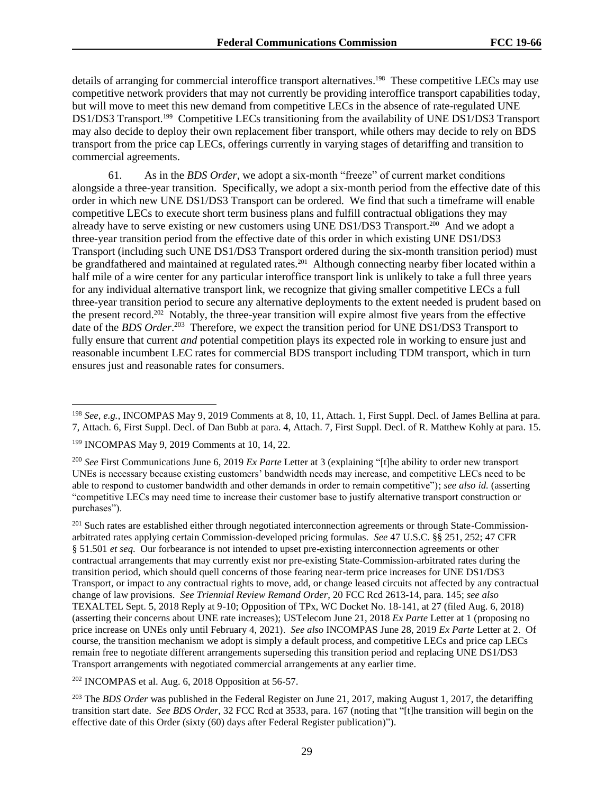details of arranging for commercial interoffice transport alternatives.<sup>198</sup> These competitive LECs may use competitive network providers that may not currently be providing interoffice transport capabilities today, but will move to meet this new demand from competitive LECs in the absence of rate-regulated UNE DS1/DS3 Transport.<sup>199</sup> Competitive LECs transitioning from the availability of UNE DS1/DS3 Transport may also decide to deploy their own replacement fiber transport, while others may decide to rely on BDS transport from the price cap LECs, offerings currently in varying stages of detariffing and transition to commercial agreements.

61. As in the *BDS Order*, we adopt a six-month "freeze" of current market conditions alongside a three-year transition. Specifically, we adopt a six-month period from the effective date of this order in which new UNE DS1/DS3 Transport can be ordered. We find that such a timeframe will enable competitive LECs to execute short term business plans and fulfill contractual obligations they may already have to serve existing or new customers using UNE DS1/DS3 Transport.<sup>200</sup> And we adopt a three-year transition period from the effective date of this order in which existing UNE DS1/DS3 Transport (including such UNE DS1/DS3 Transport ordered during the six-month transition period) must be grandfathered and maintained at regulated rates.<sup>201</sup> Although connecting nearby fiber located within a half mile of a wire center for any particular interoffice transport link is unlikely to take a full three years for any individual alternative transport link, we recognize that giving smaller competitive LECs a full three-year transition period to secure any alternative deployments to the extent needed is prudent based on the present record. 202 Notably, the three-year transition will expire almost five years from the effective date of the *BDS Order*.<sup>203</sup> Therefore, we expect the transition period for UNE DS1/DS3 Transport to fully ensure that current *and* potential competition plays its expected role in working to ensure just and reasonable incumbent LEC rates for commercial BDS transport including TDM transport, which in turn ensures just and reasonable rates for consumers.

 $\overline{a}$ 

 $202$  INCOMPAS et al. Aug. 6, 2018 Opposition at 56-57.

<sup>203</sup> The *BDS Order* was published in the Federal Register on June 21, 2017, making August 1, 2017, the detariffing transition start date. *See BDS Order*, 32 FCC Rcd at 3533, para. 167 (noting that "[t]he transition will begin on the effective date of this Order (sixty (60) days after Federal Register publication)").

<sup>198</sup> *See*, *e.g.*, INCOMPAS May 9, 2019 Comments at 8, 10, 11, Attach. 1, First Suppl. Decl. of James Bellina at para. 7, Attach. 6, First Suppl. Decl. of Dan Bubb at para. 4, Attach. 7, First Suppl. Decl. of R. Matthew Kohly at para. 15.

<sup>199</sup> INCOMPAS May 9, 2019 Comments at 10, 14, 22.

<sup>200</sup> *See* First Communications June 6, 2019 *Ex Parte* Letter at 3 (explaining "[t]he ability to order new transport UNEs is necessary because existing customers' bandwidth needs may increase, and competitive LECs need to be able to respond to customer bandwidth and other demands in order to remain competitive"); *see also id.* (asserting "competitive LECs may need time to increase their customer base to justify alternative transport construction or purchases").

<sup>&</sup>lt;sup>201</sup> Such rates are established either through negotiated interconnection agreements or through State-Commissionarbitrated rates applying certain Commission-developed pricing formulas. *See* 47 U.S.C. §§ 251, 252; 47 CFR § 51.501 *et seq*. Our forbearance is not intended to upset pre-existing interconnection agreements or other contractual arrangements that may currently exist nor pre-existing State-Commission-arbitrated rates during the transition period, which should quell concerns of those fearing near-term price increases for UNE DS1/DS3 Transport, or impact to any contractual rights to move, add, or change leased circuits not affected by any contractual change of law provisions. *See Triennial Review Remand Order*, 20 FCC Rcd 2613-14, para. 145; *see also* TEXALTEL Sept. 5, 2018 Reply at 9-10; Opposition of TPx, WC Docket No. 18-141, at 27 (filed Aug. 6, 2018) (asserting their concerns about UNE rate increases); USTelecom June 21, 2018 *Ex Parte* Letter at 1 (proposing no price increase on UNEs only until February 4, 2021). *See also* INCOMPAS June 28, 2019 *Ex Parte* Letter at 2. Of course, the transition mechanism we adopt is simply a default process, and competitive LECs and price cap LECs remain free to negotiate different arrangements superseding this transition period and replacing UNE DS1/DS3 Transport arrangements with negotiated commercial arrangements at any earlier time.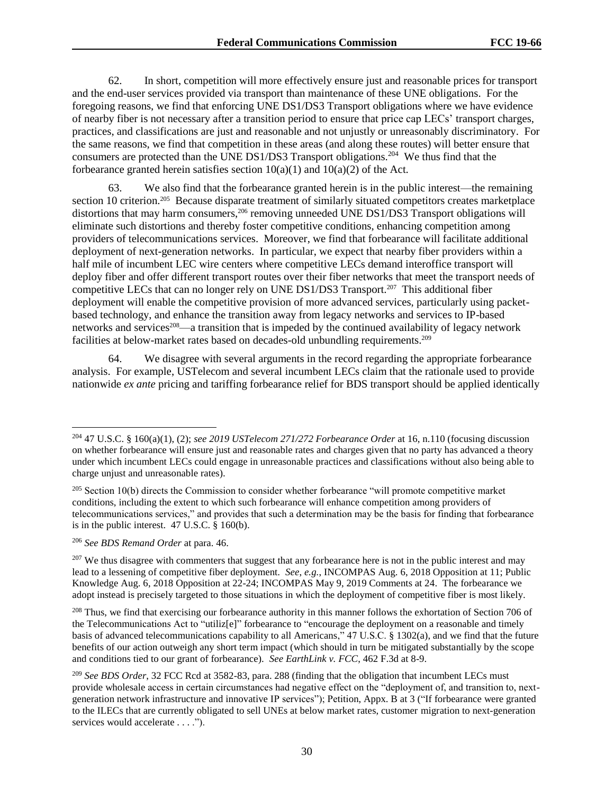62. In short, competition will more effectively ensure just and reasonable prices for transport and the end-user services provided via transport than maintenance of these UNE obligations. For the foregoing reasons, we find that enforcing UNE DS1/DS3 Transport obligations where we have evidence of nearby fiber is not necessary after a transition period to ensure that price cap LECs' transport charges, practices, and classifications are just and reasonable and not unjustly or unreasonably discriminatory. For the same reasons, we find that competition in these areas (and along these routes) will better ensure that consumers are protected than the UNE DS1/DS3 Transport obligations.<sup>204</sup> We thus find that the forbearance granted herein satisfies section  $10(a)(1)$  and  $10(a)(2)$  of the Act.

63. We also find that the forbearance granted herein is in the public interest—the remaining section 10 criterion.<sup>205</sup> Because disparate treatment of similarly situated competitors creates marketplace distortions that may harm consumers,<sup>206</sup> removing unneeded UNE DS1/DS3 Transport obligations will eliminate such distortions and thereby foster competitive conditions, enhancing competition among providers of telecommunications services. Moreover, we find that forbearance will facilitate additional deployment of next-generation networks. In particular, we expect that nearby fiber providers within a half mile of incumbent LEC wire centers where competitive LECs demand interoffice transport will deploy fiber and offer different transport routes over their fiber networks that meet the transport needs of competitive LECs that can no longer rely on UNE DS1/DS3 Transport.<sup>207</sup> This additional fiber deployment will enable the competitive provision of more advanced services, particularly using packetbased technology, and enhance the transition away from legacy networks and services to IP-based networks and services<sup>208</sup>—a transition that is impeded by the continued availability of legacy network facilities at below-market rates based on decades-old unbundling requirements.<sup>209</sup>

64. We disagree with several arguments in the record regarding the appropriate forbearance analysis. For example, USTelecom and several incumbent LECs claim that the rationale used to provide nationwide *ex ante* pricing and tariffing forbearance relief for BDS transport should be applied identically

<sup>206</sup> *See BDS Remand Order* at para. 46.

l

<sup>204</sup> 47 U.S.C. § 160(a)(1), (2); *see 2019 USTelecom 271/272 Forbearance Order* at 16, n.110 (focusing discussion on whether forbearance will ensure just and reasonable rates and charges given that no party has advanced a theory under which incumbent LECs could engage in unreasonable practices and classifications without also being able to charge unjust and unreasonable rates).

<sup>&</sup>lt;sup>205</sup> Section 10(b) directs the Commission to consider whether forbearance "will promote competitive market conditions, including the extent to which such forbearance will enhance competition among providers of telecommunications services," and provides that such a determination may be the basis for finding that forbearance is in the public interest. 47 U.S.C. § 160(b).

<sup>&</sup>lt;sup>207</sup> We thus disagree with commenters that suggest that any forbearance here is not in the public interest and may lead to a lessening of competitive fiber deployment. *See*, *e.g.*, INCOMPAS Aug. 6, 2018 Opposition at 11; Public Knowledge Aug. 6, 2018 Opposition at 22-24; INCOMPAS May 9, 2019 Comments at 24. The forbearance we adopt instead is precisely targeted to those situations in which the deployment of competitive fiber is most likely.

<sup>&</sup>lt;sup>208</sup> Thus, we find that exercising our forbearance authority in this manner follows the exhortation of Section 706 of the Telecommunications Act to "utiliz[e]" forbearance to "encourage the deployment on a reasonable and timely basis of advanced telecommunications capability to all Americans," 47 U.S.C. § 1302(a), and we find that the future benefits of our action outweigh any short term impact (which should in turn be mitigated substantially by the scope and conditions tied to our grant of forbearance). *See EarthLink v. FCC*, 462 F.3d at 8-9.

<sup>209</sup> *See BDS Order*, 32 FCC Rcd at 3582-83, para. 288 (finding that the obligation that incumbent LECs must provide wholesale access in certain circumstances had negative effect on the "deployment of, and transition to, nextgeneration network infrastructure and innovative IP services"); Petition, Appx. B at 3 ("If forbearance were granted to the ILECs that are currently obligated to sell UNEs at below market rates, customer migration to next-generation services would accelerate . . . .").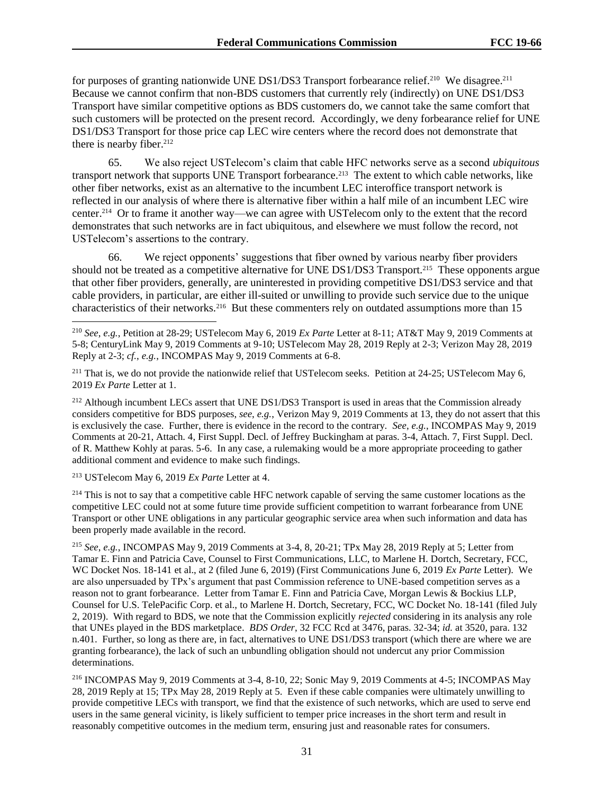for purposes of granting nationwide UNE DS1/DS3 Transport forbearance relief.<sup>210</sup> We disagree.<sup>211</sup> Because we cannot confirm that non-BDS customers that currently rely (indirectly) on UNE DS1/DS3 Transport have similar competitive options as BDS customers do, we cannot take the same comfort that such customers will be protected on the present record. Accordingly, we deny forbearance relief for UNE DS1/DS3 Transport for those price cap LEC wire centers where the record does not demonstrate that there is nearby fiber. $212$ 

65. We also reject USTelecom's claim that cable HFC networks serve as a second *ubiquitous* transport network that supports UNE Transport forbearance.<sup>213</sup> The extent to which cable networks, like other fiber networks, exist as an alternative to the incumbent LEC interoffice transport network is reflected in our analysis of where there is alternative fiber within a half mile of an incumbent LEC wire center.<sup>214</sup> Or to frame it another way—we can agree with USTelecom only to the extent that the record demonstrates that such networks are in fact ubiquitous, and elsewhere we must follow the record, not USTelecom's assertions to the contrary.

66. We reject opponents' suggestions that fiber owned by various nearby fiber providers should not be treated as a competitive alternative for UNE DS1/DS3 Transport.<sup>215</sup> These opponents argue that other fiber providers, generally, are uninterested in providing competitive DS1/DS3 service and that cable providers, in particular, are either ill-suited or unwilling to provide such service due to the unique characteristics of their networks.<sup>216</sup> But these commenters rely on outdated assumptions more than 15

<sup>212</sup> Although incumbent LECs assert that UNE DS1/DS3 Transport is used in areas that the Commission already considers competitive for BDS purposes, *see*, *e.g.*, Verizon May 9, 2019 Comments at 13, they do not assert that this is exclusively the case. Further, there is evidence in the record to the contrary. *See*, *e.g.*, INCOMPAS May 9, 2019 Comments at 20-21, Attach. 4, First Suppl. Decl. of Jeffrey Buckingham at paras. 3-4, Attach. 7, First Suppl. Decl. of R. Matthew Kohly at paras. 5-6. In any case, a rulemaking would be a more appropriate proceeding to gather additional comment and evidence to make such findings.

<sup>213</sup> USTelecom May 6, 2019 *Ex Parte* Letter at 4.

l

<sup>214</sup> This is not to say that a competitive cable HFC network capable of serving the same customer locations as the competitive LEC could not at some future time provide sufficient competition to warrant forbearance from UNE Transport or other UNE obligations in any particular geographic service area when such information and data has been properly made available in the record.

<sup>215</sup> *See*, *e.g.*, INCOMPAS May 9, 2019 Comments at 3-4, 8, 20-21; TPx May 28, 2019 Reply at 5; Letter from Tamar E. Finn and Patricia Cave, Counsel to First Communications, LLC, to Marlene H. Dortch, Secretary, FCC, WC Docket Nos. 18-141 et al., at 2 (filed June 6, 2019) (First Communications June 6, 2019 *Ex Parte* Letter). We are also unpersuaded by TPx's argument that past Commission reference to UNE-based competition serves as a reason not to grant forbearance. Letter from Tamar E. Finn and Patricia Cave, Morgan Lewis & Bockius LLP, Counsel for U.S. TelePacific Corp. et al., to Marlene H. Dortch, Secretary, FCC, WC Docket No. 18-141 (filed July 2, 2019). With regard to BDS, we note that the Commission explicitly *rejected* considering in its analysis any role that UNEs played in the BDS marketplace. *BDS Order*, 32 FCC Rcd at 3476, paras. 32-34; *id.* at 3520, para. 132 n.401. Further, so long as there are, in fact, alternatives to UNE DS1/DS3 transport (which there are where we are granting forbearance), the lack of such an unbundling obligation should not undercut any prior Commission determinations.

<sup>216</sup> INCOMPAS May 9, 2019 Comments at 3-4, 8-10, 22; Sonic May 9, 2019 Comments at 4-5; INCOMPAS May 28, 2019 Reply at 15; TPx May 28, 2019 Reply at 5. Even if these cable companies were ultimately unwilling to provide competitive LECs with transport, we find that the existence of such networks, which are used to serve end users in the same general vicinity, is likely sufficient to temper price increases in the short term and result in reasonably competitive outcomes in the medium term, ensuring just and reasonable rates for consumers.

<sup>210</sup> *See*, *e.g.*, Petition at 28-29; USTelecom May 6, 2019 *Ex Parte* Letter at 8-11; AT&T May 9, 2019 Comments at 5-8; CenturyLink May 9, 2019 Comments at 9-10; USTelecom May 28, 2019 Reply at 2-3; Verizon May 28, 2019 Reply at 2-3; *cf.*, *e.g.*, INCOMPAS May 9, 2019 Comments at 6-8.

<sup>&</sup>lt;sup>211</sup> That is, we do not provide the nationwide relief that USTelecom seeks. Petition at 24-25; USTelecom May 6, 2019 *Ex Parte* Letter at 1.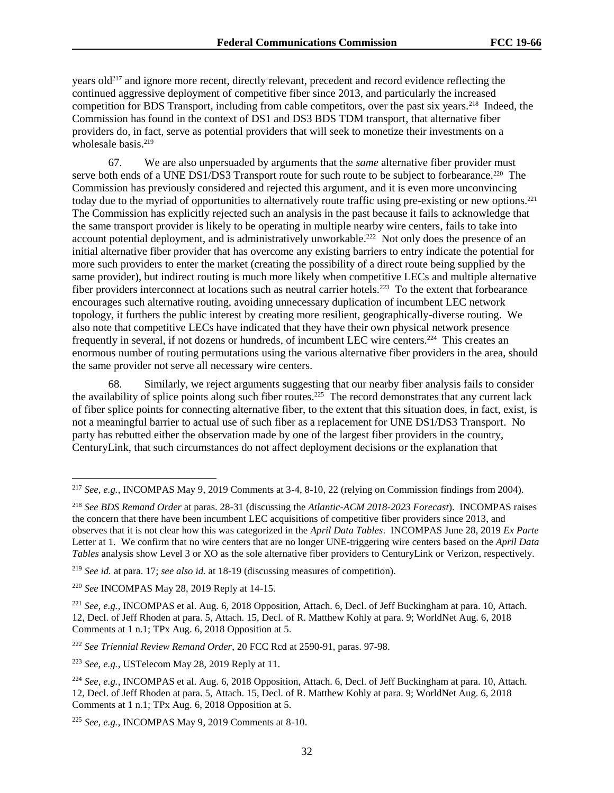years old<sup>217</sup> and ignore more recent, directly relevant, precedent and record evidence reflecting the continued aggressive deployment of competitive fiber since 2013, and particularly the increased competition for BDS Transport, including from cable competitors, over the past six years.<sup>218</sup> Indeed, the Commission has found in the context of DS1 and DS3 BDS TDM transport, that alternative fiber providers do, in fact, serve as potential providers that will seek to monetize their investments on a wholesale basis. 219

67. We are also unpersuaded by arguments that the *same* alternative fiber provider must serve both ends of a UNE DS1/DS3 Transport route for such route to be subject to forbearance.<sup>220</sup> The Commission has previously considered and rejected this argument, and it is even more unconvincing today due to the myriad of opportunities to alternatively route traffic using pre-existing or new options.<sup>221</sup> The Commission has explicitly rejected such an analysis in the past because it fails to acknowledge that the same transport provider is likely to be operating in multiple nearby wire centers, fails to take into account potential deployment, and is administratively unworkable.<sup>222</sup> Not only does the presence of an initial alternative fiber provider that has overcome any existing barriers to entry indicate the potential for more such providers to enter the market (creating the possibility of a direct route being supplied by the same provider), but indirect routing is much more likely when competitive LECs and multiple alternative fiber providers interconnect at locations such as neutral carrier hotels.<sup>223</sup> To the extent that forbearance encourages such alternative routing, avoiding unnecessary duplication of incumbent LEC network topology, it furthers the public interest by creating more resilient, geographically-diverse routing. We also note that competitive LECs have indicated that they have their own physical network presence frequently in several, if not dozens or hundreds, of incumbent LEC wire centers.<sup>224</sup> This creates an enormous number of routing permutations using the various alternative fiber providers in the area, should the same provider not serve all necessary wire centers.

68. Similarly, we reject arguments suggesting that our nearby fiber analysis fails to consider the availability of splice points along such fiber routes.<sup>225</sup> The record demonstrates that any current lack of fiber splice points for connecting alternative fiber, to the extent that this situation does, in fact, exist, is not a meaningful barrier to actual use of such fiber as a replacement for UNE DS1/DS3 Transport. No party has rebutted either the observation made by one of the largest fiber providers in the country, CenturyLink, that such circumstances do not affect deployment decisions or the explanation that

l

<sup>222</sup> *See Triennial Review Remand Order*, 20 FCC Rcd at 2590-91, paras. 97-98.

<sup>223</sup> *See*, *e.g.*, USTelecom May 28, 2019 Reply at 11.

<sup>217</sup> *See, e.g.*, INCOMPAS May 9, 2019 Comments at 3-4, 8-10, 22 (relying on Commission findings from 2004).

<sup>218</sup> *See BDS Remand Order* at paras. 28-31 (discussing the *Atlantic-ACM 2018-2023 Forecast*). INCOMPAS raises the concern that there have been incumbent LEC acquisitions of competitive fiber providers since 2013, and observes that it is not clear how this was categorized in the *April Data Tables*. INCOMPAS June 28, 2019 *Ex Parte*  Letter at 1. We confirm that no wire centers that are no longer UNE-triggering wire centers based on the *April Data Tables* analysis show Level 3 or XO as the sole alternative fiber providers to CenturyLink or Verizon, respectively.

<sup>219</sup> *See id.* at para. 17; *see also id.* at 18-19 (discussing measures of competition).

<sup>220</sup> *See* INCOMPAS May 28, 2019 Reply at 14-15.

<sup>221</sup> *See*, *e.g.*, INCOMPAS et al. Aug. 6, 2018 Opposition, Attach. 6, Decl. of Jeff Buckingham at para. 10, Attach. 12, Decl. of Jeff Rhoden at para. 5, Attach. 15, Decl. of R. Matthew Kohly at para. 9; WorldNet Aug. 6, 2018 Comments at 1 n.1; TPx Aug. 6, 2018 Opposition at 5.

<sup>224</sup> *See*, *e.g.*, INCOMPAS et al. Aug. 6, 2018 Opposition, Attach. 6, Decl. of Jeff Buckingham at para. 10, Attach. 12, Decl. of Jeff Rhoden at para. 5, Attach. 15, Decl. of R. Matthew Kohly at para. 9; WorldNet Aug. 6, 2018 Comments at 1 n.1; TPx Aug. 6, 2018 Opposition at 5.

<sup>225</sup> *See*, *e.g.*, INCOMPAS May 9, 2019 Comments at 8-10.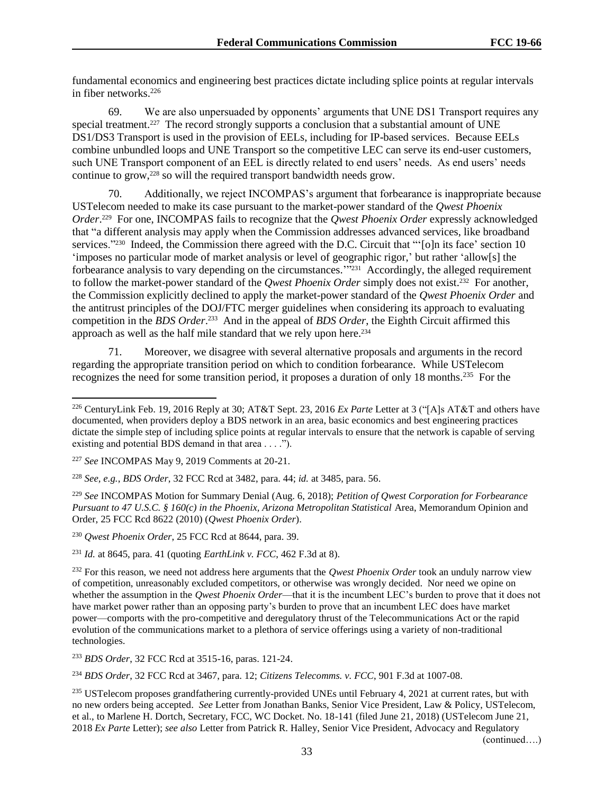fundamental economics and engineering best practices dictate including splice points at regular intervals in fiber networks $226$ 

69. We are also unpersuaded by opponents' arguments that UNE DS1 Transport requires any special treatment.<sup>227</sup> The record strongly supports a conclusion that a substantial amount of UNE DS1/DS3 Transport is used in the provision of EELs, including for IP-based services. Because EELs combine unbundled loops and UNE Transport so the competitive LEC can serve its end-user customers, such UNE Transport component of an EEL is directly related to end users' needs. As end users' needs continue to grow,<sup>228</sup> so will the required transport bandwidth needs grow.

70. Additionally, we reject INCOMPAS's argument that forbearance is inappropriate because USTelecom needed to make its case pursuant to the market-power standard of the *Qwest Phoenix Order*. 229 For one, INCOMPAS fails to recognize that the *Qwest Phoenix Order* expressly acknowledged that "a different analysis may apply when the Commission addresses advanced services, like broadband services."<sup>230</sup> Indeed, the Commission there agreed with the D.C. Circuit that "'[o]n its face' section 10 'imposes no particular mode of market analysis or level of geographic rigor,' but rather 'allow[s] the forbearance analysis to vary depending on the circumstances.<sup>'"231</sup> Accordingly, the alleged requirement to follow the market-power standard of the *Qwest Phoenix Order* simply does not exist.<sup>232</sup> For another, the Commission explicitly declined to apply the market-power standard of the *Qwest Phoenix Order* and the antitrust principles of the DOJ/FTC merger guidelines when considering its approach to evaluating competition in the *BDS Order*. <sup>233</sup> And in the appeal of *BDS Order*, the Eighth Circuit affirmed this approach as well as the half mile standard that we rely upon here. 234

71. Moreover, we disagree with several alternative proposals and arguments in the record regarding the appropriate transition period on which to condition forbearance. While USTelecom recognizes the need for some transition period, it proposes a duration of only 18 months.<sup>235</sup> For the

l

<sup>228</sup> *See, e.g.*, *BDS Order*, 32 FCC Rcd at 3482, para. 44; *id.* at 3485, para. 56.

<sup>231</sup> *Id.* at 8645, para. 41 (quoting *EarthLink v. FCC*, 462 F.3d at 8).

<sup>233</sup> *BDS Order*, 32 FCC Rcd at 3515-16, paras. 121-24.

<sup>234</sup> *BDS Order*, 32 FCC Rcd at 3467, para. 12; *Citizens Telecomms. v. FCC*, 901 F.3d at 1007-08.

<sup>226</sup> CenturyLink Feb. 19, 2016 Reply at 30; AT&T Sept. 23, 2016 *Ex Parte* Letter at 3 ("[A]s AT&T and others have documented, when providers deploy a BDS network in an area, basic economics and best engineering practices dictate the simple step of including splice points at regular intervals to ensure that the network is capable of serving existing and potential BDS demand in that area . . . .").

<sup>227</sup> *See* INCOMPAS May 9, 2019 Comments at 20-21.

<sup>229</sup> *See* INCOMPAS Motion for Summary Denial (Aug. 6, 2018); *Petition of Qwest Corporation for Forbearance Pursuant to 47 U.S.C. § 160(c) in the Phoenix, Arizona Metropolitan Statistical Area, Memorandum Opinion and* Order, 25 FCC Rcd 8622 (2010) (*Qwest Phoenix Order*).

<sup>230</sup> *Qwest Phoenix Order*, 25 FCC Rcd at 8644, para. 39.

<sup>&</sup>lt;sup>232</sup> For this reason, we need not address here arguments that the *Qwest Phoenix Order* took an unduly narrow view of competition, unreasonably excluded competitors, or otherwise was wrongly decided. Nor need we opine on whether the assumption in the *Qwest Phoenix Order*—that it is the incumbent LEC's burden to prove that it does not have market power rather than an opposing party's burden to prove that an incumbent LEC does have market power—comports with the pro-competitive and deregulatory thrust of the Telecommunications Act or the rapid evolution of the communications market to a plethora of service offerings using a variety of non-traditional technologies.

<sup>&</sup>lt;sup>235</sup> USTelecom proposes grandfathering currently-provided UNEs until February 4, 2021 at current rates, but with no new orders being accepted. *See* Letter from Jonathan Banks, Senior Vice President, Law & Policy, USTelecom, et al., to Marlene H. Dortch, Secretary, FCC, WC Docket. No. 18-141 (filed June 21, 2018) (USTelecom June 21, 2018 *Ex Parte* Letter); *see also* Letter from Patrick R. Halley, Senior Vice President, Advocacy and Regulatory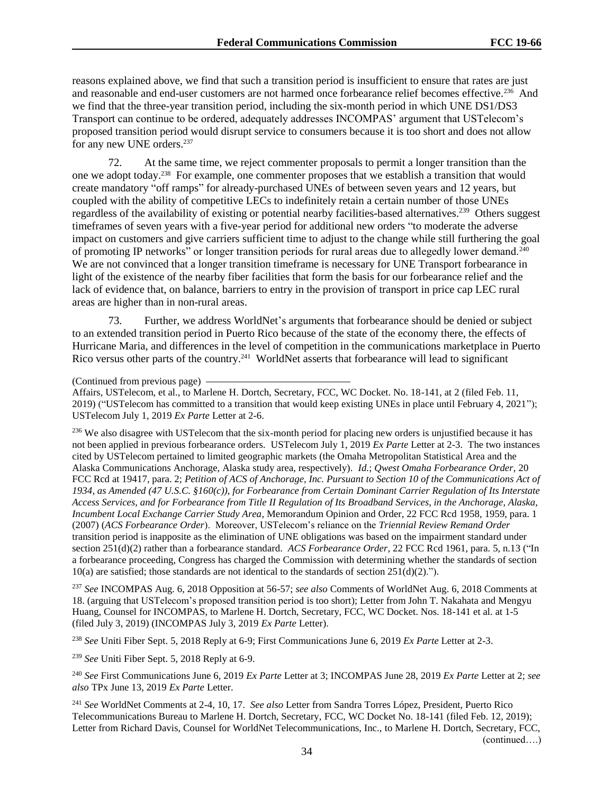reasons explained above, we find that such a transition period is insufficient to ensure that rates are just and reasonable and end-user customers are not harmed once forbearance relief becomes effective.<sup>236</sup> And we find that the three-year transition period, including the six-month period in which UNE DS1/DS3 Transport can continue to be ordered, adequately addresses INCOMPAS' argument that USTelecom's proposed transition period would disrupt service to consumers because it is too short and does not allow for any new UNE orders.<sup>237</sup>

72. At the same time, we reject commenter proposals to permit a longer transition than the one we adopt today.<sup>238</sup> For example, one commenter proposes that we establish a transition that would create mandatory "off ramps" for already-purchased UNEs of between seven years and 12 years, but coupled with the ability of competitive LECs to indefinitely retain a certain number of those UNEs regardless of the availability of existing or potential nearby facilities-based alternatives.<sup>239</sup> Others suggest timeframes of seven years with a five-year period for additional new orders "to moderate the adverse impact on customers and give carriers sufficient time to adjust to the change while still furthering the goal of promoting IP networks" or longer transition periods for rural areas due to allegedly lower demand.<sup>240</sup> We are not convinced that a longer transition timeframe is necessary for UNE Transport forbearance in light of the existence of the nearby fiber facilities that form the basis for our forbearance relief and the lack of evidence that, on balance, barriers to entry in the provision of transport in price cap LEC rural areas are higher than in non-rural areas.

73. Further, we address WorldNet's arguments that forbearance should be denied or subject to an extended transition period in Puerto Rico because of the state of the economy there, the effects of Hurricane Maria, and differences in the level of competition in the communications marketplace in Puerto Rico versus other parts of the country.<sup>241</sup> WorldNet asserts that forbearance will lead to significant

Affairs, USTelecom, et al., to Marlene H. Dortch, Secretary, FCC, WC Docket. No. 18-141, at 2 (filed Feb. 11, 2019) ("USTelecom has committed to a transition that would keep existing UNEs in place until February 4, 2021"); USTelecom July 1, 2019 *Ex Parte* Letter at 2-6.

<sup>236</sup> We also disagree with USTelecom that the six-month period for placing new orders is unjustified because it has not been applied in previous forbearance orders. USTelecom July 1, 2019 *Ex Parte* Letter at 2-3. The two instances cited by USTelecom pertained to limited geographic markets (the Omaha Metropolitan Statistical Area and the Alaska Communications Anchorage, Alaska study area, respectively). *Id.*; *Qwest Omaha Forbearance Order*, 20 FCC Rcd at 19417, para. 2; *Petition of ACS of Anchorage, Inc. Pursuant to Section 10 of the Communications Act of 1934, as Amended (47 U.S.C. §160(c)), for Forbearance from Certain Dominant Carrier Regulation of Its Interstate Access Services, and for Forbearance from Title II Regulation of Its Broadband Services, in the Anchorage, Alaska, Incumbent Local Exchange Carrier Study Area*, Memorandum Opinion and Order, 22 FCC Rcd 1958, 1959, para. 1 (2007) (*ACS Forbearance Order*). Moreover, USTelecom's reliance on the *Triennial Review Remand Order*  transition period is inapposite as the elimination of UNE obligations was based on the impairment standard under section 251(d)(2) rather than a forbearance standard. *ACS Forbearance Order,* 22 FCC Rcd 1961, para. 5, n.13 ("In a forbearance proceeding, Congress has charged the Commission with determining whether the standards of section  $10(a)$  are satisfied; those standards are not identical to the standards of section  $251(d)(2)$ .").

<sup>237</sup> *See* INCOMPAS Aug. 6, 2018 Opposition at 56-57; *see also* Comments of WorldNet Aug. 6, 2018 Comments at 18. (arguing that USTelecom's proposed transition period is too short); Letter from John T. Nakahata and Mengyu Huang, Counsel for INCOMPAS, to Marlene H. Dortch, Secretary, FCC, WC Docket. Nos. 18-141 et al. at 1-5 (filed July 3, 2019) (INCOMPAS July 3, 2019 *Ex Parte* Letter).

<sup>238</sup> *See* Uniti Fiber Sept. 5, 2018 Reply at 6-9; First Communications June 6, 2019 *Ex Parte* Letter at 2-3.

<sup>239</sup> *See* Uniti Fiber Sept. 5, 2018 Reply at 6-9.

<sup>240</sup> *See* First Communications June 6, 2019 *Ex Parte* Letter at 3; INCOMPAS June 28, 2019 *Ex Parte* Letter at 2; *see also* TPx June 13, 2019 *Ex Parte* Letter.

<sup>241</sup> *See* WorldNet Comments at 2-4, 10, 17. *See also* Letter from Sandra Torres López, President, Puerto Rico Telecommunications Bureau to Marlene H. Dortch, Secretary, FCC, WC Docket No. 18-141 (filed Feb. 12, 2019); Letter from Richard Davis, Counsel for WorldNet Telecommunications, Inc., to Marlene H. Dortch, Secretary, FCC, (continued….)

<sup>(</sup>Continued from previous page)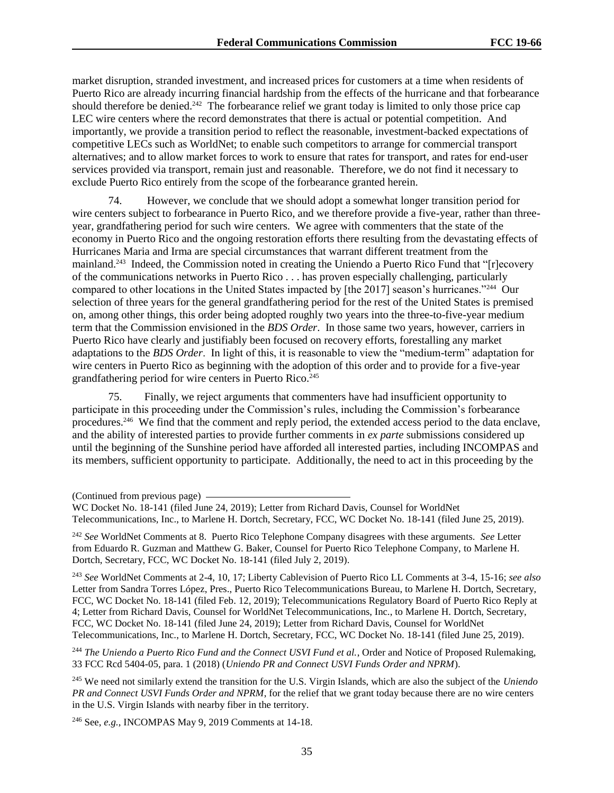market disruption, stranded investment, and increased prices for customers at a time when residents of Puerto Rico are already incurring financial hardship from the effects of the hurricane and that forbearance should therefore be denied.<sup>242</sup> The forbearance relief we grant today is limited to only those price cap LEC wire centers where the record demonstrates that there is actual or potential competition. And importantly, we provide a transition period to reflect the reasonable, investment-backed expectations of competitive LECs such as WorldNet; to enable such competitors to arrange for commercial transport alternatives; and to allow market forces to work to ensure that rates for transport, and rates for end-user services provided via transport, remain just and reasonable. Therefore, we do not find it necessary to exclude Puerto Rico entirely from the scope of the forbearance granted herein.

74. However, we conclude that we should adopt a somewhat longer transition period for wire centers subject to forbearance in Puerto Rico, and we therefore provide a five-year, rather than threeyear, grandfathering period for such wire centers. We agree with commenters that the state of the economy in Puerto Rico and the ongoing restoration efforts there resulting from the devastating effects of Hurricanes Maria and Irma are special circumstances that warrant different treatment from the mainland.<sup>243</sup> Indeed, the Commission noted in creating the Uniendo a Puerto Rico Fund that "[r]ecovery of the communications networks in Puerto Rico . . . has proven especially challenging, particularly compared to other locations in the United States impacted by [the 2017] season's hurricanes."<sup>244</sup> Our selection of three years for the general grandfathering period for the rest of the United States is premised on, among other things, this order being adopted roughly two years into the three-to-five-year medium term that the Commission envisioned in the *BDS Order*. In those same two years, however, carriers in Puerto Rico have clearly and justifiably been focused on recovery efforts, forestalling any market adaptations to the *BDS Order*. In light of this, it is reasonable to view the "medium-term" adaptation for wire centers in Puerto Rico as beginning with the adoption of this order and to provide for a five-year grandfathering period for wire centers in Puerto Rico.<sup>245</sup>

75. Finally, we reject arguments that commenters have had insufficient opportunity to participate in this proceeding under the Commission's rules, including the Commission's forbearance procedures.<sup>246</sup> We find that the comment and reply period, the extended access period to the data enclave, and the ability of interested parties to provide further comments in *ex parte* submissions considered up until the beginning of the Sunshine period have afforded all interested parties, including INCOMPAS and its members, sufficient opportunity to participate. Additionally, the need to act in this proceeding by the

<sup>242</sup> *See* WorldNet Comments at 8. Puerto Rico Telephone Company disagrees with these arguments. *See* Letter from Eduardo R. Guzman and Matthew G. Baker, Counsel for Puerto Rico Telephone Company, to Marlene H. Dortch, Secretary, FCC, WC Docket No. 18-141 (filed July 2, 2019).

<sup>243</sup> *See* WorldNet Comments at 2-4, 10, 17; Liberty Cablevision of Puerto Rico LL Comments at 3-4, 15-16; *see also* Letter from Sandra Torres López, Pres., Puerto Rico Telecommunications Bureau, to Marlene H. Dortch, Secretary, FCC, WC Docket No. 18-141 (filed Feb. 12, 2019); Telecommunications Regulatory Board of Puerto Rico Reply at 4; Letter from Richard Davis, Counsel for WorldNet Telecommunications, Inc., to Marlene H. Dortch, Secretary, FCC, WC Docket No. 18-141 (filed June 24, 2019); Letter from Richard Davis, Counsel for WorldNet Telecommunications, Inc., to Marlene H. Dortch, Secretary, FCC, WC Docket No. 18-141 (filed June 25, 2019).

<sup>244</sup> The Uniendo a Puerto Rico Fund and the Connect USVI Fund et al., Order and Notice of Proposed Rulemaking, 33 FCC Rcd 5404-05, para. 1 (2018) (*Uniendo PR and Connect USVI Funds Order and NPRM*).

<sup>245</sup> We need not similarly extend the transition for the U.S. Virgin Islands, which are also the subject of the *Uniendo PR and Connect USVI Funds Order and NPRM*, for the relief that we grant today because there are no wire centers in the U.S. Virgin Islands with nearby fiber in the territory.

<sup>246</sup> See, *e.g.*, INCOMPAS May 9, 2019 Comments at 14-18.

<sup>(</sup>Continued from previous page)

WC Docket No. 18-141 (filed June 24, 2019); Letter from Richard Davis, Counsel for WorldNet Telecommunications, Inc., to Marlene H. Dortch, Secretary, FCC, WC Docket No. 18-141 (filed June 25, 2019).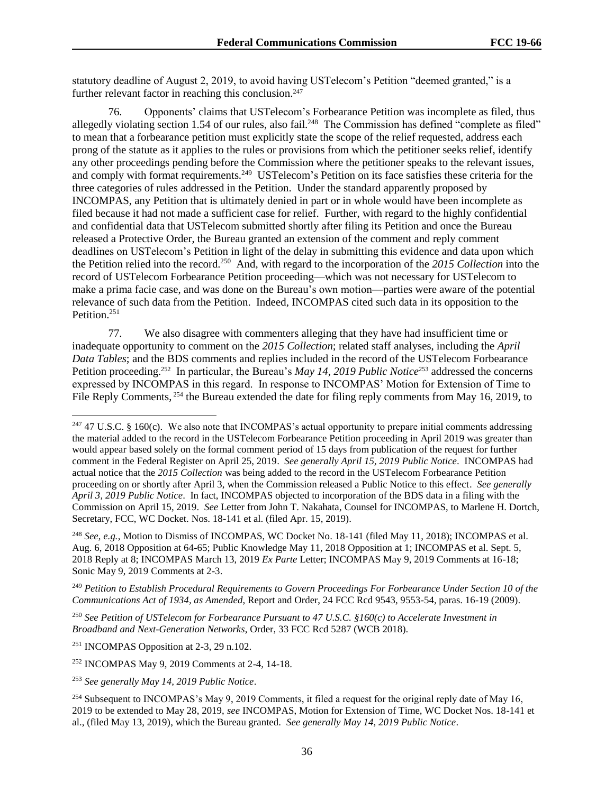statutory deadline of August 2, 2019, to avoid having USTelecom's Petition "deemed granted," is a further relevant factor in reaching this conclusion.<sup>247</sup>

76. Opponents' claims that USTelecom's Forbearance Petition was incomplete as filed, thus allegedly violating section 1.54 of our rules, also fail.<sup>248</sup> The Commission has defined "complete as filed" to mean that a forbearance petition must explicitly state the scope of the relief requested, address each prong of the statute as it applies to the rules or provisions from which the petitioner seeks relief, identify any other proceedings pending before the Commission where the petitioner speaks to the relevant issues, and comply with format requirements.<sup>249</sup> USTelecom's Petition on its face satisfies these criteria for the three categories of rules addressed in the Petition. Under the standard apparently proposed by INCOMPAS, any Petition that is ultimately denied in part or in whole would have been incomplete as filed because it had not made a sufficient case for relief. Further, with regard to the highly confidential and confidential data that USTelecom submitted shortly after filing its Petition and once the Bureau released a Protective Order, the Bureau granted an extension of the comment and reply comment deadlines on USTelecom's Petition in light of the delay in submitting this evidence and data upon which the Petition relied into the record.<sup>250</sup> And, with regard to the incorporation of the *2015 Collection* into the record of USTelecom Forbearance Petition proceeding—which was not necessary for USTelecom to make a prima facie case, and was done on the Bureau's own motion—parties were aware of the potential relevance of such data from the Petition. Indeed, INCOMPAS cited such data in its opposition to the Petition.<sup>251</sup>

77. We also disagree with commenters alleging that they have had insufficient time or inadequate opportunity to comment on the *2015 Collection*; related staff analyses, including the *April Data Tables*; and the BDS comments and replies included in the record of the USTelecom Forbearance Petition proceeding.<sup>252</sup> In particular, the Bureau's *May 14, 2019 Public Notice*<sup>253</sup> addressed the concerns expressed by INCOMPAS in this regard. In response to INCOMPAS' Motion for Extension of Time to File Reply Comments, <sup>254</sup> the Bureau extended the date for filing reply comments from May 16, 2019, to

<sup>248</sup> *See*, *e.g.*, Motion to Dismiss of INCOMPAS, WC Docket No. 18-141 (filed May 11, 2018); INCOMPAS et al. Aug. 6, 2018 Opposition at 64-65; Public Knowledge May 11, 2018 Opposition at 1; INCOMPAS et al. Sept. 5, 2018 Reply at 8; INCOMPAS March 13, 2019 *Ex Parte* Letter; INCOMPAS May 9, 2019 Comments at 16-18; Sonic May 9, 2019 Comments at 2-3.

<sup>249</sup> *Petition to Establish Procedural Requirements to Govern Proceedings For Forbearance Under Section 10 of the Communications Act of 1934, as Amended*, Report and Order, 24 FCC Rcd 9543, 9553-54, paras. 16-19 (2009).

<sup>250</sup> *See Petition of USTelecom for Forbearance Pursuant to 47 U.S.C. §160(c) to Accelerate Investment in Broadband and Next-Generation Networks*, Order, 33 FCC Rcd 5287 (WCB 2018).

<sup>251</sup> INCOMPAS Opposition at 2-3, 29 n.102.

l

<sup>252</sup> INCOMPAS May 9, 2019 Comments at 2-4, 14-18.

<sup>253</sup> *See generally May 14, 2019 Public Notice*.

<sup>&</sup>lt;sup>247</sup> 47 U.S.C. § 160(c). We also note that INCOMPAS's actual opportunity to prepare initial comments addressing the material added to the record in the USTelecom Forbearance Petition proceeding in April 2019 was greater than would appear based solely on the formal comment period of 15 days from publication of the request for further comment in the Federal Register on April 25, 2019. *See generally April 15, 2019 Public Notice*. INCOMPAS had actual notice that the *2015 Collection* was being added to the record in the USTelecom Forbearance Petition proceeding on or shortly after April 3, when the Commission released a Public Notice to this effect. *See generally April 3, 2019 Public Notice*. In fact, INCOMPAS objected to incorporation of the BDS data in a filing with the Commission on April 15, 2019. *See* Letter from John T. Nakahata, Counsel for INCOMPAS, to Marlene H. Dortch, Secretary, FCC, WC Docket. Nos. 18-141 et al. (filed Apr. 15, 2019).

<sup>&</sup>lt;sup>254</sup> Subsequent to INCOMPAS's May 9, 2019 Comments, it filed a request for the original reply date of May 16, 2019 to be extended to May 28, 2019, *see* INCOMPAS, Motion for Extension of Time, WC Docket Nos. 18-141 et al., (filed May 13, 2019), which the Bureau granted. *See generally May 14, 2019 Public Notice*.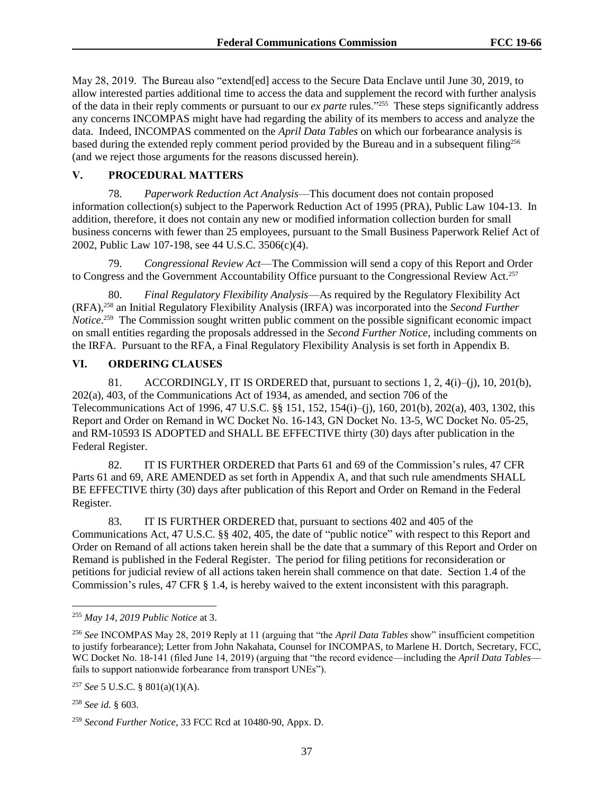May 28, 2019. The Bureau also "extend[ed] access to the Secure Data Enclave until June 30, 2019, to allow interested parties additional time to access the data and supplement the record with further analysis of the data in their reply comments or pursuant to our *ex parte* rules."<sup>255</sup> These steps significantly address any concerns INCOMPAS might have had regarding the ability of its members to access and analyze the data. Indeed, INCOMPAS commented on the *April Data Tables* on which our forbearance analysis is based during the extended reply comment period provided by the Bureau and in a subsequent filing<sup>256</sup> (and we reject those arguments for the reasons discussed herein).

#### **V. PROCEDURAL MATTERS**

78. *Paperwork Reduction Act Analysis*—This document does not contain proposed information collection(s) subject to the Paperwork Reduction Act of 1995 (PRA), Public Law 104-13. In addition, therefore, it does not contain any new or modified information collection burden for small business concerns with fewer than 25 employees, pursuant to the Small Business Paperwork Relief Act of 2002, Public Law 107-198, see 44 U.S.C. 3506(c)(4).

79. *Congressional Review Act*—The Commission will send a copy of this Report and Order to Congress and the Government Accountability Office pursuant to the Congressional Review Act.<sup>257</sup>

80. *Final Regulatory Flexibility Analysis*—As required by the Regulatory Flexibility Act (RFA),<sup>258</sup> an Initial Regulatory Flexibility Analysis (IRFA) was incorporated into the *Second Further Notice*.<sup>259</sup> The Commission sought written public comment on the possible significant economic impact on small entities regarding the proposals addressed in the *Second Further Notice*, including comments on the IRFA. Pursuant to the RFA, a Final Regulatory Flexibility Analysis is set forth in Appendix B.

# **VI. ORDERING CLAUSES**

81. ACCORDINGLY, IT IS ORDERED that, pursuant to sections  $1, 2, 4(i)$ –(i),  $10, 201(b)$ , 202(a), 403, of the Communications Act of 1934, as amended, and section 706 of the Telecommunications Act of 1996, 47 U.S.C. §§ 151, 152, 154(i)–(j), 160, 201(b), 202(a), 403, 1302, this Report and Order on Remand in WC Docket No. 16-143, GN Docket No. 13-5, WC Docket No. 05-25, and RM-10593 IS ADOPTED and SHALL BE EFFECTIVE thirty (30) days after publication in the Federal Register.

82. IT IS FURTHER ORDERED that Parts 61 and 69 of the Commission's rules, 47 CFR Parts 61 and 69, ARE AMENDED as set forth in Appendix A, and that such rule amendments SHALL BE EFFECTIVE thirty (30) days after publication of this Report and Order on Remand in the Federal Register.

83. IT IS FURTHER ORDERED that, pursuant to sections 402 and 405 of the Communications Act, 47 U.S.C. §§ 402, 405, the date of "public notice" with respect to this Report and Order on Remand of all actions taken herein shall be the date that a summary of this Report and Order on Remand is published in the Federal Register. The period for filing petitions for reconsideration or petitions for judicial review of all actions taken herein shall commence on that date. Section 1.4 of the Commission's rules, 47 CFR § 1.4, is hereby waived to the extent inconsistent with this paragraph.

l

<sup>255</sup> *May 14, 2019 Public Notice* at 3.

<sup>256</sup> *See* INCOMPAS May 28, 2019 Reply at 11 (arguing that "the *April Data Tables* show" insufficient competition to justify forbearance); Letter from John Nakahata, Counsel for INCOMPAS, to Marlene H. Dortch, Secretary, FCC, WC Docket No. 18-141 (filed June 14, 2019) (arguing that "the record evidence—including the *April Data Tables* fails to support nationwide forbearance from transport UNEs").

<sup>257</sup> *See* 5 U.S.C. § 801(a)(1)(A).

<sup>258</sup> *See id.* § 603.

<sup>259</sup> *Second Further Notice*, 33 FCC Rcd at 10480-90, Appx. D.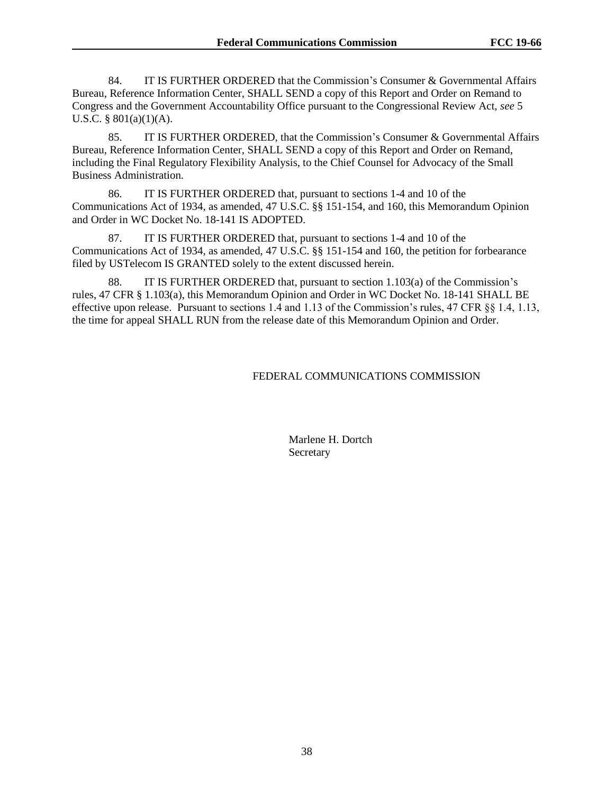84. IT IS FURTHER ORDERED that the Commission's Consumer & Governmental Affairs Bureau, Reference Information Center, SHALL SEND a copy of this Report and Order on Remand to Congress and the Government Accountability Office pursuant to the Congressional Review Act, *see* 5 U.S.C. § 801(a)(1)(A).

85. IT IS FURTHER ORDERED, that the Commission's Consumer & Governmental Affairs Bureau, Reference Information Center, SHALL SEND a copy of this Report and Order on Remand, including the Final Regulatory Flexibility Analysis, to the Chief Counsel for Advocacy of the Small Business Administration.

86. IT IS FURTHER ORDERED that, pursuant to sections 1-4 and 10 of the Communications Act of 1934, as amended, 47 U.S.C. §§ 151-154, and 160, this Memorandum Opinion and Order in WC Docket No. 18-141 IS ADOPTED.

87. IT IS FURTHER ORDERED that, pursuant to sections 1-4 and 10 of the Communications Act of 1934, as amended, 47 U.S.C. §§ 151-154 and 160, the petition for forbearance filed by USTelecom IS GRANTED solely to the extent discussed herein.

88. IT IS FURTHER ORDERED that, pursuant to section 1.103(a) of the Commission's rules, 47 CFR § 1.103(a), this Memorandum Opinion and Order in WC Docket No. 18-141 SHALL BE effective upon release. Pursuant to sections 1.4 and 1.13 of the Commission's rules, 47 CFR §§ 1.4, 1.13, the time for appeal SHALL RUN from the release date of this Memorandum Opinion and Order.

# FEDERAL COMMUNICATIONS COMMISSION

Marlene H. Dortch **Secretary**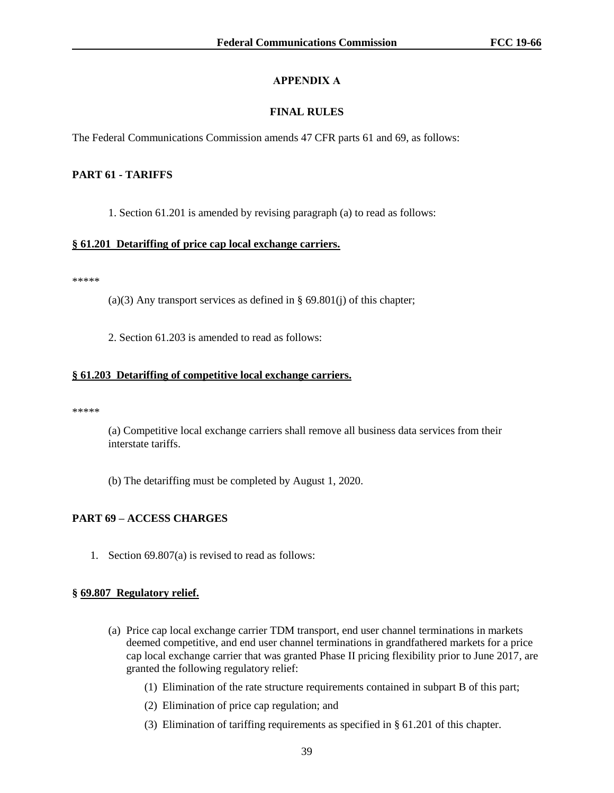# **APPENDIX A**

# **FINAL RULES**

The Federal Communications Commission amends 47 CFR parts 61 and 69, as follows:

## **PART 61 - TARIFFS**

1. Section 61.201 is amended by revising paragraph (a) to read as follows:

#### **§ 61.201 Detariffing of price cap local exchange carriers.**

\*\*\*\*\*

(a)(3) Any transport services as defined in  $\S 69.801(j)$  of this chapter;

2. Section 61.203 is amended to read as follows:

#### **§ 61.203 Detariffing of competitive local exchange carriers.**

\*\*\*\*\*

(a) Competitive local exchange carriers shall remove all business data services from their interstate tariffs.

(b) The detariffing must be completed by August 1, 2020.

# **PART 69 – ACCESS CHARGES**

1. Section 69.807(a) is revised to read as follows:

#### **§ 69.807 Regulatory relief.**

- (a) Price cap local exchange carrier TDM transport, end user channel terminations in markets deemed competitive, and end user channel terminations in grandfathered markets for a price cap local exchange carrier that was granted Phase II pricing flexibility prior to June 2017, are granted the following regulatory relief:
	- (1) Elimination of the rate structure requirements contained in subpart B of this part;
	- (2) Elimination of price cap regulation; and
	- (3) Elimination of tariffing requirements as specified in § 61.201 of this chapter.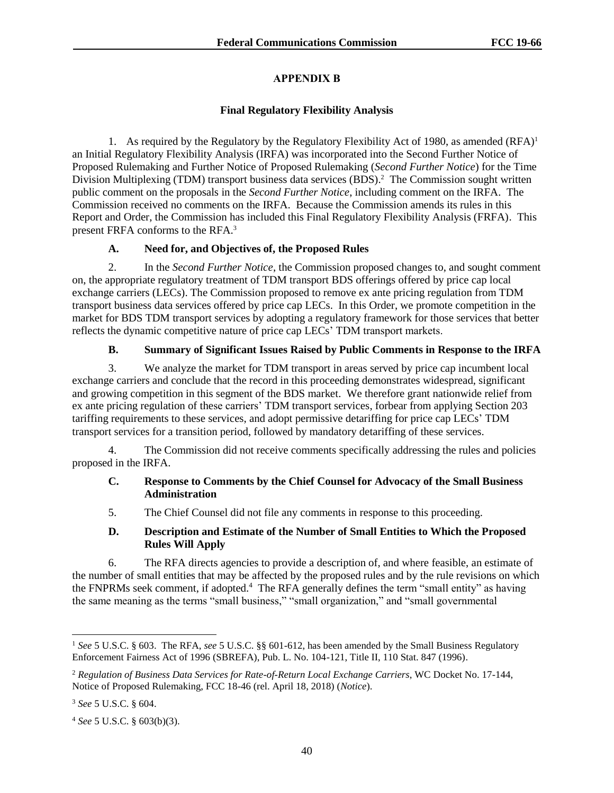# **APPENDIX B**

# **Final Regulatory Flexibility Analysis**

1. As required by the Regulatory by the Regulatory Flexibility Act of 1980, as amended  $(RFA)^1$ an Initial Regulatory Flexibility Analysis (IRFA) was incorporated into the Second Further Notice of Proposed Rulemaking and Further Notice of Proposed Rulemaking (*Second Further Notice*) for the Time Division Multiplexing (TDM) transport business data services (BDS). 2 The Commission sought written public comment on the proposals in the *Second Further Notice*, including comment on the IRFA. The Commission received no comments on the IRFA. Because the Commission amends its rules in this Report and Order, the Commission has included this Final Regulatory Flexibility Analysis (FRFA). This present FRFA conforms to the RFA.<sup>3</sup>

# **A. Need for, and Objectives of, the Proposed Rules**

2. In the *Second Further Notice*, the Commission proposed changes to, and sought comment on, the appropriate regulatory treatment of TDM transport BDS offerings offered by price cap local exchange carriers (LECs). The Commission proposed to remove ex ante pricing regulation from TDM transport business data services offered by price cap LECs. In this Order, we promote competition in the market for BDS TDM transport services by adopting a regulatory framework for those services that better reflects the dynamic competitive nature of price cap LECs' TDM transport markets.

# **B. Summary of Significant Issues Raised by Public Comments in Response to the IRFA**

3. We analyze the market for TDM transport in areas served by price cap incumbent local exchange carriers and conclude that the record in this proceeding demonstrates widespread, significant and growing competition in this segment of the BDS market. We therefore grant nationwide relief from ex ante pricing regulation of these carriers' TDM transport services, forbear from applying Section 203 tariffing requirements to these services, and adopt permissive detariffing for price cap LECs' TDM transport services for a transition period, followed by mandatory detariffing of these services.

4. The Commission did not receive comments specifically addressing the rules and policies proposed in the IRFA.

## **C. Response to Comments by the Chief Counsel for Advocacy of the Small Business Administration**

5. The Chief Counsel did not file any comments in response to this proceeding.

# **D. Description and Estimate of the Number of Small Entities to Which the Proposed Rules Will Apply**

6. The RFA directs agencies to provide a description of, and where feasible, an estimate of the number of small entities that may be affected by the proposed rules and by the rule revisions on which the FNPRMs seek comment, if adopted.<sup>4</sup> The RFA generally defines the term "small entity" as having the same meaning as the terms "small business," "small organization," and "small governmental

l

<sup>1</sup> *See* 5 U.S.C. § 603. The RFA, *see* 5 U.S.C. §§ 601-612, has been amended by the Small Business Regulatory Enforcement Fairness Act of 1996 (SBREFA), Pub. L. No. 104-121, Title II, 110 Stat. 847 (1996).

<sup>2</sup> *Regulation of Business Data Services for Rate-of-Return Local Exchange Carriers*, WC Docket No. 17-144, Notice of Proposed Rulemaking, FCC 18-46 (rel. April 18, 2018) (*Notice*).

<sup>3</sup> *See* 5 U.S.C. § 604.

<sup>4</sup> *See* 5 U.S.C. § 603(b)(3).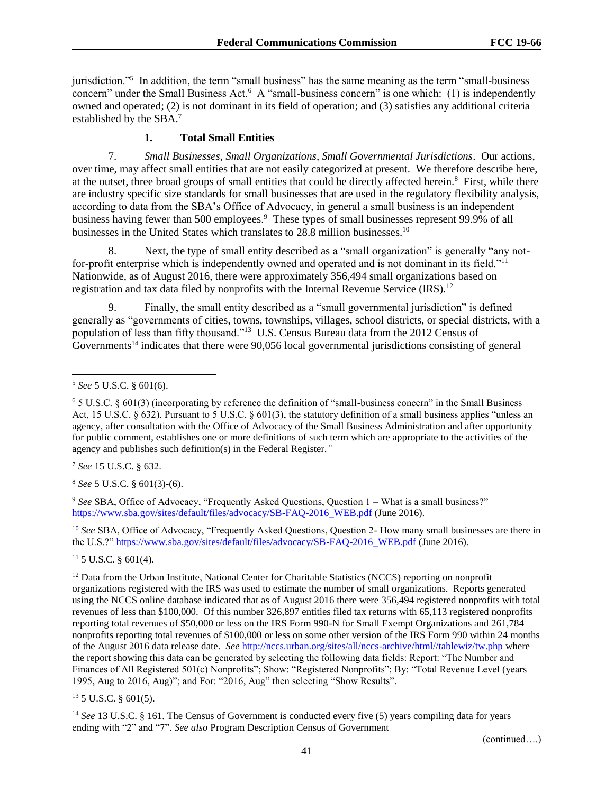jurisdiction."<sup>5</sup> In addition, the term "small business" has the same meaning as the term "small-business concern" under the Small Business Act.<sup>6</sup> A "small-business concern" is one which: (1) is independently owned and operated; (2) is not dominant in its field of operation; and (3) satisfies any additional criteria established by the SBA.<sup>7</sup>

## **1. Total Small Entities**

7. *Small Businesses, Small Organizations, Small Governmental Jurisdictions*. Our actions, over time, may affect small entities that are not easily categorized at present. We therefore describe here, at the outset, three broad groups of small entities that could be directly affected herein.<sup>8</sup> First, while there are industry specific size standards for small businesses that are used in the regulatory flexibility analysis, according to data from the SBA's Office of Advocacy, in general a small business is an independent business having fewer than 500 employees.<sup>9</sup> These types of small businesses represent 99.9% of all businesses in the United States which translates to 28.8 million businesses.<sup>10</sup>

8. Next, the type of small entity described as a "small organization" is generally "any notfor-profit enterprise which is independently owned and operated and is not dominant in its field."<sup>11</sup> Nationwide, as of August 2016, there were approximately 356,494 small organizations based on registration and tax data filed by nonprofits with the Internal Revenue Service  $(IRS).<sup>12</sup>$ 

9. Finally, the small entity described as a "small governmental jurisdiction" is defined generally as "governments of cities, towns, townships, villages, school districts, or special districts, with a population of less than fifty thousand."<sup>13</sup> U.S. Census Bureau data from the 2012 Census of  $Gover$  Governments<sup>14</sup> indicates that there were 90,056 local governmental jurisdictions consisting of general

l

<sup>7</sup> *See* 15 U.S.C. § 632.

<sup>8</sup> *See* 5 U.S.C. § 601(3)-(6).

<sup>9</sup> *See* SBA, Office of Advocacy, "Frequently Asked Questions, Question 1 – What is a small business?" [https://www.sba.gov/sites/default/files/advocacy/SB-FAQ-2016\\_WEB.pdf](https://www.sba.gov/sites/default/files/advocacy/SB-FAQ-2016_WEB.pdf) (June 2016).

<sup>10</sup> *See* SBA, Office of Advocacy, "Frequently Asked Questions, Question 2- How many small businesses are there in the U.S.?" [https://www.sba.gov/sites/default/files/advocacy/SB-FAQ-2016\\_WEB.pdf](https://www.sba.gov/sites/default/files/advocacy/SB-FAQ-2016_WEB.pdf) (June 2016).

 $11$  5 U.S.C. § 601(4).

<sup>12</sup> Data from the Urban Institute, National Center for Charitable Statistics (NCCS) reporting on nonprofit organizations registered with the IRS was used to estimate the number of small organizations. Reports generated using the NCCS online database indicated that as of August 2016 there were 356,494 registered nonprofits with total revenues of less than \$100,000. Of this number 326,897 entities filed tax returns with 65,113 registered nonprofits reporting total revenues of \$50,000 or less on the IRS Form 990-N for Small Exempt Organizations and 261,784 nonprofits reporting total revenues of \$100,000 or less on some other version of the IRS Form 990 within 24 months of the August 2016 data release date. *See* [http://nccs.urban.org/sites/all/nccs-archive/html//tablewiz/tw.php](http://nccs.urban.org/sites/all/nccs-archive/html/tablewiz/tw.php) where the report showing this data can be generated by selecting the following data fields: Report: "The Number and Finances of All Registered 501(c) Nonprofits"; Show: "Registered Nonprofits"; By: "Total Revenue Level (years 1995, Aug to 2016, Aug)"; and For: "2016, Aug" then selecting "Show Results".

 $13$  5 U.S.C. § 601(5).

<sup>14</sup> *See* 13 U.S.C. § 161. The Census of Government is conducted every five (5) years compiling data for years ending with "2" and "7". *See also* Program Description Census of Government

<sup>5</sup> *See* 5 U.S.C. § 601(6).

<sup>6</sup> 5 U.S.C. § 601(3) (incorporating by reference the definition of "small-business concern" in the Small Business Act, 15 U.S.C.  $\S$  632). Pursuant to 5 U.S.C.  $\S$  601(3), the statutory definition of a small business applies "unless an agency, after consultation with the Office of Advocacy of the Small Business Administration and after opportunity for public comment, establishes one or more definitions of such term which are appropriate to the activities of the agency and publishes such definition(s) in the Federal Register.*"*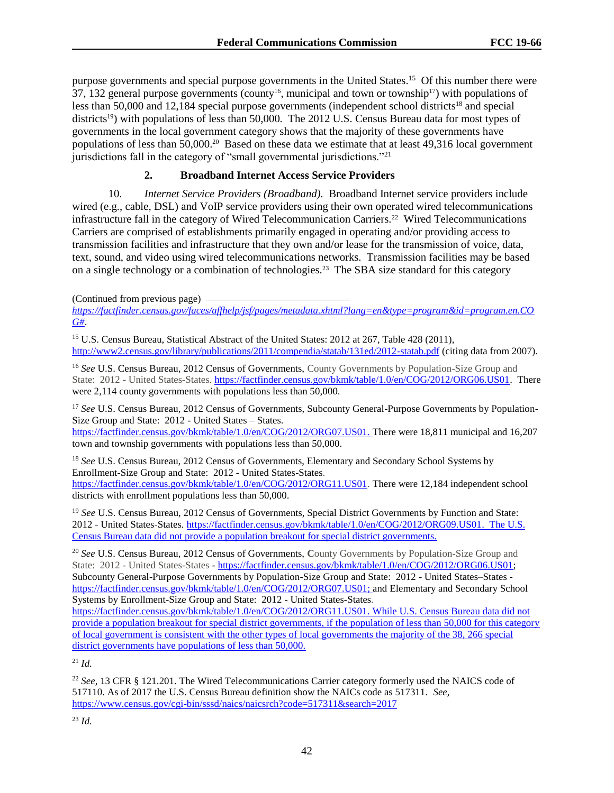purpose governments and special purpose governments in the United States.<sup>15</sup> Of this number there were 37, 132 general purpose governments (county<sup>16</sup>, municipal and town or township<sup>17</sup>) with populations of less than 50,000 and 12,184 special purpose governments (independent school districts<sup>18</sup> and special districts<sup>19</sup>) with populations of less than 50,000. The 2012 U.S. Census Bureau data for most types of governments in the local government category shows that the majority of these governments have populations of less than 50,000.<sup>20</sup> Based on these data we estimate that at least 49,316 local government jurisdictions fall in the category of "small governmental jurisdictions."<sup>21</sup>

# **2. Broadband Internet Access Service Providers**

10. *Internet Service Providers (Broadband).* Broadband Internet service providers include wired (e.g., cable, DSL) and VoIP service providers using their own operated wired telecommunications infrastructure fall in the category of Wired Telecommunication Carriers.<sup>22</sup> Wired Telecommunications Carriers are comprised of establishments primarily engaged in operating and/or providing access to transmission facilities and infrastructure that they own and/or lease for the transmission of voice, data, text, sound, and video using wired telecommunications networks. Transmission facilities may be based on a single technology or a combination of technologies.<sup>23</sup> The SBA size standard for this category

(Continued from previous page)

*[https://factfinder.census.gov/faces/affhelp/jsf/pages/metadata.xhtml?lang=en&type=program&id=program.en.CO](https://factfinder.census.gov/faces/affhelp/jsf/pages/metadata.xhtml?lang=en&type=program&id=program.en.COG) [G#](https://factfinder.census.gov/faces/affhelp/jsf/pages/metadata.xhtml?lang=en&type=program&id=program.en.COG)*.

<sup>15</sup> U.S. Census Bureau, Statistical Abstract of the United States: 2012 at 267, Table 428 (2011). <http://www2.census.gov/library/publications/2011/compendia/statab/131ed/2012-statab.pdf> (citing data from 2007).

<sup>16</sup> *See* U.S. Census Bureau, 2012 Census of Governments, County Governments by Population-Size Group and State: 2012 **-** United States-States. [https://factfinder.census.gov/bkmk/table/1.0/en/COG/2012/ORG06.US01.](https://factfinder.census.gov/bkmk/table/1.0/en/COG/2012/ORG06.US01) There were 2,114 county governments with populations less than 50,000.

<sup>17</sup> See U.S. Census Bureau, 2012 Census of Governments, Subcounty General-Purpose Governments by Population-Size Group and State: 2012 - United States – States. [https://factfinder.census.gov/bkmk/table/1.0/en/COG/2012/ORG07.US01.](https://factfinder.census.gov/bkmk/table/1.0/en/COG/2012/ORG07.US01) There were 18,811 municipal and 16,207

town and township governments with populations less than 50,000.

<sup>18</sup> *See* U.S. Census Bureau, 2012 Census of Governments, Elementary and Secondary School Systems by Enrollment-Size Group and State: 2012 - United States-States. [https://factfinder.census.gov/bkmk/table/1.0/en/COG/2012/ORG11.US01.](https://factfinder.census.gov/bkmk/table/1.0/en/COG/2012/ORG11.US01) There were 12,184 independent school districts with enrollment populations less than 50,000.

<sup>19</sup> See U.S. Census Bureau, 2012 Census of Governments, Special District Governments by Function and State: 2012 - United States-States. [https://factfinder.census.gov/bkmk/table/1.0/en/COG/2012/ORG09.US01.](https://factfinder.census.gov/bkmk/table/1.0/en/COG/2012/ORG09.US01) The U.S. Census Bureau data did not provide a population breakout for special district governments.

<sup>20</sup> *See* U.S. Census Bureau, 2012 Census of Governments, **C**ounty Governments by Population-Size Group and State: 2012 - United States-States **-** [https://factfinder.census.gov/bkmk/table/1.0/en/COG/2012/ORG06.US01;](https://factfinder.census.gov/bkmk/table/1.0/en/COG/2012/ORG06.US01) Subcounty General-Purpose Governments by Population-Size Group and State: 2012 - United States–States [https://factfinder.census.gov/bkmk/table/1.0/en/COG/2012/ORG07.US01;](https://factfinder.census.gov/bkmk/table/1.0/en/COG/2012/ORG07.US01) and Elementary and Secondary School Systems by Enrollment-Size Group and State: 2012 - United States-States.

[https://factfinder.census.gov/bkmk/table/1.0/en/COG/2012/ORG11.US01.](https://factfinder.census.gov/bkmk/table/1.0/en/COG/2012/ORG11.US01) While U.S. Census Bureau data did not provide a population breakout for special district governments, if the population of less than 50,000 for this category of local government is consistent with the other types of local governments the majority of the 38, 266 special district governments have populations of less than 50,000.

 $^{21}$  *Id.* 

<sup>22</sup> *See*, 13 CFR § 121.201. The Wired Telecommunications Carrier category formerly used the NAICS code of 517110. As of 2017 the U.S. Census Bureau definition show the NAICs code as 517311. *See*, <https://www.census.gov/cgi-bin/sssd/naics/naicsrch?code=517311&search=2017>

<sup>23</sup> *Id.*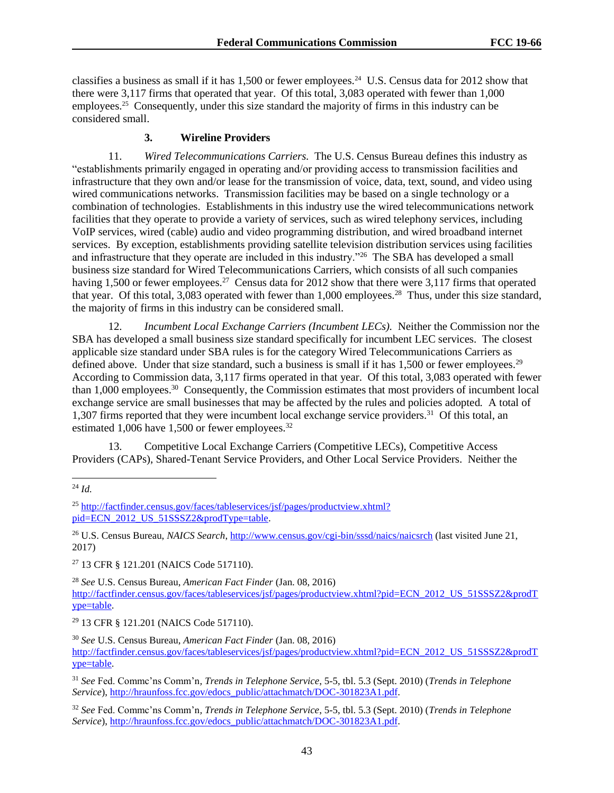classifies a business as small if it has  $1,500$  or fewer employees.<sup>24</sup> U.S. Census data for 2012 show that there were 3,117 firms that operated that year. Of this total, 3,083 operated with fewer than 1,000 employees.<sup>25</sup> Consequently, under this size standard the majority of firms in this industry can be considered small.

#### **3. Wireline Providers**

11. *Wired Telecommunications Carriers.* The U.S. Census Bureau defines this industry as "establishments primarily engaged in operating and/or providing access to transmission facilities and infrastructure that they own and/or lease for the transmission of voice, data, text, sound, and video using wired communications networks. Transmission facilities may be based on a single technology or a combination of technologies. Establishments in this industry use the wired telecommunications network facilities that they operate to provide a variety of services, such as wired telephony services, including VoIP services, wired (cable) audio and video programming distribution, and wired broadband internet services. By exception, establishments providing satellite television distribution services using facilities and infrastructure that they operate are included in this industry."<sup>26</sup> The SBA has developed a small business size standard for Wired Telecommunications Carriers, which consists of all such companies having 1,500 or fewer employees.<sup>27</sup> Census data for 2012 show that there were 3,117 firms that operated that year. Of this total, 3,083 operated with fewer than 1,000 employees.<sup>28</sup> Thus, under this size standard, the majority of firms in this industry can be considered small.

12. *Incumbent Local Exchange Carriers (Incumbent LECs).* Neither the Commission nor the SBA has developed a small business size standard specifically for incumbent LEC services. The closest applicable size standard under SBA rules is for the category Wired Telecommunications Carriers as defined above. Under that size standard, such a business is small if it has 1,500 or fewer employees.<sup>29</sup> According to Commission data, 3,117 firms operated in that year. Of this total, 3,083 operated with fewer than 1,000 employees.<sup>30</sup> Consequently, the Commission estimates that most providers of incumbent local exchange service are small businesses that may be affected by the rules and policies adopted*.* A total of 1,307 firms reported that they were incumbent local exchange service providers.<sup>31</sup> Of this total, an estimated 1,006 have 1,500 or fewer employees. $32$ 

13. Competitive Local Exchange Carriers (Competitive LECs), Competitive Access Providers (CAPs), Shared-Tenant Service Providers, and Other Local Service Providers. Neither the

l

<sup>26</sup> U.S. Census Bureau, *NAICS Search*[, http://www.census.gov/cgi-bin/sssd/naics/naicsrch](http://www.census.gov/cgi-bin/sssd/naics/naicsrch) (last visited June 21, 2017)

<sup>27</sup> 13 CFR § 121.201 (NAICS Code 517110).

<sup>28</sup> *See* U.S. Census Bureau, *American Fact Finder* (Jan. 08, 2016) [http://factfinder.census.gov/faces/tableservices/jsf/pages/productview.xhtml?pid=ECN\\_2012\\_US\\_51SSSZ2&prodT](http://factfinder.census.gov/faces/tableservices/jsf/pages/productview.xhtml?pid=ECN_2012_US_51SSSZ2&prodType=table) [ype=table.](http://factfinder.census.gov/faces/tableservices/jsf/pages/productview.xhtml?pid=ECN_2012_US_51SSSZ2&prodType=table)

<sup>29</sup> 13 CFR § 121.201 (NAICS Code 517110).

<sup>24</sup> *Id.*

<sup>25</sup> [http://factfinder.census.gov/faces/tableservices/jsf/pages/productview.xhtml?](http://factfinder.census.gov/faces/tableservices/jsf/pages/productview.xhtml?%20pid=ECN_2012_US_51SSSZ2&prodType=table)  [pid=ECN\\_2012\\_US\\_51SSSZ2&prodType=table.](http://factfinder.census.gov/faces/tableservices/jsf/pages/productview.xhtml?%20pid=ECN_2012_US_51SSSZ2&prodType=table)

<sup>30</sup> *See* U.S. Census Bureau, *American Fact Finder* (Jan. 08, 2016) [http://factfinder.census.gov/faces/tableservices/jsf/pages/productview.xhtml?pid=ECN\\_2012\\_US\\_51SSSZ2&prodT](http://factfinder.census.gov/faces/tableservices/jsf/pages/productview.xhtml?pid=ECN_2012_US_51SSSZ2&prodType=table) [ype=table.](http://factfinder.census.gov/faces/tableservices/jsf/pages/productview.xhtml?pid=ECN_2012_US_51SSSZ2&prodType=table)

<sup>31</sup> *See* Fed. Commc'ns Comm'n*, Trends in Telephone Service*, 5-5, tbl. 5.3 (Sept. 2010) (*Trends in Telephone Service*), [http://hraunfoss.fcc.gov/edocs\\_public/attachmatch/DOC-301823A1.pdf.](http://hraunfoss.fcc.gov/edocs_public/attachmatch/DOC-301823A1.pdf)

<sup>32</sup> *See* Fed. Commc'ns Comm'n*, Trends in Telephone Service*, 5-5, tbl. 5.3 (Sept. 2010) (*Trends in Telephone Service*), [http://hraunfoss.fcc.gov/edocs\\_public/attachmatch/DOC-301823A1.pdf.](http://hraunfoss.fcc.gov/edocs_public/attachmatch/DOC-301823A1.pdf)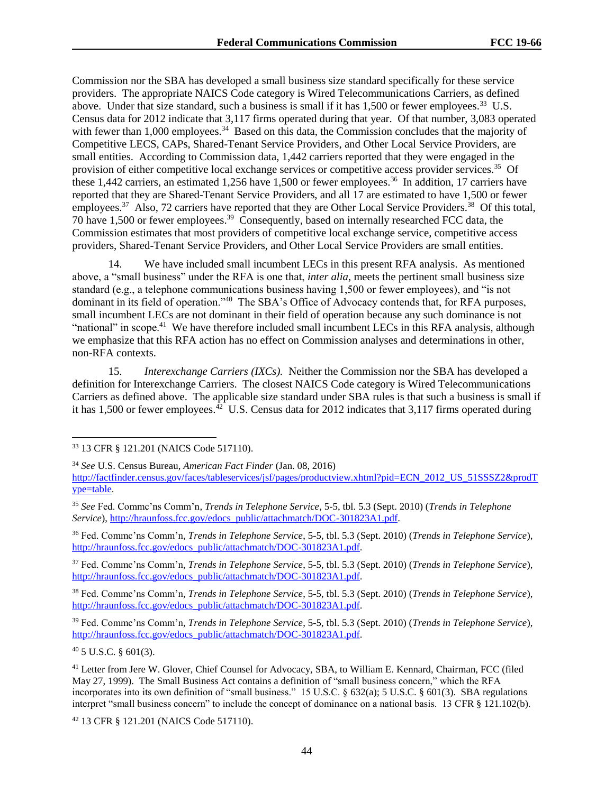Commission nor the SBA has developed a small business size standard specifically for these service providers. The appropriate NAICS Code category is Wired Telecommunications Carriers, as defined above. Under that size standard, such a business is small if it has 1,500 or fewer employees.<sup>33</sup> U.S. Census data for 2012 indicate that 3,117 firms operated during that year. Of that number, 3,083 operated with fewer than 1,000 employees.<sup>34</sup> Based on this data, the Commission concludes that the majority of Competitive LECS, CAPs, Shared-Tenant Service Providers, and Other Local Service Providers, are small entities. According to Commission data, 1,442 carriers reported that they were engaged in the provision of either competitive local exchange services or competitive access provider services.<sup>35</sup> Of these 1,442 carriers, an estimated 1,256 have 1,500 or fewer employees.<sup>36</sup> In addition, 17 carriers have reported that they are Shared-Tenant Service Providers, and all 17 are estimated to have 1,500 or fewer employees.<sup>37</sup> Also, 72 carriers have reported that they are Other Local Service Providers.<sup>38</sup> Of this total, 70 have 1,500 or fewer employees.<sup>39</sup> Consequently, based on internally researched FCC data, the Commission estimates that most providers of competitive local exchange service, competitive access providers, Shared-Tenant Service Providers, and Other Local Service Providers are small entities.

14. We have included small incumbent LECs in this present RFA analysis. As mentioned above, a "small business" under the RFA is one that, *inter alia*, meets the pertinent small business size standard (e.g., a telephone communications business having 1,500 or fewer employees), and "is not dominant in its field of operation."<sup>40</sup> The SBA's Office of Advocacy contends that, for RFA purposes, small incumbent LECs are not dominant in their field of operation because any such dominance is not "national" in scope.<sup>41</sup> We have therefore included small incumbent LECs in this RFA analysis, although we emphasize that this RFA action has no effect on Commission analyses and determinations in other, non-RFA contexts.

15. *Interexchange Carriers (IXCs).* Neither the Commission nor the SBA has developed a definition for Interexchange Carriers. The closest NAICS Code category is Wired Telecommunications Carriers as defined above. The applicable size standard under SBA rules is that such a business is small if it has  $1,500$  or fewer employees.<sup>42</sup> U.S. Census data for 2012 indicates that  $3,117$  firms operated during

<sup>36</sup> Fed. Commc'ns Comm'n*, Trends in Telephone Service*, 5-5, tbl. 5.3 (Sept. 2010) (*Trends in Telephone Service*), [http://hraunfoss.fcc.gov/edocs\\_public/attachmatch/DOC-301823A1.pdf.](http://hraunfoss.fcc.gov/edocs_public/attachmatch/DOC-301823A1.pdf)

<sup>37</sup> Fed. Commc'ns Comm'n*, Trends in Telephone Service*, 5-5, tbl. 5.3 (Sept. 2010) (*Trends in Telephone Service*), [http://hraunfoss.fcc.gov/edocs\\_public/attachmatch/DOC-301823A1.pdf.](http://hraunfoss.fcc.gov/edocs_public/attachmatch/DOC-301823A1.pdf)

<sup>38</sup> Fed. Commc'ns Comm'n*, Trends in Telephone Service*, 5-5, tbl. 5.3 (Sept. 2010) (*Trends in Telephone Service*), [http://hraunfoss.fcc.gov/edocs\\_public/attachmatch/DOC-301823A1.pdf.](http://hraunfoss.fcc.gov/edocs_public/attachmatch/DOC-301823A1.pdf)

<sup>39</sup> Fed. Commc'ns Comm'n*, Trends in Telephone Service*, 5-5, tbl. 5.3 (Sept. 2010) (*Trends in Telephone Service*), [http://hraunfoss.fcc.gov/edocs\\_public/attachmatch/DOC-301823A1.pdf.](http://hraunfoss.fcc.gov/edocs_public/attachmatch/DOC-301823A1.pdf)

 $40\,5$  U.S.C.  $\frac{601(3)}{3}$ .

l

<sup>42</sup> 13 CFR § 121.201 (NAICS Code 517110).

<sup>33</sup> 13 CFR § 121.201 (NAICS Code 517110).

<sup>34</sup> *See* U.S. Census Bureau, *American Fact Finder* (Jan. 08, 2016)

[http://factfinder.census.gov/faces/tableservices/jsf/pages/productview.xhtml?pid=ECN\\_2012\\_US\\_51SSSZ2&prodT](http://factfinder.census.gov/faces/tableservices/jsf/pages/productview.xhtml?pid=ECN_2012_US_51SSSZ2&prodType=table) [ype=table.](http://factfinder.census.gov/faces/tableservices/jsf/pages/productview.xhtml?pid=ECN_2012_US_51SSSZ2&prodType=table)

<sup>35</sup> *See* Fed. Commc'ns Comm'n*, Trends in Telephone Service*, 5-5, tbl. 5.3 (Sept. 2010) (*Trends in Telephone Service*), [http://hraunfoss.fcc.gov/edocs\\_public/attachmatch/DOC-301823A1.pdf.](http://hraunfoss.fcc.gov/edocs_public/attachmatch/DOC-301823A1.pdf)

<sup>41</sup> Letter from Jere W. Glover, Chief Counsel for Advocacy, SBA, to William E. Kennard, Chairman, FCC (filed May 27, 1999). The Small Business Act contains a definition of "small business concern," which the RFA incorporates into its own definition of "small business." 15 U.S.C. § 632(a); 5 U.S.C. § 601(3). SBA regulations interpret "small business concern" to include the concept of dominance on a national basis. 13 CFR § 121.102(b).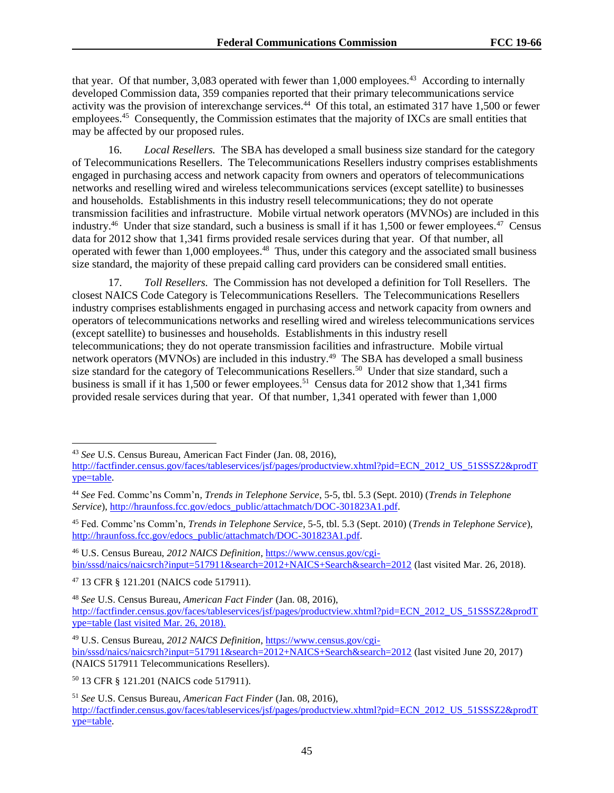that year. Of that number, 3,083 operated with fewer than 1,000 employees.<sup>43</sup> According to internally developed Commission data, 359 companies reported that their primary telecommunications service activity was the provision of interexchange services.<sup>44</sup> Of this total, an estimated 317 have 1,500 or fewer employees.<sup>45</sup> Consequently, the Commission estimates that the majority of IXCs are small entities that may be affected by our proposed rules.

16. *Local Resellers.* The SBA has developed a small business size standard for the category of Telecommunications Resellers. The Telecommunications Resellers industry comprises establishments engaged in purchasing access and network capacity from owners and operators of telecommunications networks and reselling wired and wireless telecommunications services (except satellite) to businesses and households. Establishments in this industry resell telecommunications; they do not operate transmission facilities and infrastructure. Mobile virtual network operators (MVNOs) are included in this industry.<sup>46</sup> Under that size standard, such a business is small if it has 1,500 or fewer employees.<sup>47</sup> Census data for 2012 show that 1,341 firms provided resale services during that year. Of that number, all operated with fewer than 1,000 employees.<sup>48</sup> Thus, under this category and the associated small business size standard, the majority of these prepaid calling card providers can be considered small entities.

17. *Toll Resellers.* The Commission has not developed a definition for Toll Resellers. The closest NAICS Code Category is Telecommunications Resellers. The Telecommunications Resellers industry comprises establishments engaged in purchasing access and network capacity from owners and operators of telecommunications networks and reselling wired and wireless telecommunications services (except satellite) to businesses and households. Establishments in this industry resell telecommunications; they do not operate transmission facilities and infrastructure. Mobile virtual network operators (MVNOs) are included in this industry.<sup>49</sup> The SBA has developed a small business size standard for the category of Telecommunications Resellers.<sup>50</sup> Under that size standard, such a business is small if it has 1,500 or fewer employees.<sup>51</sup> Census data for 2012 show that 1,341 firms provided resale services during that year. Of that number, 1,341 operated with fewer than 1,000

l

<sup>43</sup> *See* U.S. Census Bureau, American Fact Finder (Jan. 08, 2016),

[http://factfinder.census.gov/faces/tableservices/jsf/pages/productview.xhtml?pid=ECN\\_2012\\_US\\_51SSSZ2&prodT](http://factfinder.census.gov/faces/tableservices/jsf/pages/productview.xhtml?pid=ECN_2012_US_51SSSZ2&prodType=table) [ype=table.](http://factfinder.census.gov/faces/tableservices/jsf/pages/productview.xhtml?pid=ECN_2012_US_51SSSZ2&prodType=table)

<sup>44</sup> *See* Fed. Commc'ns Comm'n*, Trends in Telephone Service*, 5-5, tbl. 5.3 (Sept. 2010) (*Trends in Telephone Service*), [http://hraunfoss.fcc.gov/edocs\\_public/attachmatch/DOC-301823A1.pdf.](http://hraunfoss.fcc.gov/edocs_public/attachmatch/DOC-301823A1.pdf)

<sup>45</sup> Fed. Commc'ns Comm'n*, Trends in Telephone Service*, 5-5, tbl. 5.3 (Sept. 2010) (*Trends in Telephone Service*), [http://hraunfoss.fcc.gov/edocs\\_public/attachmatch/DOC-301823A1.pdf.](http://hraunfoss.fcc.gov/edocs_public/attachmatch/DOC-301823A1.pdf)

<sup>46</sup> U.S. Census Bureau, *2012 NAICS Definition*, [https://www.census.gov/cgi](https://www.census.gov/cgi-bin/sssd/naics/naicsrch?input=517911&search=2012+NAICS+Search&search=2012)[bin/sssd/naics/naicsrch?input=517911&search=2012+NAICS+Search&search=2012](https://www.census.gov/cgi-bin/sssd/naics/naicsrch?input=517911&search=2012+NAICS+Search&search=2012) (last visited Mar. 26, 2018).

<sup>47</sup> 13 CFR § 121.201 (NAICS code 517911).

<sup>48</sup> *See* U.S. Census Bureau, *American Fact Finder* (Jan. 08, 2016), [http://factfinder.census.gov/faces/tableservices/jsf/pages/productview.xhtml?pid=ECN\\_2012\\_US\\_51SSSZ2&prodT](http://factfinder.census.gov/faces/tableservices/jsf/pages/productview.xhtml?pid=ECN_2012_US_51SSSZ2&prodType=table) [ype=table](http://factfinder.census.gov/faces/tableservices/jsf/pages/productview.xhtml?pid=ECN_2012_US_51SSSZ2&prodType=table) (last visited Mar. 26, 2018).

<sup>49</sup> U.S. Census Bureau, *2012 NAICS Definition*, [https://www.census.gov/cgi](https://www.census.gov/cgi-bin/sssd/naics/naicsrch?input=517911&search=2012+NAICS+Search&search=2012)[bin/sssd/naics/naicsrch?input=517911&search=2012+NAICS+Search&search=2012](https://www.census.gov/cgi-bin/sssd/naics/naicsrch?input=517911&search=2012+NAICS+Search&search=2012) (last visited June 20, 2017) (NAICS 517911 Telecommunications Resellers).

<sup>50</sup> 13 CFR § 121.201 (NAICS code 517911).

<sup>51</sup> *See* U.S. Census Bureau, *American Fact Finder* (Jan. 08, 2016), [http://factfinder.census.gov/faces/tableservices/jsf/pages/productview.xhtml?pid=ECN\\_2012\\_US\\_51SSSZ2&prodT](http://factfinder.census.gov/faces/tableservices/jsf/pages/productview.xhtml?pid=ECN_2012_US_51SSSZ2&prodType=table) [ype=table.](http://factfinder.census.gov/faces/tableservices/jsf/pages/productview.xhtml?pid=ECN_2012_US_51SSSZ2&prodType=table)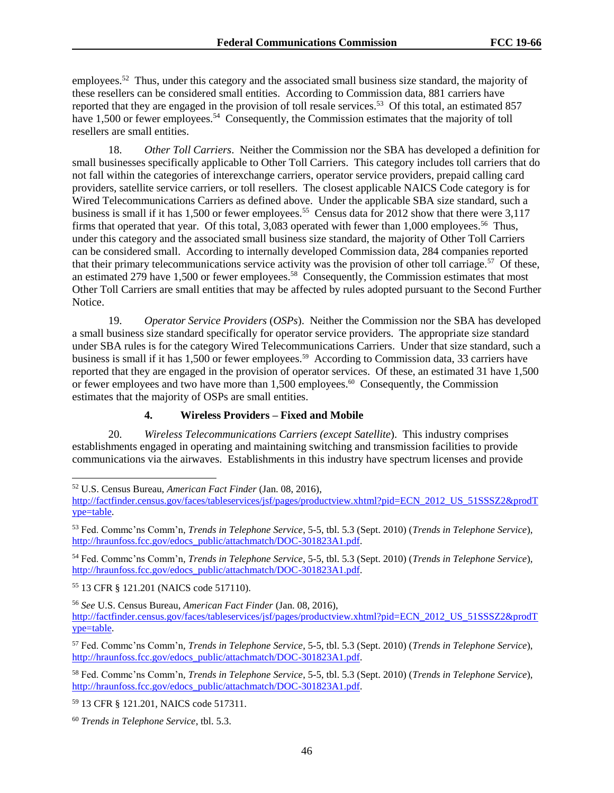employees.<sup>52</sup> Thus, under this category and the associated small business size standard, the majority of these resellers can be considered small entities. According to Commission data, 881 carriers have reported that they are engaged in the provision of toll resale services.<sup>53</sup> Of this total, an estimated 857 have 1,500 or fewer employees.<sup>54</sup> Consequently, the Commission estimates that the majority of toll resellers are small entities.

18. *Other Toll Carriers*. Neither the Commission nor the SBA has developed a definition for small businesses specifically applicable to Other Toll Carriers. This category includes toll carriers that do not fall within the categories of interexchange carriers, operator service providers, prepaid calling card providers, satellite service carriers, or toll resellers. The closest applicable NAICS Code category is for Wired Telecommunications Carriers as defined above. Under the applicable SBA size standard, such a business is small if it has 1,500 or fewer employees.<sup>55</sup> Census data for 2012 show that there were 3,117 firms that operated that year. Of this total, 3,083 operated with fewer than 1,000 employees.<sup>56</sup> Thus, under this category and the associated small business size standard, the majority of Other Toll Carriers can be considered small. According to internally developed Commission data, 284 companies reported that their primary telecommunications service activity was the provision of other toll carriage.<sup>57</sup> Of these, an estimated 279 have  $1,500$  or fewer employees.<sup>58</sup> Consequently, the Commission estimates that most Other Toll Carriers are small entities that may be affected by rules adopted pursuant to the Second Further Notice.

19. *Operator Service Providers* (*OSPs*). Neither the Commission nor the SBA has developed a small business size standard specifically for operator service providers. The appropriate size standard under SBA rules is for the category Wired Telecommunications Carriers. Under that size standard, such a business is small if it has 1,500 or fewer employees.<sup>59</sup> According to Commission data, 33 carriers have reported that they are engaged in the provision of operator services. Of these, an estimated 31 have 1,500 or fewer employees and two have more than 1,500 employees.<sup>60</sup> Consequently, the Commission estimates that the majority of OSPs are small entities.

#### **4. Wireless Providers – Fixed and Mobile**

20. *Wireless Telecommunications Carriers (except Satellite*). This industry comprises establishments engaged in operating and maintaining switching and transmission facilities to provide communications via the airwaves. Establishments in this industry have spectrum licenses and provide

<sup>54</sup> Fed. Commc'ns Comm'n*, Trends in Telephone Service*, 5-5, tbl. 5.3 (Sept. 2010) (*Trends in Telephone Service*), [http://hraunfoss.fcc.gov/edocs\\_public/attachmatch/DOC-301823A1.pdf.](http://hraunfoss.fcc.gov/edocs_public/attachmatch/DOC-301823A1.pdf)

<sup>55</sup> 13 CFR § 121.201 (NAICS code 517110).

l

<sup>56</sup> *See* U.S. Census Bureau, *American Fact Finder* (Jan. 08, 2016), [http://factfinder.census.gov/faces/tableservices/jsf/pages/productview.xhtml?pid=ECN\\_2012\\_US\\_51SSSZ2&prodT](http://factfinder.census.gov/faces/tableservices/jsf/pages/productview.xhtml?pid=ECN_2012_US_51SSSZ2&prodType=table) [ype=table.](http://factfinder.census.gov/faces/tableservices/jsf/pages/productview.xhtml?pid=ECN_2012_US_51SSSZ2&prodType=table)

<sup>58</sup> Fed. Commc'ns Comm'n*, Trends in Telephone Service*, 5-5, tbl. 5.3 (Sept. 2010) (*Trends in Telephone Service*), [http://hraunfoss.fcc.gov/edocs\\_public/attachmatch/DOC-301823A1.pdf.](http://hraunfoss.fcc.gov/edocs_public/attachmatch/DOC-301823A1.pdf)

<sup>59</sup> 13 CFR § 121.201, NAICS code 517311.

<sup>52</sup> U.S. Census Bureau, *American Fact Finder* (Jan. 08, 2016),

[http://factfinder.census.gov/faces/tableservices/jsf/pages/productview.xhtml?pid=ECN\\_2012\\_US\\_51SSSZ2&prodT](http://factfinder.census.gov/faces/tableservices/jsf/pages/productview.xhtml?pid=ECN_2012_US_51SSSZ2&prodType=table) [ype=table.](http://factfinder.census.gov/faces/tableservices/jsf/pages/productview.xhtml?pid=ECN_2012_US_51SSSZ2&prodType=table)

<sup>53</sup> Fed. Commc'ns Comm'n*, Trends in Telephone Service*, 5-5, tbl. 5.3 (Sept. 2010) (*Trends in Telephone Service*), [http://hraunfoss.fcc.gov/edocs\\_public/attachmatch/DOC-301823A1.pdf.](http://hraunfoss.fcc.gov/edocs_public/attachmatch/DOC-301823A1.pdf)

<sup>57</sup> Fed. Commc'ns Comm'n*, Trends in Telephone Service*, 5-5, tbl. 5.3 (Sept. 2010) (*Trends in Telephone Service*), [http://hraunfoss.fcc.gov/edocs\\_public/attachmatch/DOC-301823A1.pdf.](http://hraunfoss.fcc.gov/edocs_public/attachmatch/DOC-301823A1.pdf)

<sup>60</sup> *Trends in Telephone Service*, tbl. 5.3.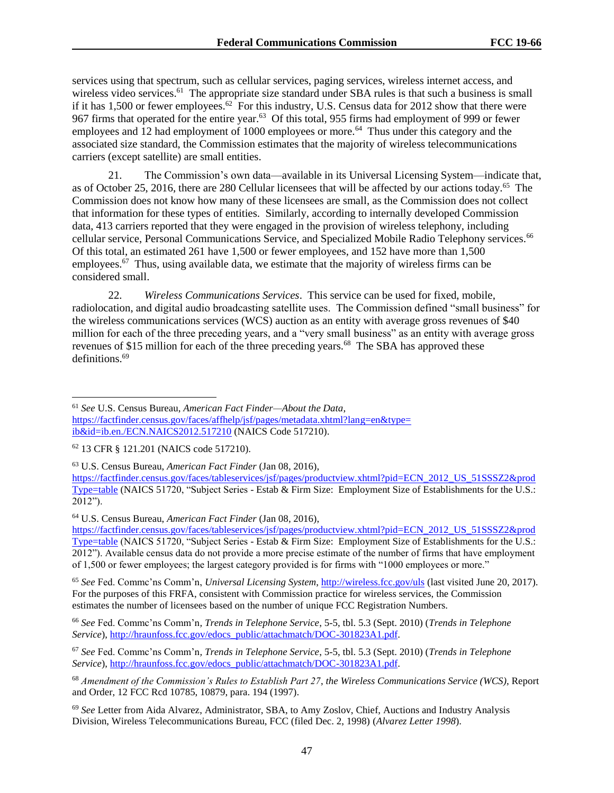services using that spectrum, such as cellular services, paging services, wireless internet access, and wireless video services.<sup>61</sup> The appropriate size standard under SBA rules is that such a business is small if it has 1,500 or fewer employees.<sup>62</sup> For this industry, U.S. Census data for 2012 show that there were 967 firms that operated for the entire year.<sup>63</sup> Of this total, 955 firms had employment of 999 or fewer employees and 12 had employment of 1000 employees or more.<sup>64</sup> Thus under this category and the associated size standard, the Commission estimates that the majority of wireless telecommunications carriers (except satellite) are small entities.

21. The Commission's own data—available in its Universal Licensing System—indicate that, as of October 25, 2016, there are 280 Cellular licensees that will be affected by our actions today.<sup>65</sup> The Commission does not know how many of these licensees are small, as the Commission does not collect that information for these types of entities. Similarly, according to internally developed Commission data, 413 carriers reported that they were engaged in the provision of wireless telephony, including cellular service, Personal Communications Service, and Specialized Mobile Radio Telephony services.<sup>66</sup> Of this total, an estimated 261 have 1,500 or fewer employees, and 152 have more than 1,500 employees.<sup>67</sup> Thus, using available data, we estimate that the majority of wireless firms can be considered small.

22. *Wireless Communications Services*. This service can be used for fixed, mobile, radiolocation, and digital audio broadcasting satellite uses. The Commission defined "small business" for the wireless communications services (WCS) auction as an entity with average gross revenues of \$40 million for each of the three preceding years, and a "very small business" as an entity with average gross revenues of \$15 million for each of the three preceding years.<sup>68</sup> The SBA has approved these definitions.<sup>69</sup>

 $\overline{\phantom{a}}$ 

<sup>65</sup> *See* Fed. Commc'ns Comm'n, *Universal Licensing System*,<http://wireless.fcc.gov/uls> (last visited June 20, 2017). For the purposes of this FRFA, consistent with Commission practice for wireless services, the Commission estimates the number of licensees based on the number of unique FCC Registration Numbers.

<sup>66</sup> *See* Fed. Commc'ns Comm'n*, Trends in Telephone Service*, 5-5, tbl. 5.3 (Sept. 2010) (*Trends in Telephone Service*), [http://hraunfoss.fcc.gov/edocs\\_public/attachmatch/DOC-301823A1.pdf.](http://hraunfoss.fcc.gov/edocs_public/attachmatch/DOC-301823A1.pdf)

<sup>67</sup> *See* Fed. Commc'ns Comm'n*, Trends in Telephone Service*, 5-5, tbl. 5.3 (Sept. 2010) (*Trends in Telephone Service*), [http://hraunfoss.fcc.gov/edocs\\_public/attachmatch/DOC-301823A1.pdf.](http://hraunfoss.fcc.gov/edocs_public/attachmatch/DOC-301823A1.pdf)

<sup>61</sup> *See* U.S. Census Bureau, *American Fact Finder—About the Data*, [https://factfinder.census.gov/faces/affhelp/jsf/pages/metadata.xhtml?lang=en&type=](https://factfinder.census.gov/faces/affhelp/jsf/pages/metadata.xhtml?lang=en&type=ib&id=ib.en./ECN.NAICS2012.517210) [ib&id=ib.en./ECN.NAICS2012.517210](https://factfinder.census.gov/faces/affhelp/jsf/pages/metadata.xhtml?lang=en&type=ib&id=ib.en./ECN.NAICS2012.517210) (NAICS Code 517210).

<sup>62</sup> 13 CFR § 121.201 (NAICS code 517210).

<sup>63</sup> U.S. Census Bureau, *American Fact Finder* (Jan 08, 2016),

[https://factfinder.census.gov/faces/tableservices/jsf/pages/productview.xhtml?pid=ECN\\_2012\\_US\\_51SSSZ2&prod](https://factfinder.census.gov/faces/tableservices/jsf/pages/productview.xhtml?pid=ECN_2012_US_51SSSZ2&prodType=table) [Type=table](https://factfinder.census.gov/faces/tableservices/jsf/pages/productview.xhtml?pid=ECN_2012_US_51SSSZ2&prodType=table) (NAICS 51720, "Subject Series - Estab & Firm Size: Employment Size of Establishments for the U.S.: 2012").

<sup>64</sup> U.S. Census Bureau, *American Fact Finder* (Jan 08, 2016),

[https://factfinder.census.gov/faces/tableservices/jsf/pages/productview.xhtml?pid=ECN\\_2012\\_US\\_51SSSZ2&prod](https://factfinder.census.gov/faces/tableservices/jsf/pages/productview.xhtml?pid=ECN_2012_US_51SSSZ2&prodType=table) [Type=table](https://factfinder.census.gov/faces/tableservices/jsf/pages/productview.xhtml?pid=ECN_2012_US_51SSSZ2&prodType=table) (NAICS 51720, "Subject Series - Estab & Firm Size: Employment Size of Establishments for the U.S.: 2012"). Available census data do not provide a more precise estimate of the number of firms that have employment of 1,500 or fewer employees; the largest category provided is for firms with "1000 employees or more."

<sup>68</sup> *Amendment of the Commission's Rules to Establish Part 27*, *the Wireless Communications Service (WCS)*, Report and Order, 12 FCC Rcd 10785, 10879, para. 194 (1997).

<sup>69</sup> *See* Letter from Aida Alvarez, Administrator, SBA, to Amy Zoslov, Chief, Auctions and Industry Analysis Division, Wireless Telecommunications Bureau, FCC (filed Dec. 2, 1998) (*Alvarez Letter 1998*).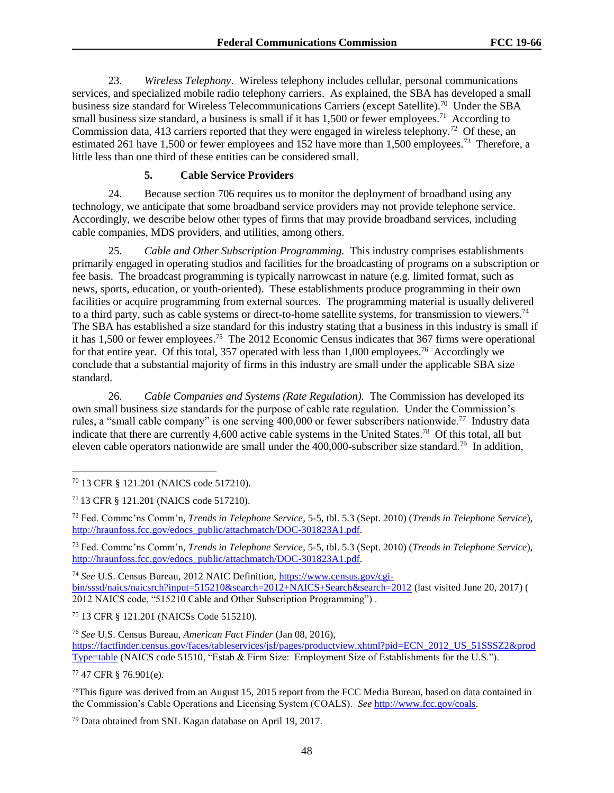23. *Wireless Telephony*. Wireless telephony includes cellular, personal communications services, and specialized mobile radio telephony carriers. As explained, the SBA has developed a small business size standard for Wireless Telecommunications Carriers (except Satellite).<sup>70</sup> Under the SBA small business size standard, a business is small if it has  $1,500$  or fewer employees.<sup>71</sup> According to Commission data, 413 carriers reported that they were engaged in wireless telephony.<sup>72</sup> Of these, an estimated 261 have 1,500 or fewer employees and 152 have more than 1,500 employees.<sup>73</sup> Therefore, a little less than one third of these entities can be considered small.

#### **5. Cable Service Providers**

24. Because section 706 requires us to monitor the deployment of broadband using any technology, we anticipate that some broadband service providers may not provide telephone service. Accordingly, we describe below other types of firms that may provide broadband services, including cable companies, MDS providers, and utilities, among others.

25. *Cable and Other Subscription Programming.* This industry comprises establishments primarily engaged in operating studios and facilities for the broadcasting of programs on a subscription or fee basis. The broadcast programming is typically narrowcast in nature (e.g. limited format, such as news, sports, education, or youth-oriented). These establishments produce programming in their own facilities or acquire programming from external sources. The programming material is usually delivered to a third party, such as cable systems or direct-to-home satellite systems, for transmission to viewers.<sup>74</sup> The SBA has established a size standard for this industry stating that a business in this industry is small if it has 1,500 or fewer employees.<sup>75</sup> The 2012 Economic Census indicates that 367 firms were operational for that entire year. Of this total, 357 operated with less than 1,000 employees.<sup>76</sup> Accordingly we conclude that a substantial majority of firms in this industry are small under the applicable SBA size standard.

26. *Cable Companies and Systems (Rate Regulation).* The Commission has developed its own small business size standards for the purpose of cable rate regulation. Under the Commission's rules, a "small cable company" is one serving  $400,000$  or fewer subscribers nationwide.<sup>77</sup> Industry data indicate that there are currently 4,600 active cable systems in the United States.<sup>78</sup> Of this total, all but eleven cable operators nationwide are small under the 400,000-subscriber size standard.<sup>79</sup> In addition,

<sup>73</sup> Fed. Commc'ns Comm'n*, Trends in Telephone Service*, 5-5, tbl. 5.3 (Sept. 2010) (*Trends in Telephone Service*), [http://hraunfoss.fcc.gov/edocs\\_public/attachmatch/DOC-301823A1.pdf.](http://hraunfoss.fcc.gov/edocs_public/attachmatch/DOC-301823A1.pdf)

<sup>74</sup> *See* U.S. Census Bureau, 2012 NAIC Definition, [https://www.census.gov/cgi](https://www.census.gov/cgi-bin/sssd/naics/naicsrch?input=515210&search=2012+NAICS+Search&search=2012)[bin/sssd/naics/naicsrch?input=515210&search=2012+NAICS+Search&search=2012](https://www.census.gov/cgi-bin/sssd/naics/naicsrch?input=515210&search=2012+NAICS+Search&search=2012) (last visited June 20, 2017) ( 2012 NAICS code, "515210 Cable and Other Subscription Programming") .

<sup>75</sup> 13 CFR § 121.201 (NAICSs Code 515210).

<sup>76</sup> *See* U.S. Census Bureau, *American Fact Finder* (Jan 08, 2016), [https://factfinder.census.gov/faces/tableservices/jsf/pages/productview.xhtml?pid=ECN\\_2012\\_US\\_51SSSZ2&prod](https://factfinder.census.gov/faces/tableservices/jsf/pages/productview.xhtml?pid=ECN_2012_US_51SSSZ2&prodType=table) [Type=table](https://factfinder.census.gov/faces/tableservices/jsf/pages/productview.xhtml?pid=ECN_2012_US_51SSSZ2&prodType=table) (NAICS code 51510, "Estab & Firm Size: Employment Size of Establishments for the U.S.").

<sup>77</sup> 47 CFR § 76.901(e).

l

<sup>78</sup>This figure was derived from an August 15, 2015 report from the FCC Media Bureau, based on data contained in the Commission's Cable Operations and Licensing System (COALS). *See* [http://www.fcc.gov/coals.](http://www.fcc.gov/coals)

<sup>79</sup> Data obtained from SNL Kagan database on April 19, 2017.

<sup>70</sup> 13 CFR § 121.201 (NAICS code 517210).

<sup>71</sup> 13 CFR § 121.201 (NAICS code 517210).

<sup>72</sup> Fed. Commc'ns Comm'n*, Trends in Telephone Service*, 5-5, tbl. 5.3 (Sept. 2010) (*Trends in Telephone Service*), [http://hraunfoss.fcc.gov/edocs\\_public/attachmatch/DOC-301823A1.pdf.](http://hraunfoss.fcc.gov/edocs_public/attachmatch/DOC-301823A1.pdf)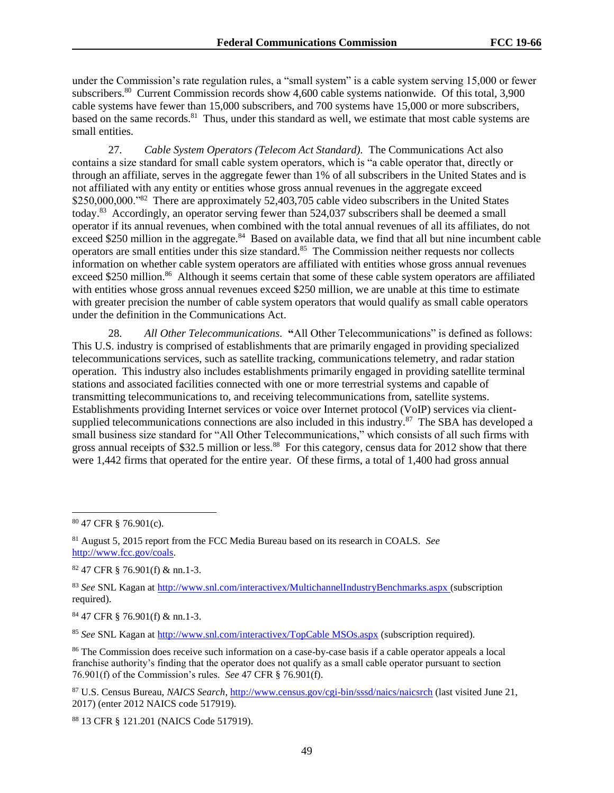under the Commission's rate regulation rules, a "small system" is a cable system serving 15,000 or fewer subscribers.<sup>80</sup> Current Commission records show 4,600 cable systems nationwide. Of this total, 3,900 cable systems have fewer than 15,000 subscribers, and 700 systems have 15,000 or more subscribers, based on the same records.<sup>81</sup> Thus, under this standard as well, we estimate that most cable systems are small entities.

27. *Cable System Operators (Telecom Act Standard).* The Communications Act also contains a size standard for small cable system operators, which is "a cable operator that, directly or through an affiliate, serves in the aggregate fewer than 1% of all subscribers in the United States and is not affiliated with any entity or entities whose gross annual revenues in the aggregate exceed \$250,000,000."<sup>82</sup> There are approximately 52,403,705 cable video subscribers in the United States today.<sup>83</sup> Accordingly, an operator serving fewer than 524,037 subscribers shall be deemed a small operator if its annual revenues, when combined with the total annual revenues of all its affiliates, do not exceed \$250 million in the aggregate.<sup>84</sup> Based on available data, we find that all but nine incumbent cable operators are small entities under this size standard.<sup>85</sup> The Commission neither requests nor collects information on whether cable system operators are affiliated with entities whose gross annual revenues exceed \$250 million.<sup>86</sup> Although it seems certain that some of these cable system operators are affiliated with entities whose gross annual revenues exceed \$250 million, we are unable at this time to estimate with greater precision the number of cable system operators that would qualify as small cable operators under the definition in the Communications Act.

28. *All Other Telecommunications.* **"**All Other Telecommunications" is defined as follows: This U.S. industry is comprised of establishments that are primarily engaged in providing specialized telecommunications services, such as satellite tracking, communications telemetry, and radar station operation. This industry also includes establishments primarily engaged in providing satellite terminal stations and associated facilities connected with one or more terrestrial systems and capable of transmitting telecommunications to, and receiving telecommunications from, satellite systems. Establishments providing Internet services or voice over Internet protocol (VoIP) services via clientsupplied telecommunications connections are also included in this industry. $87$  The SBA has developed a small business size standard for "All Other Telecommunications," which consists of all such firms with gross annual receipts of \$32.5 million or less.<sup>88</sup> For this category, census data for 2012 show that there were 1,442 firms that operated for the entire year. Of these firms, a total of 1,400 had gross annual

l

 $82$  47 CFR  $\S$  76.901(f) & nn.1-3.

<sup>83</sup> *See* SNL Kagan at<http://www.snl.com/interactivex/MultichannelIndustryBenchmarks.aspx> (subscription required).

<sup>84</sup> 47 CFR § 76.901(f) & nn.1-3.

<sup>85</sup> *See* SNL Kagan at [http://www.snl.com/interactivex/TopCable MSOs.aspx](http://www.snl.com/interactivex/TopCable%20MSOs.aspx) (subscription required).

<sup>86</sup> The Commission does receive such information on a case-by-case basis if a cable operator appeals a local franchise authority's finding that the operator does not qualify as a small cable operator pursuant to section 76.901(f) of the Commission's rules. *See* 47 CFR § 76.901(f).

<sup>87</sup> U.S. Census Bureau, *NAICS Search*[, http://www.census.gov/cgi-bin/sssd/naics/naicsrch](http://www.census.gov/cgi-bin/sssd/naics/naicsrch) (last visited June 21, 2017) (enter 2012 NAICS code 517919).

<sup>88</sup> 13 CFR § 121.201 (NAICS Code 517919).

<sup>80</sup> 47 CFR § 76.901(c).

<sup>81</sup> August 5, 2015 report from the FCC Media Bureau based on its research in COALS. *See* [http://www.fcc.gov/coals.](http://www.fcc.gov/coals)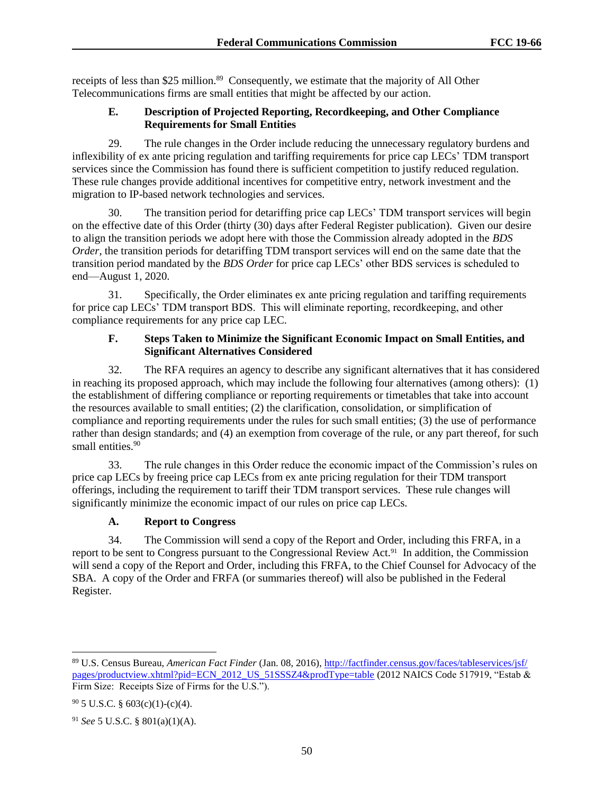receipts of less than \$25 million.<sup>89</sup> Consequently, we estimate that the majority of All Other Telecommunications firms are small entities that might be affected by our action.

# **E. Description of Projected Reporting, Recordkeeping, and Other Compliance Requirements for Small Entities**

29. The rule changes in the Order include reducing the unnecessary regulatory burdens and inflexibility of ex ante pricing regulation and tariffing requirements for price cap LECs' TDM transport services since the Commission has found there is sufficient competition to justify reduced regulation. These rule changes provide additional incentives for competitive entry, network investment and the migration to IP-based network technologies and services.

30. The transition period for detariffing price cap LECs' TDM transport services will begin on the effective date of this Order (thirty (30) days after Federal Register publication). Given our desire to align the transition periods we adopt here with those the Commission already adopted in the *BDS Order*, the transition periods for detariffing TDM transport services will end on the same date that the transition period mandated by the *BDS Order* for price cap LECs' other BDS services is scheduled to end—August 1, 2020.

31. Specifically, the Order eliminates ex ante pricing regulation and tariffing requirements for price cap LECs' TDM transport BDS. This will eliminate reporting, recordkeeping, and other compliance requirements for any price cap LEC.

# **F. Steps Taken to Minimize the Significant Economic Impact on Small Entities, and Significant Alternatives Considered**

32. The RFA requires an agency to describe any significant alternatives that it has considered in reaching its proposed approach, which may include the following four alternatives (among others): (1) the establishment of differing compliance or reporting requirements or timetables that take into account the resources available to small entities; (2) the clarification, consolidation, or simplification of compliance and reporting requirements under the rules for such small entities; (3) the use of performance rather than design standards; and (4) an exemption from coverage of the rule, or any part thereof, for such small entities.<sup>90</sup>

33. The rule changes in this Order reduce the economic impact of the Commission's rules on price cap LECs by freeing price cap LECs from ex ante pricing regulation for their TDM transport offerings, including the requirement to tariff their TDM transport services. These rule changes will significantly minimize the economic impact of our rules on price cap LECs.

# **A. Report to Congress**

34. The Commission will send a copy of the Report and Order, including this FRFA, in a report to be sent to Congress pursuant to the Congressional Review Act.<sup>91</sup> In addition, the Commission will send a copy of the Report and Order, including this FRFA, to the Chief Counsel for Advocacy of the SBA. A copy of the Order and FRFA (or summaries thereof) will also be published in the Federal Register.

l

<sup>89</sup> U.S. Census Bureau, *American Fact Finder* (Jan. 08, 2016)[, http://factfinder.census.gov/faces/tableservices/jsf/](http://factfinder.census.gov/faces/tableservices/jsf/pages/productview.xhtml?pid=ECN_2012_US_51SSSZ4&prodType=table) [pages/productview.xhtml?pid=ECN\\_2012\\_US\\_51SSSZ4&prodType=table](http://factfinder.census.gov/faces/tableservices/jsf/pages/productview.xhtml?pid=ECN_2012_US_51SSSZ4&prodType=table) (2012 NAICS Code 517919, "Estab & Firm Size: Receipts Size of Firms for the U.S.").

 $90$  5 U.S.C. § 603(c)(1)-(c)(4).

<sup>91</sup> *See* 5 U.S.C. § 801(a)(1)(A).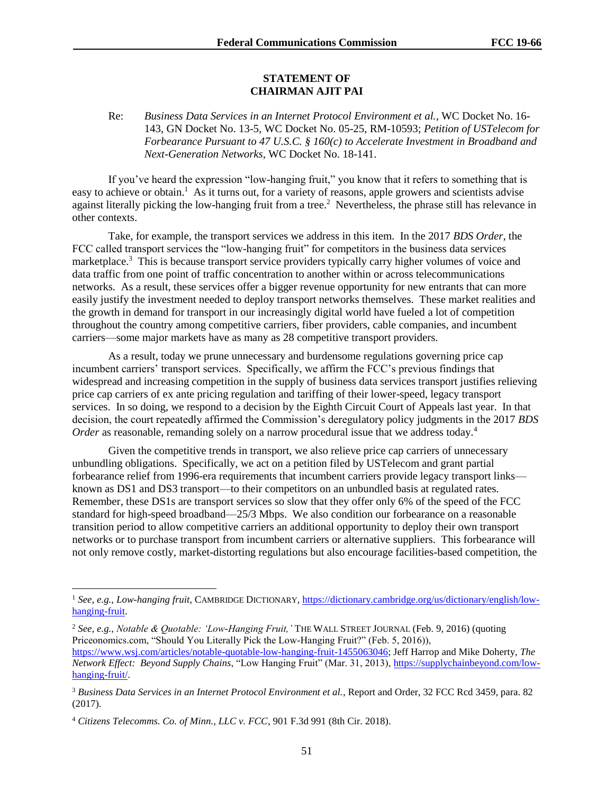#### **STATEMENT OF CHAIRMAN AJIT PAI**

## Re: *Business Data Services in an Internet Protocol Environment et al.*, WC Docket No. 16- 143, GN Docket No. 13-5, WC Docket No. 05-25, RM-10593; *Petition of USTelecom for Forbearance Pursuant to 47 U.S.C. § 160(c) to Accelerate Investment in Broadband and Next-Generation Networks*, WC Docket No. 18-141.

If you've heard the expression "low-hanging fruit," you know that it refers to something that is easy to achieve or obtain.<sup>1</sup> As it turns out, for a variety of reasons, apple growers and scientists advise against literally picking the low-hanging fruit from a tree.<sup>2</sup> Nevertheless, the phrase still has relevance in other contexts.

Take, for example, the transport services we address in this item. In the 2017 *BDS Order*, the FCC called transport services the "low-hanging fruit" for competitors in the business data services marketplace.<sup>3</sup> This is because transport service providers typically carry higher volumes of voice and data traffic from one point of traffic concentration to another within or across telecommunications networks. As a result, these services offer a bigger revenue opportunity for new entrants that can more easily justify the investment needed to deploy transport networks themselves. These market realities and the growth in demand for transport in our increasingly digital world have fueled a lot of competition throughout the country among competitive carriers, fiber providers, cable companies, and incumbent carriers—some major markets have as many as 28 competitive transport providers.

As a result, today we prune unnecessary and burdensome regulations governing price cap incumbent carriers' transport services. Specifically, we affirm the FCC's previous findings that widespread and increasing competition in the supply of business data services transport justifies relieving price cap carriers of ex ante pricing regulation and tariffing of their lower-speed, legacy transport services. In so doing, we respond to a decision by the Eighth Circuit Court of Appeals last year. In that decision, the court repeatedly affirmed the Commission's deregulatory policy judgments in the 2017 *BDS Order* as reasonable, remanding solely on a narrow procedural issue that we address today.<sup>4</sup>

Given the competitive trends in transport, we also relieve price cap carriers of unnecessary unbundling obligations. Specifically, we act on a petition filed by USTelecom and grant partial forbearance relief from 1996-era requirements that incumbent carriers provide legacy transport links known as DS1 and DS3 transport—to their competitors on an unbundled basis at regulated rates. Remember, these DS1s are transport services so slow that they offer only 6% of the speed of the FCC standard for high-speed broadband—25/3 Mbps. We also condition our forbearance on a reasonable transition period to allow competitive carriers an additional opportunity to deploy their own transport networks or to purchase transport from incumbent carriers or alternative suppliers. This forbearance will not only remove costly, market-distorting regulations but also encourage facilities-based competition, the

<sup>2</sup> *See, e.g.*, *Notable & Quotable: 'Low-Hanging Fruit,'* THE WALL STREET JOURNAL (Feb. 9, 2016) (quoting Priceonomics.com, "Should You Literally Pick the Low-Hanging Fruit?" (Feb. 5, 2016)), [https://www.wsj.com/articles/notable-quotable-low-hanging-fruit-1455063046;](https://www.wsj.com/articles/notable-quotable-low-hanging-fruit-1455063046) Jeff Harrop and Mike Doherty, *The Network Effect: Beyond Supply Chains*, "Low Hanging Fruit" (Mar. 31, 2013), [https://supplychainbeyond.com/low](https://supplychainbeyond.com/low-hanging-fruit/)[hanging-fruit/.](https://supplychainbeyond.com/low-hanging-fruit/) 

 $\overline{\phantom{a}}$ 

<sup>1</sup> *See, e.g.*, *Low-hanging fruit*, CAMBRIDGE DICTIONARY[, https://dictionary.cambridge.org/us/dictionary/english/low](https://dictionary.cambridge.org/us/dictionary/english/low-hanging-fruit)[hanging-fruit.](https://dictionary.cambridge.org/us/dictionary/english/low-hanging-fruit)

<sup>3</sup> *Business Data Services in an Internet Protocol Environment et al.*, Report and Order, 32 FCC Rcd 3459, para. 82 (2017).

<sup>4</sup> *Citizens Telecomms. Co. of Minn., LLC v. FCC*, 901 F.3d 991 (8th Cir. 2018).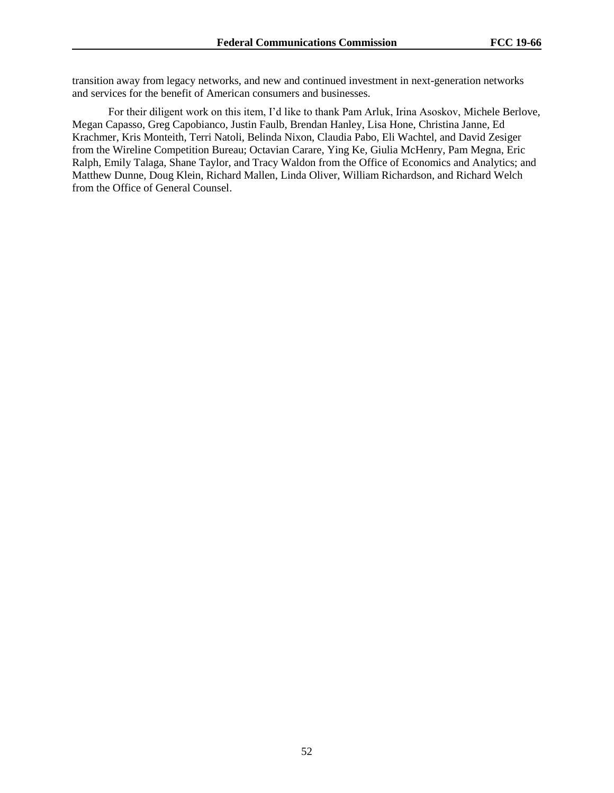transition away from legacy networks, and new and continued investment in next-generation networks and services for the benefit of American consumers and businesses.

For their diligent work on this item, I'd like to thank Pam Arluk, Irina Asoskov, Michele Berlove, Megan Capasso, Greg Capobianco, Justin Faulb, Brendan Hanley, Lisa Hone, Christina Janne, Ed Krachmer, Kris Monteith, Terri Natoli, Belinda Nixon, Claudia Pabo, Eli Wachtel, and David Zesiger from the Wireline Competition Bureau; Octavian Carare, Ying Ke, Giulia McHenry, Pam Megna, Eric Ralph, Emily Talaga, Shane Taylor, and Tracy Waldon from the Office of Economics and Analytics; and Matthew Dunne, Doug Klein, Richard Mallen, Linda Oliver, William Richardson, and Richard Welch from the Office of General Counsel.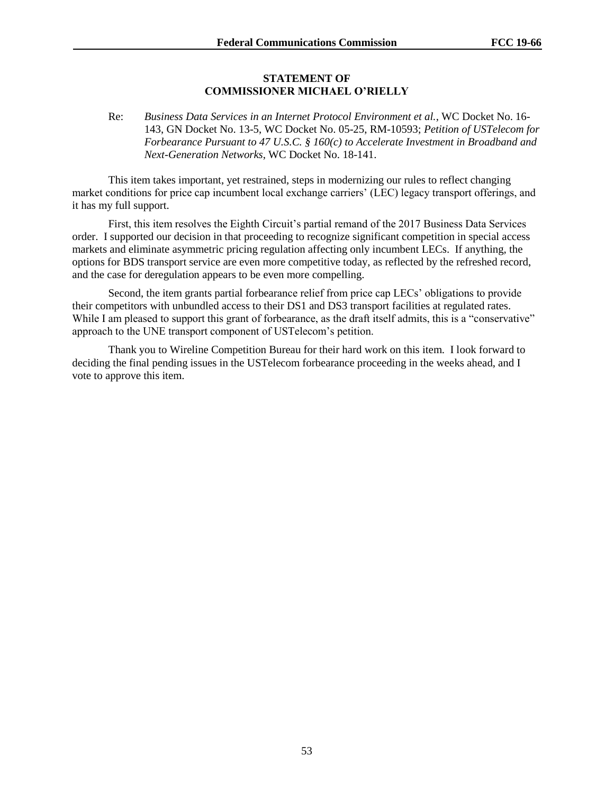#### **STATEMENT OF COMMISSIONER MICHAEL O'RIELLY**

Re: *Business Data Services in an Internet Protocol Environment et al.*, WC Docket No. 16- 143, GN Docket No. 13-5, WC Docket No. 05-25, RM-10593; *Petition of USTelecom for Forbearance Pursuant to 47 U.S.C. § 160(c) to Accelerate Investment in Broadband and Next-Generation Networks*, WC Docket No. 18-141.

This item takes important, yet restrained, steps in modernizing our rules to reflect changing market conditions for price cap incumbent local exchange carriers' (LEC) legacy transport offerings, and it has my full support.

First, this item resolves the Eighth Circuit's partial remand of the 2017 Business Data Services order. I supported our decision in that proceeding to recognize significant competition in special access markets and eliminate asymmetric pricing regulation affecting only incumbent LECs. If anything, the options for BDS transport service are even more competitive today, as reflected by the refreshed record, and the case for deregulation appears to be even more compelling.

Second, the item grants partial forbearance relief from price cap LECs' obligations to provide their competitors with unbundled access to their DS1 and DS3 transport facilities at regulated rates. While I am pleased to support this grant of forbearance, as the draft itself admits, this is a "conservative" approach to the UNE transport component of USTelecom's petition.

Thank you to Wireline Competition Bureau for their hard work on this item. I look forward to deciding the final pending issues in the USTelecom forbearance proceeding in the weeks ahead, and I vote to approve this item.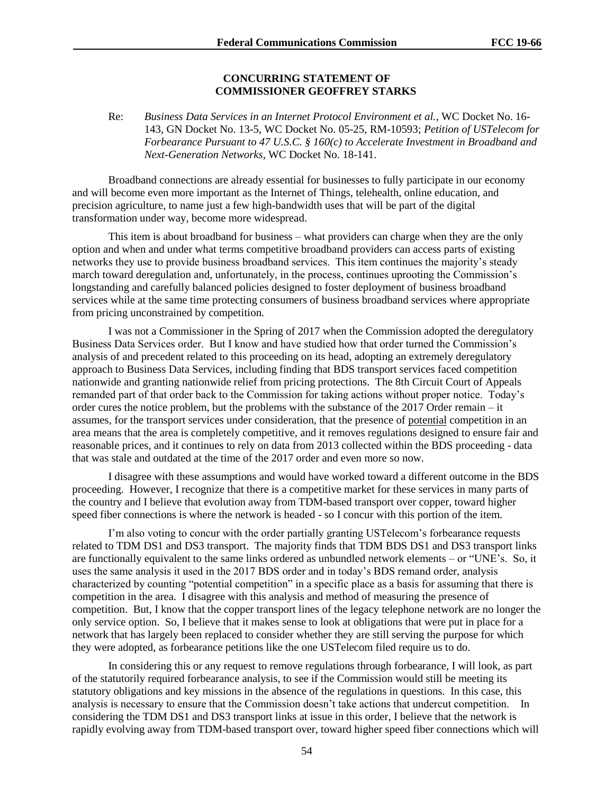#### **CONCURRING STATEMENT OF COMMISSIONER GEOFFREY STARKS**

Re: *Business Data Services in an Internet Protocol Environment et al.*, WC Docket No. 16- 143, GN Docket No. 13-5, WC Docket No. 05-25, RM-10593; *Petition of USTelecom for Forbearance Pursuant to 47 U.S.C. § 160(c) to Accelerate Investment in Broadband and Next-Generation Networks*, WC Docket No. 18-141.

Broadband connections are already essential for businesses to fully participate in our economy and will become even more important as the Internet of Things, telehealth, online education, and precision agriculture, to name just a few high-bandwidth uses that will be part of the digital transformation under way, become more widespread.

This item is about broadband for business – what providers can charge when they are the only option and when and under what terms competitive broadband providers can access parts of existing networks they use to provide business broadband services. This item continues the majority's steady march toward deregulation and, unfortunately, in the process, continues uprooting the Commission's longstanding and carefully balanced policies designed to foster deployment of business broadband services while at the same time protecting consumers of business broadband services where appropriate from pricing unconstrained by competition.

I was not a Commissioner in the Spring of 2017 when the Commission adopted the deregulatory Business Data Services order. But I know and have studied how that order turned the Commission's analysis of and precedent related to this proceeding on its head, adopting an extremely deregulatory approach to Business Data Services, including finding that BDS transport services faced competition nationwide and granting nationwide relief from pricing protections. The 8th Circuit Court of Appeals remanded part of that order back to the Commission for taking actions without proper notice. Today's order cures the notice problem, but the problems with the substance of the 2017 Order remain – it assumes, for the transport services under consideration, that the presence of potential competition in an area means that the area is completely competitive, and it removes regulations designed to ensure fair and reasonable prices, and it continues to rely on data from 2013 collected within the BDS proceeding - data that was stale and outdated at the time of the 2017 order and even more so now.

I disagree with these assumptions and would have worked toward a different outcome in the BDS proceeding. However, I recognize that there is a competitive market for these services in many parts of the country and I believe that evolution away from TDM-based transport over copper, toward higher speed fiber connections is where the network is headed - so I concur with this portion of the item.

I'm also voting to concur with the order partially granting USTelecom's forbearance requests related to TDM DS1 and DS3 transport. The majority finds that TDM BDS DS1 and DS3 transport links are functionally equivalent to the same links ordered as unbundled network elements – or "UNE's. So, it uses the same analysis it used in the 2017 BDS order and in today's BDS remand order, analysis characterized by counting "potential competition" in a specific place as a basis for assuming that there is competition in the area. I disagree with this analysis and method of measuring the presence of competition. But, I know that the copper transport lines of the legacy telephone network are no longer the only service option. So, I believe that it makes sense to look at obligations that were put in place for a network that has largely been replaced to consider whether they are still serving the purpose for which they were adopted, as forbearance petitions like the one USTelecom filed require us to do.

In considering this or any request to remove regulations through forbearance, I will look, as part of the statutorily required forbearance analysis, to see if the Commission would still be meeting its statutory obligations and key missions in the absence of the regulations in questions. In this case, this analysis is necessary to ensure that the Commission doesn't take actions that undercut competition. In considering the TDM DS1 and DS3 transport links at issue in this order, I believe that the network is rapidly evolving away from TDM-based transport over, toward higher speed fiber connections which will